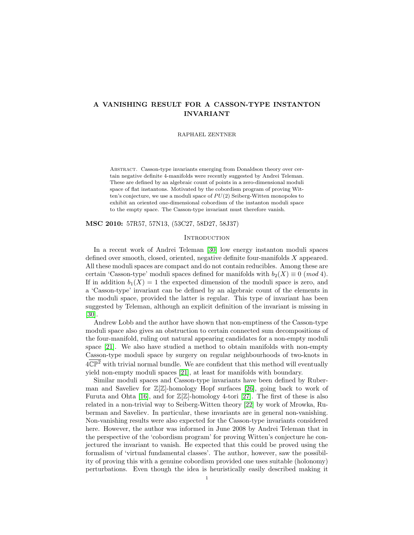# A VANISHING RESULT FOR A CASSON-TYPE INSTANTON INVARIANT

RAPHAEL ZENTNER

Abstract. Casson-type invariants emerging from Donaldson theory over certain negative definite 4-manifolds were recently suggested by Andrei Teleman. These are defined by an algebraic count of points in a zero-dimensional moduli space of flat instantons. Motivated by the cobordism program of proving Witten's conjecture, we use a moduli space of  $PU(2)$  Seiberg-Witten monopoles to exhibit an oriented one-dimensional cobordism of the instanton moduli space to the empty space. The Casson-type invariant must therefore vanish.

MSC 2010: 57R57, 57N13, (53C27, 58D27, 58J37)

## **INTRODUCTION**

In a recent work of Andrei Teleman [\[30\]](#page-44-0) low energy instanton moduli spaces defined over smooth, closed, oriented, negative definite four-manifolds X appeared. All these moduli spaces are compact and do not contain reducibles. Among these are certain 'Casson-type' moduli spaces defined for manifolds with  $b_2(X) \equiv 0 \pmod{4}$ . If in addition  $b_1(X) = 1$  the expected dimension of the moduli space is zero, and a 'Casson-type' invariant can be defined by an algebraic count of the elements in the moduli space, provided the latter is regular. This type of invariant has been suggested by Teleman, although an explicit definition of the invariant is missing in [\[30\]](#page-44-0).

Andrew Lobb and the author have shown that non-emptiness of the Casson-type moduli space also gives an obstruction to certain connected sum decompositions of the four-manifold, ruling out natural appearing candidates for a non-empty moduli space [\[21\]](#page-44-1). We also have studied a method to obtain manifolds with non-empty Casson-type moduli space by surgery on regular neighbourhoods of two-knots in  $4\overline{\mathbb{CP}}^2$  with trivial normal bundle. We are confident that this method will eventually yield non-empty moduli spaces [\[21\]](#page-44-1), at least for manifolds with boundary.

Similar moduli spaces and Casson-type invariants have been defined by Ruberman and Saveliev for  $\mathbb{Z}[\mathbb{Z}]$ -homology Hopf surfaces [\[26\]](#page-44-2), going back to work of Furuta and Ohta [\[16\]](#page-44-3), and for  $\mathbb{Z}[\mathbb{Z}]$ -homology 4-tori [\[27\]](#page-44-4). The first of these is also related in a non-trivial way to Seiberg-Witten theory [\[22\]](#page-44-5) by work of Mrowka, Ruberman and Saveliev. In particular, these invariants are in general non-vanishing. Non-vanishing results were also expected for the Casson-type invariants considered here. However, the author was informed in June 2008 by Andrei Teleman that in the perspective of the 'cobordism program' for proving Witten's conjecture he conjectured the invariant to vanish. He expected that this could be proved using the formalism of 'virtual fundamental classes'. The author, however, saw the possibility of proving this with a genuine cobordism provided one uses suitable (holonomy) perturbations. Even though the idea is heuristically easily described making it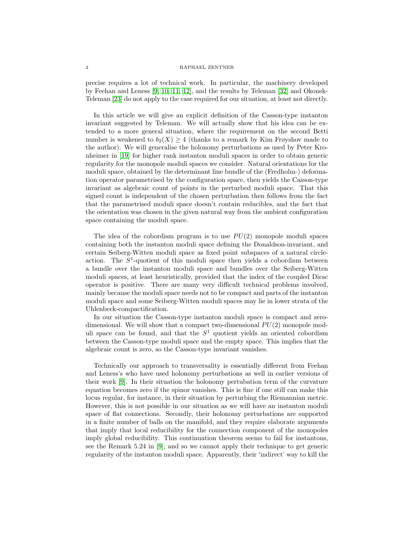## 2 RAPHAEL ZENTNER

precise requires a lot of technical work. In particular, the machinery developed by Feehan and Leness [\[9,](#page-44-6) [10,](#page-44-7) [11,](#page-44-8) [12\]](#page-44-9), and the results by Teleman [\[32\]](#page-44-10) and Okonek-Teleman [\[23\]](#page-44-11) do not apply to the case required for our situation, at least not directly.

In this article we will give an explicit definition of the Casson-type instanton invariant suggested by Teleman. We will actually show that his idea can be extended to a more general situation, where the requirement on the second Betti number is weakened to  $b_2(X) \geq 4$  (thanks to a remark by Kim Frøyshov made to the author). We will generalise the holonomy perturbations as used by Peter Kronheimer in [\[19\]](#page-44-12) for higher rank instanton moduli spaces in order to obtain generic regularity for the monopole moduli spaces we consider. Natural orientations for the moduli space, obtained by the determinant line bundle of the (Fredholm-) deformation operator parametrised by the configuration space, then yields the Casson-type invariant as algebraic count of points in the perturbed moduli space. That this signed count is independent of the chosen perturbation then follows from the fact that the parametrised moduli space doesn't contain reducibles, and the fact that the orientation was chosen in the given natural way from the ambient configuration space containing the moduli space.

The idea of the cobordism program is to use  $PU(2)$  monopole moduli spaces containing both the instanton moduli space defining the Donaldson-invariant, and certain Seiberg-Witten moduli space as fixed point subspaces of a natural circleaction. The  $S^1$ -quotient of this moduli space then yields a cobordism between a bundle over the instanton moduli space and bundles over the Seiberg-Witten moduli spaces, at least heuristically, provided that the index of the coupled Dirac operator is positive. There are many very difficult technical problems involved, mainly because the moduli space needs not to be compact and parts of the instanton moduli space and some Seiberg-Witten moduli spaces may lie in lower strata of the Uhlenbeck-compactification.

In our situation the Casson-type instanton moduli space is compact and zerodimensional. We will show that a compact two-dimensional  $PU(2)$  monopole moduli space can be found, and that the  $S<sup>1</sup>$  quotient yields an oriented cobordism between the Casson-type moduli space and the empty space. This implies that the algebraic count is zero, so the Casson-type invariant vanishes.

Technically our approach to transversality is essentially different from Feehan and Leness's who have used holonomy perturbations as well in earlier versions of their work [\[9\]](#page-44-6). In their situation the holonomy pertubation term of the curvature equation becomes zero if the spinor vanishes. This is fine if one still can make this locus regular, for instance, in their situation by perturbing the Riemannian metric. However, this is not possible in our situation as we will have an instanton moduli space of flat connections. Secondly, their holonomy perturbations are supported in a finite number of balls on the manifold, and they require elaborate arguments that imply that local reducibility for the connection component of the monopoles imply global reducibility. This continuation theorem seems to fail for instantons, see the Remark 5.24 in [\[9\]](#page-44-6), and so we cannot apply their technique to get generic regularity of the instanton moduli space. Apparently, their 'indirect' way to kill the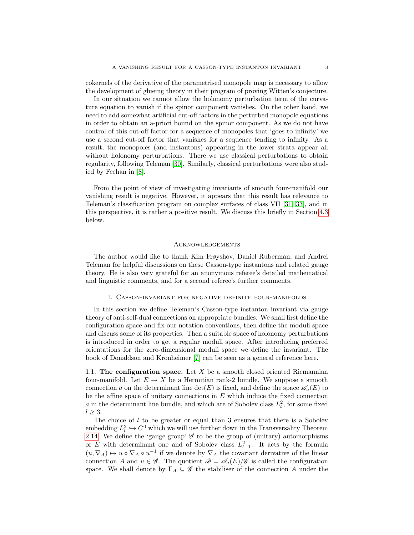cokernels of the derivative of the parametrised monopole map is necessary to allow the development of glueing theory in their program of proving Witten's conjecture.

In our situation we cannot allow the holonomy perturbation term of the curvature equation to vanish if the spinor component vanishes. On the other hand, we need to add somewhat artificial cut-off factors in the perturbed monopole equations in order to obtain an a-priori bound on the spinor component. As we do not have control of this cut-off factor for a sequence of monopoles that 'goes to infinity' we use a second cut-off factor that vanishes for a sequence tending to infinity. As a result, the monopoles (and instantons) appearing in the lower strata appear all without holonomy perturbations. There we use classical perturbations to obtain regularity, following Teleman [\[30\]](#page-44-0). Similarly, classical perturbations were also studied by Feehan in [\[8\]](#page-43-0).

From the point of view of investigating invariants of smooth four-manifold our vanishing result is negative. However, it appears that this result has relevance to Teleman's classification program on complex surfaces of class VII [\[31,](#page-44-13) [33\]](#page-44-14), and in this perspective, it is rather a positive result. We discuss this briefly in Section [4.3](#page-42-0) below.

## Acknowledgements

The author would like to thank Kim Frøyshov, Daniel Ruberman, and Andrei Teleman for helpful discussions on these Casson-type instantons and related gauge theory. He is also very grateful for an anonymous referee's detailed mathematical and linguistic comments, and for a second referee's further comments.

### 1. Casson-invariant for negative definite four-manifolds

In this section we define Teleman's Casson-type instanton invariant via gauge theory of anti-self-dual connections on appropriate bundles. We shall first define the configuration space and fix our notation conventions, then define the moduli space and discuss some of its properties. Then a suitable space of holonomy perturbations is introduced in order to get a regular moduli space. After introducing preferred orientations for the zero-dimensional moduli space we define the invariant. The book of Donaldson and Kronheimer [\[7\]](#page-43-1) can be seen as a general reference here.

<span id="page-2-0"></span>1.1. The configuration space. Let  $X$  be a smooth closed oriented Riemannian four-manifold. Let  $E \to X$  be a Hermitian rank-2 bundle. We suppose a smooth connection a on the determinant line  $\det(E)$  is fixed, and define the space  $\mathscr{A}_a(E)$  to be the affine space of unitary connections in  $E$  which induce the fixed connection a in the determinant line bundle, and which are of Sobolev class  $L<sub>l</sub><sup>2</sup>$ , for some fixed  $l \geq 3$ .

The choice of  $l$  to be greater or equal than 3 ensures that there is a Sobolev embedding  $L^2_l \hookrightarrow C^0$  which we will use further down in the Transversality Theorem [2.14.](#page-23-0) We define the 'gauge group'  $\mathscr G$  to be the group of (unitary) automorphisms of E with determinant one and of Sobolev class  $L^2_{l+1}$ . It acts by the formula  $(u, \nabla_A) \mapsto u \circ \nabla_A \circ u^{-1}$  if we denote by  $\nabla_A$  the covariant derivative of the linear connection A and  $u \in \mathscr{G}$ . The quotient  $\mathscr{B} = \mathscr{A}_a(E)/\mathscr{G}$  is called the configuration space. We shall denote by  $\Gamma_A \subseteq \mathscr{G}$  the stabiliser of the connection A under the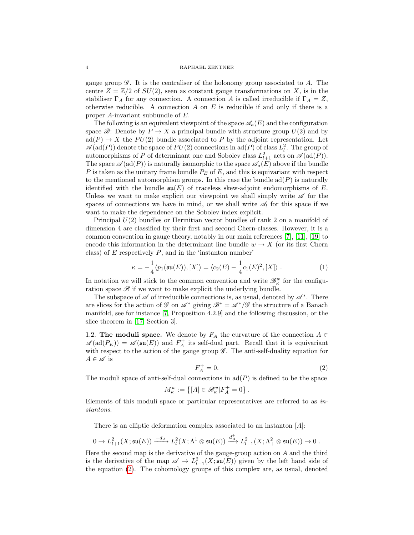gauge group  $\mathscr{G}$ . It is the centraliser of the holonomy group associated to A. The centre  $Z = \mathbb{Z}/2$  of  $SU(2)$ , seen as constant gauge transformations on X, is in the stabiliser  $\Gamma_A$  for any connection. A connection A is called irreducible if  $\Gamma_A = Z$ , otherwise reducible. A connection  $A$  on  $E$  is reducible if and only if there is a proper A-invariant subbundle of E.

The following is an equivalent viewpoint of the space  $\mathscr{A}_{a}(E)$  and the configuration space  $\mathcal{B}$ : Denote by  $P \to X$  a principal bundle with structure group  $U(2)$  and by  $\text{ad}(P) \to X$  the  $PU(2)$  bundle associated to P by the adjoint representation. Let  $\mathscr{A}(\text{ad}(P))$  denote the space of  $PU(2)$  connections in  $\text{ad}(P)$  of class  $L_l^2$ . The group of automorphisms of P of determinant one and Sobolev class  $L^2_{l+1}$  acts on  $\mathscr{A}(\text{ad}(P)).$ The space  $\mathscr{A}(\text{ad}(P))$  is naturally isomorphic to the space  $\mathscr{A}_{a}(E)$  above if the bundle P is taken as the unitary frame bundle  $P_E$  of E, and this is equivariant with respect to the mentioned automorphism groups. In this case the bundle  $\text{ad}(P)$  is naturally identified with the bundle  $\mathfrak{su}(E)$  of traceless skew-adjoint endomorphisms of E. Unless we want to make explicit our viewpoint we shall simply write  $\mathscr A$  for the spaces of connections we have in mind, or we shall write  $\mathscr{A}_l$  for this space if we want to make the dependence on the Sobolev index explicit.

Principal  $U(2)$  bundles or Hermitian vector bundles of rank 2 on a manifold of dimension 4 are classified by their first and second Chern-classes. However, it is a common convention in gauge theory, notably in our main references [\[7\]](#page-43-1), [\[11\]](#page-44-8), [\[19\]](#page-44-12) to encode this information in the determinant line bundle  $w \to X$  (or its first Chern class) of  $E$  respectively  $P$ , and in the 'instanton number'

<span id="page-3-1"></span>
$$
\kappa = -\frac{1}{4} \langle p_1(\mathfrak{su}(E)), [X] \rangle = \langle c_2(E) - \frac{1}{4} c_1(E)^2, [X] \rangle . \tag{1}
$$

In notation we will stick to the common convention and write  $\mathscr{B}^w_\kappa$  for the configuration space  $\mathscr B$  if we want to make explicit the underlying bundle.

The subspace of  $\mathscr A$  of irreducible connections is, as usual, denoted by  $\mathscr A^*$ . There are slices for the action of G on  $\mathscr{A}^*$  giving  $\mathscr{B}^* = \mathscr{A}^*/\mathscr{G}$  the structure of a Banach manifold, see for instance [\[7,](#page-43-1) Proposition 4.2.9] and the following discussion, or the slice theorem in [\[17,](#page-44-15) Section 3].

<span id="page-3-2"></span>1.2. The moduli space. We denote by  $F_A$  the curvature of the connection  $A \in$  $\mathscr{A}(\text{ad}(P_E)) = \mathscr{A}(\mathfrak{su}(E))$  and  $F_A^+$  its self-dual part. Recall that it is equivariant with respect to the action of the gauge group  $\mathscr G$ . The anti-self-duality equation for  $A \in \mathscr{A}$  is

<span id="page-3-0"></span>
$$
F_A^+ = 0.\t\t(2)
$$

.

The moduli space of anti-self-dual connections in  $\text{ad}(P)$  is defined to be the space

$$
M_\kappa^w:=\left\{[A]\in\mathscr B_\kappa^w|F_A^+=0\right\}
$$

Elements of this moduli space or particular representatives are referred to as instantons.

There is an elliptic deformation complex associated to an instanton [A]:

$$
0\to L^2_{l+1}(X;\mathfrak{su}(E))\xrightarrow{-d_A} L^2_l(X;\Lambda^1\otimes\mathfrak{su}(E))\xrightarrow{d_A^+} L^2_{l-1}(X;\Lambda^2_+\otimes\mathfrak{su}(E))\to 0\;.
$$

Here the second map is the derivative of the gauge-group action on  $A$  and the third is the derivative of the map  $\mathscr{A} \to L^2_{l-1}(X;\mathfrak{su}(E))$  given by the left hand side of the equation [\(2\)](#page-3-0). The cohomology groups of this complex are, as usual, denoted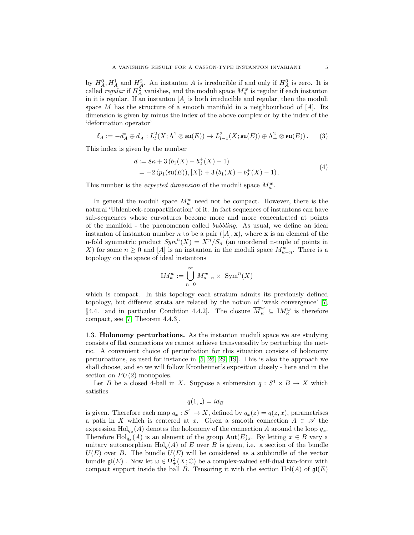by  $H_A^0, H_A^1$  and  $H_A^2$ . An instanton A is irreducible if and only if  $H_A^0$  is zero. It is called *regular* if  $H_A^2$  vanishes, and the moduli space  $M_\kappa^w$  is regular if each instanton in it is regular. If an instanton  $[A]$  is both irreducible and regular, then the moduli space M has the structure of a smooth manifold in a neighbourhood of  $[A]$ . Its dimension is given by minus the index of the above complex or by the index of the 'deformation operator'

$$
\delta_A := -d_A^* \oplus d_A^+ : L^2(\mathbf{X}; \Lambda^1 \otimes \mathfrak{su}(E)) \to L^2_{l-1}(\mathbf{X}; \mathfrak{su}(E)) \oplus \Lambda^2_+ \otimes \mathfrak{su}(E)). \tag{3}
$$

<span id="page-4-0"></span>This index is given by the number

$$
d := 8\kappa + 3(b_1(X) - b_2^+(X) - 1)
$$
  
= -2  $\langle p_1(\mathfrak{su}(E)), [X] \rangle + 3(b_1(X) - b_2^+(X) - 1)$ . (4)

This number is the *expected dimension* of the moduli space  $M_{\kappa}^{w}$ .

In general the moduli space  $M_{\kappa}^w$  need not be compact. However, there is the natural 'Uhlenbeck-compactification' of it. In fact sequences of instantons can have sub-sequences whose curvatures become more and more concentrated at points of the manifold - the phenomenon called bubbling. As usual, we define an ideal instanton of instanton number  $\kappa$  to be a pair  $([A], \mathbf{x})$ , where **x** is an element of the n-fold symmetric product  $Sym^n(X) = X^n/S_n$  (an unordered n-tuple of points in X) for some  $n \geq 0$  and [A] is an instanton in the moduli space  $M_{\kappa-n}^w$ . There is a topology on the space of ideal instantons

$$
IM_{\kappa}^w := \bigcup_{n=0}^{\infty} M_{\kappa-n}^w \times \operatorname{Sym}^n(X)
$$

which is compact. In this topology each stratum admits its previously defined topology, but different strata are related by the notion of 'weak convergence' [\[7,](#page-43-1) §4.4. and in particular Condition 4.4.2. The closure  $\overline{M}_{\kappa}^w \subseteq M_{\kappa}^w$  is therefore compact, see [\[7,](#page-43-1) Theorem 4.4.3].

<span id="page-4-1"></span>1.3. Holonomy perturbations. As the instanton moduli space we are studying consists of flat connections we cannot achieve transversality by perturbing the metric. A convenient choice of perturbation for this situation consists of holonomy perturbations, as used for instance in [\[5,](#page-43-2) [26,](#page-44-2) [29,](#page-44-16) [19\]](#page-44-12). This is also the approach we shall choose, and so we will follow Kronheimer's exposition closely - here and in the section on  $PU(2)$  monopoles.

Let B be a closed 4-ball in X. Suppose a submersion  $q: S^1 \times B \to X$  which satisfies

$$
q(1, \, \_) = id_B
$$

is given. Therefore each map  $q_x : S^1 \to X$ , defined by  $q_x(z) = q(z, x)$ , parametrises a path in X which is centered at x. Given a smooth connection  $A \in \mathscr{A}$  the expression  $\text{Hol}_{q_x}(A)$  denotes the holonomy of the connection A around the loop  $q_x$ . Therefore  $\text{Hol}_{q_x}(A)$  is an element of the group  $\text{Aut}(E)_x$ . By letting  $x \in B$  vary a unitary automorphism  $\text{Hol}_q(A)$  of E over B is given, i.e. a section of the bundle  $U(E)$  over B. The bundle  $U(E)$  will be considered as a subbundle of the vector bundle  $\mathfrak{gl}(E)$ . Now let  $\omega \in \Omega^2_+(X;\mathbb{C})$  be a complex-valued self-dual two-form with compact support inside the ball B. Tensoring it with the section Hol(A) of  $\mathfrak{gl}(E)$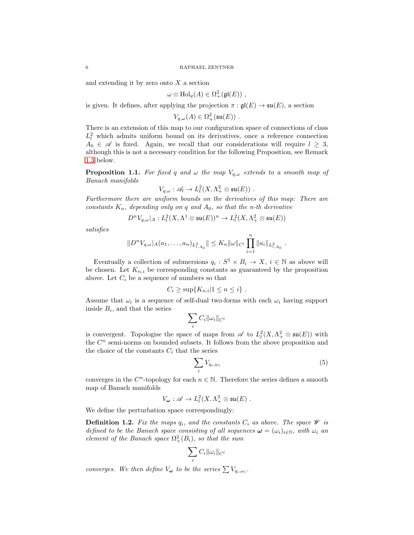and extending it by zero onto  $X$  a section

$$
\omega \otimes \mathrm{Hol}_q(A) \in \Omega^2_+(\mathfrak{gl}(E)) ,
$$

is given. It defines, after applying the projection  $\pi : \mathfrak{gl}(E) \to \mathfrak{su}(E)$ , a section

 $V_{q,\omega}(A) \in \Omega^2_+(\mathfrak{su}(E))$ .

There is an extension of this map to our configuration space of connections of class  $L_l^2$  which admits uniform bound on its derivatives, once a reference connection  $A_0 \in \mathscr{A}$  is fixed. Again, we recall that our considerations will require  $l \geq 3$ , although this is not a necessary condition for the following Proposition, see Remark [1.3](#page-6-0) below.

<span id="page-5-0"></span>**Proposition 1.1.** For fixed q and  $\omega$  the map  $V_{q,\omega}$  extends to a smooth map of Banach manifolds

$$
V_{q,\omega}: \mathscr{A}_l \to L^2_l(X,\Lambda^2_+ \otimes \mathfrak{su}(E))\ .
$$

Furthermore there are uniform bounds on the derivatives of this map: There are constants  $K_n$ , depending only on q and  $A_0$ , so that the n-th derivative

$$
D^nV_{q,\omega}|_A:L^2_l(X,\Lambda^1\otimes \mathfrak{su}(E))^n\to L^2_l(X,\Lambda^2_+\otimes \mathfrak{su}(E))
$$

satisfies

$$
||D^nV_{q,\omega}|_A(a_1,\ldots,a_n)_{L^2_{l,A_0}}|| \leq K_n ||\omega||_{C^l} \prod_{i=1}^n ||a_i||_{L^2_{l,A_0}}
$$

Eventually a collection of submersions  $q_i : S^1 \times B_i \to X$ ,  $i \in \mathbb{N}$  as above will be chosen. Let  $K_{n,i}$  be corresponding constants as guaranteed by the proposition above. Let  $C_i$  be a sequence of numbers so that

$$
C_i \ge \sup\{K_{n,i}|1 \le n \le i\} .
$$

Assume that  $\omega_i$  is a sequence of self-dual two-forms with each  $\omega_i$  having support inside  $B_i$ , and that the series

$$
\sum_i C_i \|\omega_i\|_{C^l}
$$

is convergent. Topologise the space of maps from  $\mathscr A$  to  $L^2_l(X, \Lambda^2_+ \otimes \mathfrak{su}(E))$  with the  $C<sup>n</sup>$  semi-norms on bounded subsets. It follows from the above proposition and the choice of the constants  $C_i$  that the series

<span id="page-5-1"></span>
$$
\sum_{i} V_{q_i,\omega_i} \tag{5}
$$

.

converges in the  $C<sup>n</sup>$ -topology for each  $n \in \mathbb{N}$ . Therefore the series defines a smooth map of Banach manifolds

$$
V_{\omega}: \mathscr{A} \to L^2_l(X, \Lambda^2_+ \otimes \mathfrak{su}(E)) .
$$

We define the perturbation space correspondingly:

**Definition 1.2.** Fix the maps  $q_i$ , and the constants  $C_i$  as above. The space  $\mathscr W$  is defined to be the Banach space consisting of all sequences  $\boldsymbol{\omega} = (\omega_i)_{i \in \mathbb{N}}$ , with  $\omega_i$  an element of the Banach space  $\Omega^2_+(B_i)$ , so that the sum

$$
\sum_i C_i \|\omega_i\|_{C^l}
$$

converges. We then define  $V_{\boldsymbol{\omega}}$  to be the series  $\sum V_{q_i,\omega_i}$ .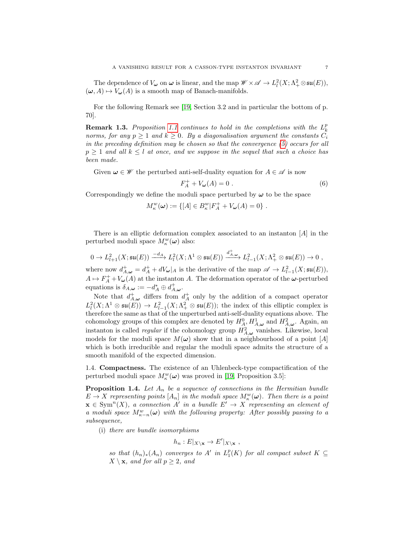The dependence of  $V_{\omega}$  on  $\omega$  is linear, and the map  $\mathscr{W} \times \mathscr{A} \to L^2_l(X; \Lambda^2_+ \otimes \mathfrak{su}(E)),$  $(\omega, A) \mapsto V_{\omega}(A)$  is a smooth map of Banach-manifolds.

For the following Remark see [\[19,](#page-44-12) Section 3.2 and in particular the bottom of p. 70].

<span id="page-6-0"></span>**Remark 1.3.** Proposition [1.1](#page-5-0) continues to hold in the completions with the  $L_k^p$ norms, for any  $p \ge 1$  and  $k \ge 0$ . By a diagonalisation argument the constants  $C_i$ in the preceding definition may be chosen so that the convergence [\(5\)](#page-5-1) occurs for all  $p \ge 1$  and all  $k \le l$  at once, and we suppose in the sequel that such a choice has been made.

Given  $\omega \in \mathscr{W}$  the perturbed anti-self-duality equation for  $A \in \mathscr{A}$  is now

$$
F_A^+ + V_\omega(A) = 0 \tag{6}
$$

Correspondingly we define the moduli space perturbed by  $\omega$  to be the space

$$
M_{\kappa}^{w}(\omega) := \{ [A] \in B_{\kappa}^{w} | F_{A}^{+} + V_{\omega}(A) = 0 \} .
$$

There is an elliptic deformation complex associated to an instanton  $[A]$  in the perturbed moduli space  $M_{\kappa}^w(\boldsymbol{\omega})$  also:

$$
0\to L^2_{l+1}(X;\mathfrak{su}(E))\xrightarrow{-d_A} L^2_l(X;\Lambda^1\otimes \mathfrak{su}(E))\xrightarrow{d^+_{{\cal A},\omega}} L^2_{l-1}(X;\Lambda^2_+\otimes \mathfrak{su}(E))\to 0\ ,
$$

where now  $d_{A,\omega}^+ = d_A^+ + dV_\omega|_A$  is the derivative of the map  $\mathscr{A} \to L^2_{l-1}(X;\mathfrak{su}(E)),$  $A \mapsto F_A^+ + V_\omega(A)$  at the instanton A. The deformation operator of the  $\omega$ -perturbed equations is  $\delta_{A,\omega} := -d_A^* \oplus d_{A,\omega}^+$ .

Note that  $d_{A,\omega}^+$  differs from  $d_A^+$  only by the addition of a compact operator  $L^2_l(X; \Lambda^1 \otimes \mathfrak{su}(E)) \to L^2_{l-1}(X; \Lambda^2_+ \otimes \mathfrak{su}(E));$  the index of this elliptic complex is therefore the same as that of the unperturbed anti-self-duality equations above. The cohomology groups of this complex are denoted by  $H_A^0, H_{A,\omega}^1$  and  $H_{A,\omega}^2$ . Again, an instanton is called *regular* if the cohomology group  $H_{A,\omega}^2$  vanishes. Likewise, local models for the moduli space  $M(\omega)$  show that in a neighbourhood of a point [A] which is both irreducible and regular the moduli space admits the structure of a smooth manifold of the expected dimension.

1.4. Compactness. The existence of an Uhlenbeck-type compactification of the perturbed moduli space  $M_{\kappa}^w(\omega)$  was proved in [\[19,](#page-44-12) Proposition 3.5]:

<span id="page-6-1"></span>**Proposition 1.4.** Let  $A_n$  be a sequence of connections in the Hermitian bundle  $E \to X$  representing points  $[A_n]$  in the moduli space  $M_\kappa^w(\boldsymbol{\omega})$ . Then there is a point  $\mathbf{x} \in \text{Sym}^n(X)$ , a connection A' in a bundle  $E' \to X$  representing an element of a moduli space  $M_{\kappa-n}^w(\omega)$  with the following property: After possibly passing to a subsequence,

(i) there are bundle isomorphisms

$$
h_n: E|_{X \setminus \mathbf{x}} \to E'|_{X \setminus \mathbf{x}},
$$

so that  $(h_n)_*(A_n)$  converges to A' in  $L_1^p(K)$  for all compact subset  $K \subseteq$  $X \setminus \mathbf{x}$ , and for all  $p \geq 2$ , and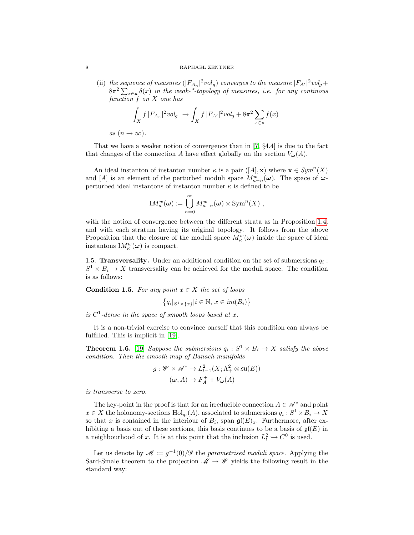### 8 RAPHAEL ZENTNER

(ii) the sequence of measures  $(|F_{A_n}|^2 vol_g)$  converges to the measure  $|F_{A'}|^2 vol_g +$  $8\pi^2\sum_{x\in\mathbf{x}}\delta(x)$  in the weak-\*-topology of measures, i.e. for any continous function f on X one has

$$
\int_X f |F_{A_n}|^2 vol_g \to \int_X f |F_{A'}|^2 vol_g + 8\pi^2 \sum_{x \in \mathbf{x}} f(x)
$$

as  $(n \to \infty)$ .

That we have a weaker notion of convergence than in [\[7,](#page-43-1) §4.4] is due to the fact that changes of the connection A have effect globally on the section  $V_{\omega}(A)$ .

An ideal instanton of instanton number  $\kappa$  is a pair  $([A], \mathbf{x})$  where  $\mathbf{x} \in Sym^n(X)$ and [A] is an element of the perturbed moduli space  $M_{\kappa-n}^w(\omega)$ . The space of  $\omega$ perturbed ideal instantons of instanton number  $\kappa$  is defined to be

$$
IM_{\kappa}^{w}(\omega) := \bigcup_{n=0}^{\infty} M_{\kappa-n}^{w}(\omega) \times \text{Sym}^{n}(X) ,
$$

with the notion of convergence between the different strata as in Proposition [1.4,](#page-6-1) and with each stratum having its original topology. It follows from the above Proposition that the closure of the moduli space  $M_{\kappa}^w(\omega)$  inside the space of ideal instantons  $\mathrm{I}M^w_{\kappa}(\omega)$  is compact.

1.5. Transversality. Under an additional condition on the set of submersions  $q_i$ :  $S^1 \times B_i \to X$  transversality can be achieved for the moduli space. The condition is as follows:

<span id="page-7-0"></span>Condition 1.5. For any point  $x \in X$  the set of loops

$$
\left\{ q_i |_{S^1 \times \{x\}} | i \in \mathbb{N}, \, x \in \text{int}(B_i) \right\}
$$

is  $C^1$ -dense in the space of smooth loops based at x.

It is a non-trivial exercise to convince oneself that this condition can always be fulfilled. This is implicit in [\[19\]](#page-44-12).

<span id="page-7-1"></span>**Theorem 1.6.** [\[19\]](#page-44-12) Suppose the submersions  $q_i : S^1 \times B_i \to X$  satisfy the above condition. Then the smooth map of Banach manifolds

$$
g: \mathscr{W} \times \mathscr{A}^* \to L^2_{l-1}(X; \Lambda^2_+ \otimes \mathfrak{su}(E))
$$

$$
(\omega, A) \mapsto F_A^+ + V_\omega(A)
$$

is transverse to zero.

The key-point in the proof is that for an irreducible connection  $A \in \mathcal{A}^*$  and point  $x \in X$  the holonomy-sections  $\text{Hol}_{q_i}(A)$ , associated to submersions  $q_i: S^1 \times B_i \to X$ so that x is contained in the interiour of  $B_i$ , span  $\mathfrak{gl}(E)_x$ . Furthermore, after exhibiting a basis out of these sections, this basis continues to be a basis of  $\mathfrak{gl}(E)$  in a neighbourhood of x. It is at this point that the inclusion  $L^2_l \hookrightarrow C^0$  is used.

Let us denote by  $\mathscr{M} := g^{-1}(0)/\mathscr{G}$  the parametrised moduli space. Applying the Sard-Smale theorem to the projection  $\mathscr{M} \to \mathscr{W}$  yields the following result in the standard way:

$$
8 \\
$$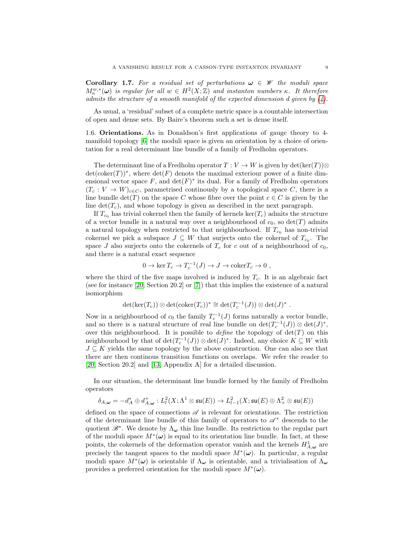<span id="page-8-0"></span>**Corollary 1.7.** For a residual set of perturbations  $\omega \in \mathcal{W}$  the moduli space  $M_{\kappa}^{w,*}(\omega)$  is regular for all  $w \in H^2(X;\mathbb{Z})$  and instanton numbers  $\kappa$ . It therefore admits the structure of a smooth manifold of the expected dimension d given by  $(4)$ .

As usual, a 'residual' subset of a complete metric space is a countable intersection of open and dense sets. By Baire's theorem such a set is dense itself.

<span id="page-8-1"></span>1.6. Orientations. As in Donaldson's first applications of gauge theory to 4 manifold topology [\[6\]](#page-43-3) the moduli space is given an orientation by a choice of orientation for a real determinant line bundle of a family of Fredholm operators.

The determinant line of a Fredholm operator  $T: V \to W$  is given by  $\det(\ker(T))\otimes$  $\det(\mathrm{coker}(T))^*$ , where  $\det(F)$  denots the maximal exteriour power of a finite dimensional vector space  $F$ , and  $\det(F)^*$  its dual. For a family of Fredholm operators  $(T_c : V \to W)_{c \in C}$ , parametrised continuously by a topological space C, there is a line bundle  $\det(T)$  on the space C whose fibre over the point  $c \in C$  is given by the line  $\det(T_c)$ , and whose topology is given as described in the next paragraph.

If  $T_{c_0}$  has trivial cokernel then the family of kernels ker( $T_c$ ) admits the structure of a vector bundle in a natural way over a neighbourhood of  $c_0$ , so  $\det(T)$  admits a natural topology when restricted to that neighbourhood. If  $T_{c_0}$  has non-trivial cokernel we pick a subspace  $J \subseteq W$  that surjects onto the cokernel of  $T_{c_0}$ . The space J also surjects onto the cokernels of  $T_c$  for c out of a neighbourhood of  $c_0$ , and there is a natural exact sequence

$$
0 \to \ker T_c \to T_c^{-1}(J) \to J \to \mathrm{coker} T_c \to 0 ,
$$

where the third of the five maps involved is induced by  $T_c$ . It is an algebraic fact (see for instance [\[20,](#page-44-17) Section 20.2] or [\[7\]](#page-43-1)) that this implies the existence of a natural isomorphism

$$
\det(\ker(T_c)) \otimes \det(\mathrm{coker}(T_c))^* \cong \det(T_c^{-1}(J)) \otimes \det(J)^*.
$$

Now in a neighbourhood of  $c_0$  the family  $T_c^{-1}(J)$  forms naturally a vector bundle, and so there is a natural structure of real line bundle on  $\det(T_c^{-1}(J)) \otimes \det(J)^*$ , over this neighbourhood. It is possible to *define* the topology of  $det(T)$  on this neighbourhood by that of  $\det(T_c^{-1}(J)) \otimes \det(J)^*$ . Indeed, any choice  $K \subseteq W$  with  $J \subseteq K$  yields the same topology by the above construction. One can also see that there are then continous transition functions on overlaps. We refer the reader to [\[20,](#page-44-17) Section 20.2] and [\[13,](#page-44-18) Appendix A] for a detailed discussion.

In our situation, the determinant line bundle formed by the family of Fredholm operators

$$
\delta_{A,\omega} = -d_A^* \oplus d_{A,\omega}^+ : L^2_l(X;\Lambda^1 \otimes \mathfrak{su}(E)) \to L^2_{l-1}(X;\mathfrak{su}(E) \oplus \Lambda^2_+ \otimes \mathfrak{su}(E))
$$

defined on the space of connections  $\mathscr A$  is relevant for orientations. The restriction of the determinant line bundle of this family of operators to  $\mathscr{A}^*$  descends to the quotient  $\mathscr{B}^*$ . We denote by  $\Lambda_{\omega}$  this line bundle. Its restriction to the regular part of the moduli space  $M^*(\omega)$  is equal to its orientation line bundle. In fact, at these points, the cokernels of the deformation operator vanish and the kernels  $H_{A,\omega}^1$  are precisely the tangent spaces to the moduli space  $M^{\ast}(\omega)$ . In particular, a regular moduli space  $M^*(\omega)$  is orientable if  $\Lambda_\omega$  is orientable, and a trivialisation of  $\Lambda_\omega$ provides a preferred orientation for the moduli space  $M^*(\omega)$ .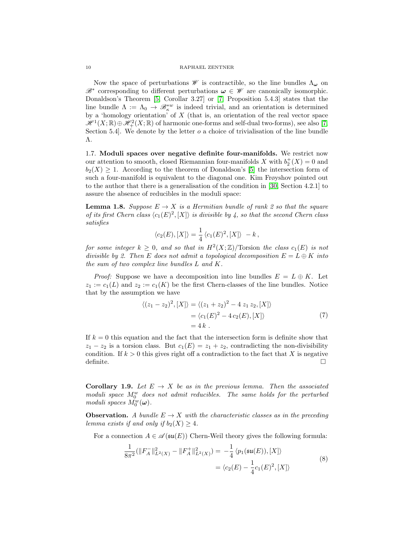Now the space of perturbations  $\mathscr W$  is contractible, so the line bundles  $\Lambda_{\boldsymbol{\omega}}$  on  $\mathscr{B}^*$  corresponding to different perturbations  $\omega \in \mathscr{W}$  are canonically isomorphic. Donaldson's Theorem [\[5,](#page-43-2) Corollar 3.27] or [\[7,](#page-43-1) Proposition 5.4.3] states that the line bundle  $\Lambda := \Lambda_0 \to \mathscr{B}_{\kappa}^{*w}$  is indeed trivial, and an orientation is determined by a 'homology orientation' of  $X$  (that is, an orientation of the real vector space  $\mathscr{H}^1(X;\mathbb{R})\oplus \mathscr{H}^2_+(X;\mathbb{R})$  of harmonic one-forms and self-dual two-forms), see also [\[7,](#page-43-1) Section 5.4. We denote by the letter  $o$  a choice of trivialisation of the line bundle Λ.

<span id="page-9-2"></span>1.7. Moduli spaces over negative definite four-manifolds. We restrict now our attention to smooth, closed Riemannian four-manifolds X with  $b_2^+(X) = 0$  and  $b_2(X) \geq 1$ . According to the theorem of Donaldson's [\[5\]](#page-43-2) the intersection form of such a four-manifold is equivalent to the diagonal one. Kim Frøyshov pointed out to the author that there is a generalisation of the condition in [\[30,](#page-44-0) Section 4.2.1] to assure the absence of reducibles in the moduli space:

<span id="page-9-1"></span>**Lemma 1.8.** Suppose  $E \to X$  is a Hermitian bundle of rank 2 so that the square of its first Chern class  $\langle c_1(E)^2, [X] \rangle$  is divisible by 4, so that the second Chern class satisfies

$$
\langle c_2(E), [X] \rangle = \frac{1}{4} \langle c_1(E)^2, [X] \rangle - k,
$$

for some integer  $k \geq 0$ , and so that in  $H^2(X;\mathbb{Z})$ /Torsion the class  $c_1(E)$  is not divisible by 2. Then E does not admit a topological decomposition  $E = L \oplus K$  into the sum of two complex line bundles L and K.

*Proof:* Suppose we have a decomposition into line bundles  $E = L \oplus K$ . Let  $z_1 := c_1(L)$  and  $z_2 := c_1(K)$  be the first Chern-classes of the line bundles. Notice that by the assumption we have

$$
\langle (z_1 - z_2)^2, [X] \rangle = \langle (z_1 + z_2)^2 - 4 z_1 z_2, [X] \rangle
$$
  
=  $\langle c_1(E)^2 - 4 c_2(E), [X] \rangle$  (7)  
= 4 k.

If  $k = 0$  this equation and the fact that the intersection form is definite show that  $z_1 - z_2$  is a torsion class. But  $c_1(E) = z_1 + z_2$ , contradicting the non-divisibility condition. If  $k > 0$  this gives right off a contradiction to the fact that X is negative definite.

**Corollary 1.9.** Let  $E \rightarrow X$  be as in the previous lemma. Then the associated moduli space  $M_0^w$  does not admit reducibles. The same holds for the perturbed moduli spaces  $M_0^w(\boldsymbol{\omega})$ .

**Observation.** A bundle  $E \to X$  with the characteristic classes as in the preceding lemma exists if and only if  $b_2(X) \geq 4$ .

<span id="page-9-0"></span>For a connection  $A \in \mathscr{A}(\mathfrak{su}(E))$  Chern-Weil theory gives the following formula:

$$
\frac{1}{8\pi^2} (\|F_A^-\|_{L^2(X)}^2 - \|F_A^+\|_{L^2(X)}^2) = -\frac{1}{4} \langle p_1(\mathfrak{su}(E)), [X] \rangle
$$
  
=  $\langle c_2(E) - \frac{1}{4}c_1(E)^2, [X] \rangle$  (8)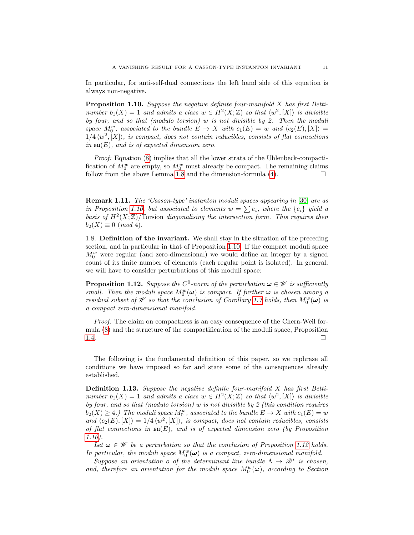In particular, for anti-self-dual connections the left hand side of this equation is always non-negative.

<span id="page-10-0"></span>**Proposition 1.10.** Suppose the negative definite four-manifold  $X$  has first Bettinumber  $b_1(X) = 1$  and admits a class  $w \in H^2(X; \mathbb{Z})$  so that  $\langle w^2, [X] \rangle$  is divisible by four, and so that (modulo torsion) w is not divisible by 2. Then the moduli space  $M_0^w$ , associated to the bundle  $E \to X$  with  $c_1(E) = w$  and  $\langle c_2(E), [X] \rangle =$  $1/4 \langle w^2, [X] \rangle$ , is compact, does not contain reducibles, consists of flat connections in  $\mathfrak{su}(E)$ , and is of expected dimension zero.

Proof: Equation [\(8\)](#page-9-0) implies that all the lower strata of the Uhlenbeck-compactification of  $M_0^w$  are empty, so  $M_0^w$  must already be compact. The remaining claims follow from the above Lemma [1.8](#page-9-1) and the dimension-formula  $(4)$ .

Remark 1.11. The 'Casson-type' instanton moduli spaces appearing in [\[30\]](#page-44-0) are as in Proposition [1.10,](#page-10-0) but associated to elements  $w = \sum e_i$ , where the  $\{e_i\}$  yield a basis of  $H^2(X;\mathbb{Z})$ /Torsion diagonalising the intersection form. This requires then  $b_2(X) \equiv 0 \pmod{4}$ .

<span id="page-10-3"></span>1.8. Definition of the invariant. We shall stay in the situation of the preceding section, and in particular in that of Proposition [1.10.](#page-10-0) If the compact moduli space  $M_0^w$  were regular (and zero-dimensional) we would define an integer by a signed count of its finite number of elements (each regular point is isolated). In general, we will have to consider perturbations of this moduli space:

<span id="page-10-1"></span>**Proposition 1.12.** Suppose the  $C^0$ -norm of the perturbation  $\boldsymbol{\omega} \in \mathcal{W}$  is sufficiently small. Then the moduli space  $M_0^w(\omega)$  is compact. If further  $\omega$  is chosen among a residual subset of  $\mathcal W$  so that the conclusion of Corollary [1.7](#page-8-0) holds, then  $M_0^w(\omega)$  is a compact zero-dimensional manifold.

Proof: The claim on compactness is an easy consequence of the Chern-Weil formula [\(8\)](#page-9-0) and the structure of the compactification of the moduli space, Proposition [1.4.](#page-6-1) <del>□</del>

The following is the fundamental definition of this paper, so we rephrase all conditions we have imposed so far and state some of the consequences already established.

<span id="page-10-2"></span>Definition 1.13. Suppose the negative definite four-manifold X has first Bettinumber  $b_1(X) = 1$  and admits a class  $w \in H^2(X; \mathbb{Z})$  so that  $\langle w^2, [X] \rangle$  is divisible by four, and so that (modulo torsion) w is not divisible by 2 (this condition requires  $b_2(X) \geq 4.$ ) The moduli space  $M_0^w$ , associated to the bundle  $E \to X$  with  $c_1(E) = w$ and  $\langle c_2(E), [X] \rangle = 1/4 \langle w^2, [X] \rangle$ , is compact, does not contain reducibles, consists of flat connections in  $\mathfrak{su}(E)$ , and is of expected dimension zero (by Proposition [1.10\)](#page-10-0).

Let  $\omega \in \mathcal{W}$  be a perturbation so that the conclusion of Proposition [1.12](#page-10-1) holds. In particular, the moduli space  $M_0^w(\omega)$  is a compact, zero-dimensional manifold.

Suppose an orientation o of the determinant line bundle  $\Lambda \to \mathscr{B}^*$  is chosen, and, therefore an orientation for the moduli space  $M_0^w(\omega)$ , according to Section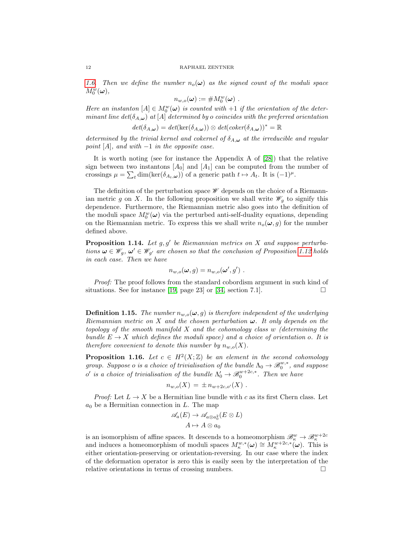[1.6.](#page-8-1) Then we define the number  $n_o(\omega)$  as the signed count of the moduli space  $M^w_0(\boldsymbol{\omega}),$ 

$$
n_{w,o}(\boldsymbol{\omega}) := \# M_0^w(\boldsymbol{\omega}) \ .
$$

Here an instanton  $[A] \in M_0^w(\omega)$  is counted with  $+1$  if the orientation of the determinant line det( $\delta_{A,\omega}$ ) at [A] determined by o coincides with the preferred orientation

$$
det(\delta_{A,\omega}) = det(\ker(\delta_{A,\omega})) \otimes det(coker(\delta_{A,\omega}))^* = \mathbb{R}
$$

determined by the trivial kernel and cokernel of  $\delta_{A,\omega}$  at the irreducible and regular point [A], and with  $-1$  in the opposite case.

It is worth noting (see for instance the Appendix A of [\[28\]](#page-44-19)) that the relative sign between two instantons  $[A_0]$  and  $[A_1]$  can be computed from the number of crossings  $\mu = \sum_{t} \dim(\ker(\delta_{A_t,\omega}))$  of a generic path  $t \mapsto A_t$ . It is  $(-1)^{\mu}$ .

The definition of the perturbation space  $\mathscr W$  depends on the choice of a Riemannian metric g on X. In the following proposition we shall write  $\mathscr{W}_q$  to signify this dependence. Furthermore, the Riemannian metric also goes into the definition of the moduli space  $M_0^w(\omega)$  via the perturbed anti-self-duality equations, depending on the Riemannian metric. To express this we shall write  $n_o(\omega, g)$  for the number defined above.

<span id="page-11-2"></span>**Proposition 1.14.** Let  $g, g'$  be Riemannian metrics on X and suppose perturbations  $\omega \in \mathscr{W}_g$ ,  $\omega' \in \mathscr{W}_{g'}$  are chosen so that the conclusion of Proposition [1.12](#page-10-1) holds in each case. Then we have

$$
n_{w,o}(\boldsymbol{\omega},g)=n_{w,o}(\boldsymbol{\omega}',g') .
$$

Proof: The proof follows from the standard cobordism argument in such kind of situations. See for instance [\[19,](#page-44-12) page 23] or [\[34,](#page-44-20) section 7.1].

<span id="page-11-1"></span>**Definition 1.15.** The number  $n_{w,o}(\omega, g)$  is therefore independent of the underlying Riemannian metric on X and the chosen perturbation  $\omega$ . It only depends on the topology of the smooth manifold  $X$  and the cohomology class w (determining the bundle  $E \to X$  which defines the moduli space) and a choice of orientation o. It is therefore convenient to denote this number by  $n_{w,o}(X)$ .

<span id="page-11-0"></span>**Proposition 1.16.** Let  $c \in H^2(X;\mathbb{Z})$  be an element in the second cohomology group. Suppose o is a choice of trivialisation of the bundle  $\Lambda_0 \to \mathscr{B}_0^{w,*}$ , and suppose o' is a choice of trivialisation of the bundle  $\Lambda'_0 \to \mathscr{B}^{w+2c,*}_0$ . Then we have

$$
n_{w,o}(X) = \pm n_{w+2c,o'}(X) .
$$

*Proof:* Let  $L \to X$  be a Hermitian line bundle with c as its first Chern class. Let  $a_0$  be a Hermitian connection in L. The map

$$
\mathscr{A}_a(E) \to \mathscr{A}_{a \otimes a_0^2}(E \otimes L)
$$
  

$$
A \mapsto A \otimes a_0
$$

is an isomorphism of affine spaces. It descends to a homeomorphism  $\mathscr{B}_{\kappa}^w \to \mathscr{B}_{\kappa}^{w+2c}$ <br>and induces a homeomorphism of moduli spaces  $M_{\kappa}^{w,*}(\omega) \cong M_{\kappa}^{w+2c,*}(\omega)$ . This is either orientation-preserving or orientation-reversing. In our case where the index of the deformation operator is zero this is easily seen by the interpretation of the relative orientations in terms of crossing numbers.  $\Box$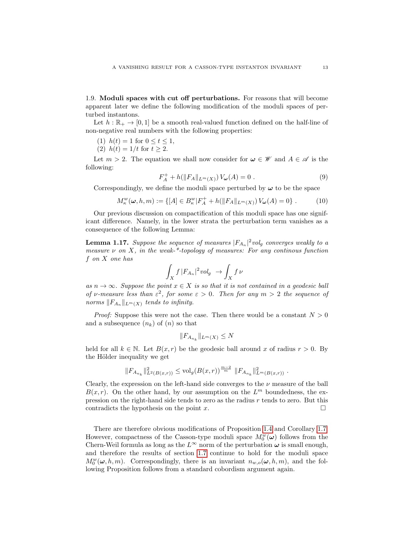<span id="page-12-0"></span>1.9. Moduli spaces with cut off perturbations. For reasons that will become apparent later we define the following modification of the moduli spaces of perturbed instantons.

Let  $h : \mathbb{R}_+ \to [0, 1]$  be a smooth real-valued function defined on the half-line of non-negative real numbers with the following properties:

(1) 
$$
h(t) = 1
$$
 for  $0 \le t \le 1$ ,

(2) 
$$
h(t) = 1/t
$$
 for  $t \ge 2$ .

Let  $m > 2$ . The equation we shall now consider for  $\omega \in \mathscr{W}$  and  $A \in \mathscr{A}$  is the following:

$$
F_A^+ + h(||F_A||_{L^m(X)}) V_{\omega}(A) = 0 . \qquad (9)
$$

Correspondingly, we define the moduli space perturbed by  $\omega$  to be the space

<span id="page-12-2"></span>
$$
M_{\kappa}^w(\omega, h, m) := \{ [A] \in B_{\kappa}^w | F_A^+ + h(||F_A||_{L^m(X)}) V_{\omega}(A) = 0 \} . \tag{10}
$$

Our previous discussion on compactification of this moduli space has one significant difference. Namely, in the lower strata the perturbation term vanishes as a consequence of the following Lemma:

<span id="page-12-1"></span>**Lemma 1.17.** Suppose the sequence of measures  $|F_{A_n}|^2 vol_g$  converges weakly to a measure  $\nu$  on X, in the weak-\*-topology of measures: For any continous function f on X one has

$$
\int_X f |F_{A_n}|^2 vol_g \rightarrow \int_X f \nu
$$

as  $n \to \infty$ . Suppose the point  $x \in X$  is so that it is not contained in a geodesic ball of v-measure less than  $\varepsilon^2$ , for some  $\varepsilon > 0$ . Then for any  $m > 2$  the sequence of norms  $||F_{A_n}||_{L^m(X)}$  tends to infinity.

*Proof:* Suppose this were not the case. Then there would be a constant  $N > 0$ and a subsequence  $(n_k)$  of  $(n)$  so that

$$
||F_{A_{n_k}}||_{L^m(X)} \leq N
$$

held for all  $k \in \mathbb{N}$ . Let  $B(x, r)$  be the geodesic ball around x of radius  $r > 0$ . By the Hölder inequality we get

$$
||F_{A_{n_k}}||_{L^2(B(x,r))}^2 \leq \text{vol}_g(B(x,r))^{\frac{m-2}{m}} ||F_{A_{n_k}}||_{L^m(B(x,r))}^2.
$$

Clearly, the expression on the left-hand side converges to the  $\nu$  measure of the ball  $B(x, r)$ . On the other hand, by our assumption on the  $L<sup>m</sup>$  boundedness, the expression on the right-hand side tends to zero as the radius  $r$  tends to zero. But this contradicts the hypothesis on the point x.  $\square$ 

There are therefore obvious modifications of Proposition [1.4](#page-6-1) and Corollary [1.7.](#page-8-0) However, compactness of the Casson-type moduli space  $M_0^w(\boldsymbol{\omega})$  follows from the Chern-Weil formula as long as the  $L^{\infty}$  norm of the perturbation  $\omega$  is small enough, and therefore the results of section [1.7](#page-9-2) continue to hold for the moduli space  $M_0^w(\omega, h, m)$ . Correspondingly, there is an invariant  $n_{w,o}(\omega, h, m)$ , and the following Proposition follows from a standard cobordism argument again.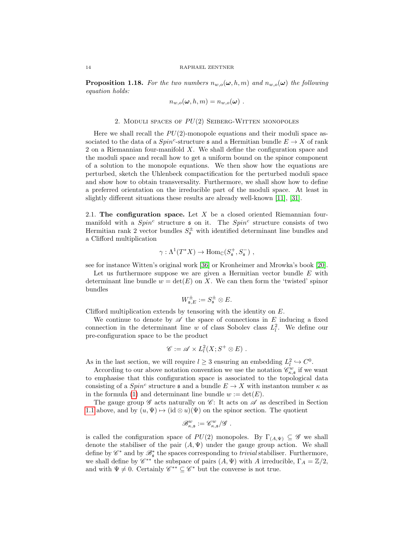**Proposition 1.18.** For the two numbers  $n_{w,o}(\omega, h, m)$  and  $n_{w,o}(\omega)$  the following equation holds:

$$
n_{w,o}(\boldsymbol{\omega},h,m)=n_{w,o}(\boldsymbol{\omega})\ .
$$

## 2. MODULI SPACES OF  $PU(2)$  SEIBERG-WITTEN MONOPOLES

Here we shall recall the  $PU(2)$ -monopole equations and their moduli space associated to the data of a  $Spin^c$ -structure **s** and a Hermitian bundle  $E \to X$  of rank 2 on a Riemannian four-manifold X. We shall define the configuration space and the moduli space and recall how to get a uniform bound on the spinor component of a solution to the monopole equations. We then show how the equations are perturbed, sketch the Uhlenbeck compactification for the perturbed moduli space and show how to obtain transversality. Furthermore, we shall show how to define a preferred orientation on the irreducible part of the moduli space. At least in slightly different situations these results are already well-known [\[11\]](#page-44-8), [\[31\]](#page-44-13).

2.1. The configuration space. Let  $X$  be a closed oriented Riemannian fourmanifold with a  $Spin<sup>c</sup>$  structure  $\epsilon$  on it. The  $Spin<sup>c</sup>$  structure consists of two Hermitian rank 2 vector bundles  $S_{\mathfrak{s}}^{\pm}$  with identified determinant line bundles and a Clifford multiplication

$$
\gamma: \Lambda^1(T^*X) \to \text{Hom}_{\mathbb{C}}(S^+_{\mathfrak{s}}, S^-_{\mathfrak{s}}) ,
$$

see for instance Witten's original work [\[36\]](#page-44-21) or Kronheimer and Mrowka's book [\[20\]](#page-44-17).

Let us furthermore suppose we are given a Hermitian vector bundle  $E$  with determinant line bundle  $w = \det(E)$  on X. We can then form the 'twisted' spinor bundles

$$
W_{\mathfrak{s},E}^{\pm}:=S_{\mathfrak{s}}^{\pm}\otimes E.
$$

Clifford multiplication extends by tensoring with the identity on E.

We continue to denote by  $\mathscr A$  the space of connections in E inducing a fixed connection in the determinant line w of class Sobolev class  $L_l^2$ . We define our pre-configuration space to be the product

$$
\mathscr{C} := \mathscr{A} \times L^2_l(X; S^+ \otimes E) .
$$

As in the last section, we will require  $l \geq 3$  ensuring an embedding  $L_l^2 \hookrightarrow C^0$ .

According to our above notation convention we use the notation  $\mathscr{C}_{\kappa,\mathfrak{s}}^w$  if we want to emphasise that this configuration space is associated to the topological data consisting of a  $Spin^c$  structure s and a bundle  $E \to X$  with instanton number  $\kappa$  as in the formula [\(1\)](#page-3-1) and determinant line bundle  $w := det(E)$ .

The gauge group  $\mathscr G$  acts naturally on  $\mathscr C$ : It acts on  $\mathscr A$  as described in Section [1.1](#page-2-0) above, and by  $(u, \Psi) \mapsto (\mathrm{id} \otimes u)(\Psi)$  on the spinor section. The quotient

$$
\mathscr B^w_{\kappa, \mathfrak s} := \mathscr C^w_{\kappa, \mathfrak s}/\mathscr G \ .
$$

is called the configuration space of  $PU(2)$  monopoles. By  $\Gamma_{(A,\Psi)} \subseteq \mathscr{G}$  we shall denote the stabiliser of the pair  $(A, \Psi)$  under the gauge group action. We shall define by  $\mathscr{C}^*$  and by  $\mathscr{B}^*_{\mathfrak{s}}$  the spaces corresponding to *trivial* stabiliser. Furthermore, we shall define by  $\mathscr{C}^{**}$  the subspace of pairs  $(A, \Psi)$  with A irreducible,  $\Gamma_A = \mathbb{Z}/2$ , and with  $\Psi \neq 0$ . Certainly  $\mathscr{C}^{**} \subseteq \mathscr{C}^*$  but the converse is not true.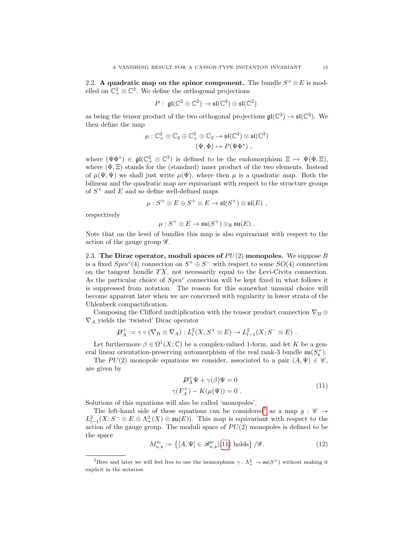2.2. A quadratic map on the spinor component. The bundle  $S^+ \otimes E$  is modelled on  $\mathbb{C}^2_+ \otimes \mathbb{C}^2$ . We define the orthogonal projections

$$
P: \ \mathfrak{gl}(\mathbb{C}^2 \otimes \mathbb{C}^2) \to \mathfrak{sl}(\mathbb{C}^2) \otimes \mathfrak{sl}(\mathbb{C}^2)
$$

as being the tensor product of the two orthogonal projections  $\mathfrak{gl}(\mathbb{C}^2) \to \mathfrak{sl}(\mathbb{C}^2)$ . We then define the map

$$
\mu: \mathbb{C}^2_+ \otimes \mathbb{C}_2 \oplus \mathbb{C}^2_+ \otimes \mathbb{C}_2 \to \mathfrak{sl}(\mathbb{C}^2) \otimes \mathfrak{sl}(\mathbb{C}^2)
$$

$$
(\Psi, \Phi) \mapsto P(\Psi \Phi^*) ,
$$

where  $(\Psi \Phi^*) \in \mathfrak{gl}(\mathbb{C}_+^2 \otimes \mathbb{C}^2)$  is defined to be the endomorphism  $\Xi \mapsto \Psi(\Phi, \Xi)$ , where  $(\Phi, \Xi)$  stands for the (standard) inner product of the two elements. Instead of  $\mu(\Psi, \Psi)$  we shall just write  $\mu(\Psi)$ , where then  $\mu$  is a quadratic map. Both the bilinear and the quadratic map are equivariant with respect to the structure groups of  $S^+$  and  $E$  and so define well-defined maps

$$
\mu: S^+ \otimes E \oplus S^+ \otimes E \to \mathfrak{sl}(S^+) \otimes \mathfrak{sl}(E) ,
$$

respectively

$$
\mu: S^+ \otimes E \to \mathfrak{su}(S^+) \otimes_{\mathbb{R}} \mathfrak{su}(E) \,\, .
$$

Note that on the level of bundles this map is also equivariant with respect to the action of the gauge group  $\mathscr{G}$ .

<span id="page-14-2"></span>2.3. The Dirac operator, moduli spaces of  $PU(2)$  monopoles. We suppose B is a fixed  $Spin<sup>c</sup>(4)$  connection on  $S^+ \oplus S^-$  with respect to some  $SO(4)$  connection on the tangent bundle  $TX$ , not necessarily equal to the Levi-Civita connection. As the particular choice of  $Spin^c$  connection will be kept fixed in what follows it is suppressed from notation. The reason for this somewhat unusual choice will become apparent later when we are concerned with regularity in lower strata of the Uhlenbeck compactification.

Composing the Clifford multiplication with the tensor product connection  $\nabla_B \otimes$  $\nabla_A$  yields the 'twisted' Dirac operator

$$
\mathcal{D}_A^+ := \gamma \circ (\nabla_B \otimes \nabla_A) : L^2_l(X; S^+ \otimes E) \to L^2_{l-1}(X; S^- \otimes E) .
$$

Let furthermore  $\beta \in \Omega^1(X; \mathbb{C})$  be a complex-valued 1-form, and let K be a general linear orientation-preserving automorphism of the real rank-3 bundle  $\mathfrak{su}(S_5^+)$ .

The  $PU(2)$  monopole equations we consider, associated to a pair  $(A, \Psi) \in \mathscr{C}$ , are given by

$$
\mathcal{D}_A^+ \Psi + \gamma(\beta) \Psi = 0
$$
  

$$
\gamma(F_A^+) - K(\mu(\Psi)) = 0.
$$
 (11)

<span id="page-14-1"></span>Solutions of this equations will also be called 'monopoles'.

The left-hand side of these equations can be considered<sup>[1](#page-14-0)</sup> as a map  $g: \mathscr{C} \to$  $L^2_{l-1}(X; S^- \otimes E \oplus \Lambda^2_+(X) \otimes \mathfrak{su}(E)).$  This map is equivariant with respect to the action of the gauge group. The moduli space of  $PU(2)$  monopoles is defined to be the space

$$
M_{\kappa,\mathfrak{s}}^w := \left\{ [A,\Psi] \in \mathscr{B}_{\kappa,\mathfrak{s}}^w | (11) \text{ holds} \right\} / \mathscr{G}. \tag{12}
$$

<span id="page-14-0"></span><sup>&</sup>lt;sup>1</sup>Here and later we will feel free to use the isomorphism  $\gamma : \Lambda^2_+ \to \mathfrak{su}(S^+)$  without making it explicit in the notation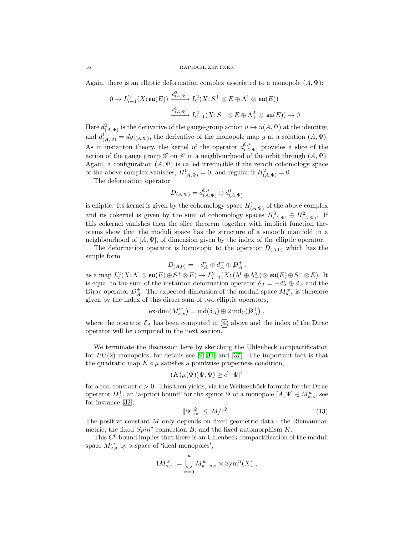Again, there is an elliptic deformation complex associated to a monopole  $(A, \Psi)$ :

$$
0 \to L^2_{l+1}(X;\mathfrak{su}(E)) \xrightarrow{d^0_{(A,\Psi)}} L^2_l(X;S^+ \otimes E \oplus \Lambda^1 \otimes \mathfrak{su}(E))
$$
  

$$
\xrightarrow{d^1_{(A,\Psi)}} L^2_{l-1}(X;S^- \otimes E \oplus \Lambda^2_+ \otimes \mathfrak{su}(E)) \to 0.
$$

Here  $d^0_{(A,\Psi)}$  is the derivative of the gauge-group action  $u \mapsto u(A,\Psi)$  at the identitiy, and  $d^1_{(A,\Psi)} = dg|_{(A,\Psi)}$ , the derivative of the monopole map g at a solution  $(A,\Psi)$ . As in instanton theory, the kernel of the operator  $d_{(A,\Psi)}^{0,*}$  provides a slice of the action of the gauge group  $\mathscr G$  on  $\mathscr C$  in a neighbourhood of the orbit through  $(A, \Psi)$ . Again, a configuration  $(A, \Psi)$  is called irreducible if the zeroth cohomology space of the above complex vanishes,  $H_{(A,\Psi)}^0 = 0$ , and regular if  $H_{(A,\Psi)}^2 = 0$ .

The deformation operator

$$
D_{(A,\Psi)} = d_{(A,\Psi)}^{0,*} \oplus d_{(A,\Psi)}^1
$$

is elliptic. Its kernel is given by the cohomology space  $H^1_{(A,\Psi)}$  of the above complex and its cokernel is given by the sum of cohomology spaces  $H^0_{(A,\Psi)} \oplus H^2_{(A,\Psi)}$ . If this cokernel vanishes then the slice theorem together with implicit function theorems show that the moduli space has the structure of a smooth manifold in a neighbourhood of  $[A, \Psi]$ , of dimension given by the index of the elliptic operator.

The deformation operator is homotopic to the operator  $D_{(A,0)}$  which has the simple form

$$
D_{(A,0)} = -d_A^* \oplus d_A^+ \oplus \mathcal{D}_A^+,
$$

as a map  $L^2_l(X; \Lambda^1 \otimes \mathfrak{su}(E) \oplus S^+ \otimes E) \to L^2_{l-1}(X; (\Lambda^0 \oplus \Lambda^2_+) \otimes \mathfrak{su}(E) \oplus S^- \otimes E)$ . It is equal to the sum of the instanton deformation operator  $\delta_A = -d_A^* \oplus d_A$  and the Dirac operator  $\mathcal{D}_{A}^{+}$ . The expected dimension of the moduli space  $M_{\kappa,s}^{w}$  is therefore given by the index of this direct sum of two elliptic operators,

$$
\mathrm{ex\text{-}dim}(M_{\kappa,\mathfrak{s}}^w)=\mathrm{ind}(\delta_A)\oplus 2\,\mathrm{ind}_{\mathbb{C}}(\mathcal{P}_A^+)\ ,
$$

where the operator  $\delta_A$  has been computed in [\(4\)](#page-4-0) above and the index of the Dirac operator will be computed in the next section.

We terminate the discussion here by sketching the Uhlenbeck compactification for  $PU(2)$  monopoles, for details see [\[9,](#page-44-6) [31\]](#page-44-13) and [\[37\]](#page-44-22). The important fact is that the quadratic map  $K \circ \mu$  satisfies a pointwise properness condition,

$$
(K(\mu(\Psi))\Psi, \Psi) \ge c^2 |\Psi|^4
$$

for a real constant  $c > 0$ . This then yields, via the Weitzenböck formula for the Dirac operator  $D^+_A$ , an 'a-priori bound' for the spinor  $\Psi$  of a monopole  $[A, \Psi] \in M^w_{\kappa, \mathfrak{s}}$ , see for instance [\[32\]](#page-44-10):

<span id="page-15-0"></span>
$$
\|\Psi\|_{\infty}^2 \le M/c^2 \ . \tag{13}
$$

The positive constant M only depends on fixed geometric data - the Riemannian metric, the fixed  $Spin<sup>c</sup>$  connection B, and the fixed automorphism  $K$ .

This  $C<sup>0</sup>$  bound implies that there is an Uhlenbeck compactification of the moduli space  $M_{\kappa, \mathfrak{s}}^w$  by a space of 'ideal monopoles',

$$
\mathrm{I}M_{\kappa,\mathfrak{s}}^w := \bigcup_{n=0}^\infty M_{\kappa-n,\mathfrak{s}}^w \times \mathrm{Sym}^n(X) ,
$$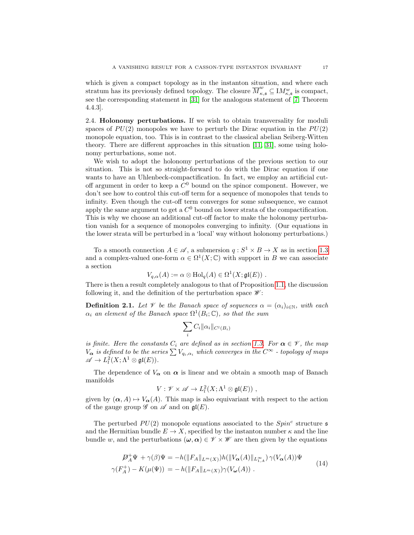which is given a compact topology as in the instanton situation, and where each stratum has its previously defined topology. The closure  $\overline{M}_{\kappa,\mathfrak{s}}^w \subseteq M_{\kappa,\mathfrak{s}}^w$  is compact, see the corresponding statement in [\[31\]](#page-44-13) for the analogous statement of [\[7,](#page-43-1) Theorem 4.4.3].

2.4. Holonomy perturbations. If we wish to obtain transversality for moduli spaces of  $PU(2)$  monopoles we have to perturb the Dirac equation in the  $PU(2)$ monopole equation, too. This is in contrast to the classical abelian Seiberg-Witten theory. There are different approaches in this situation [\[11,](#page-44-8) [31\]](#page-44-13), some using holonomy perturbations, some not.

We wish to adopt the holonomy perturbations of the previous section to our situation. This is not so straight-forward to do with the Dirac equation if one wants to have an Uhlenbeck-compactification. In fact, we employ an artificial cutoff argument in order to keep a  $C^0$  bound on the spinor component. However, we don't see how to control this cut-off term for a sequence of monopoles that tends to infinity. Even though the cut-off term converges for some subsequence, we cannot apply the same argument to get a  $C<sup>0</sup>$  bound on lower strata of the compactification. This is why we choose an additional cut-off factor to make the holonomy perturbation vanish for a sequence of monopoles converging to infinity. (Our equations in the lower strata will be perturbed in a 'local' way without holonomy perturbations.)

To a smooth connection  $A \in \mathscr{A}$ , a submersion  $q : S^1 \times B \to X$  as in section [1.3](#page-4-1) and a complex-valued one-form  $\alpha \in \Omega^1(X; \mathbb{C})$  with support in B we can associate a section

$$
V_{q,\alpha}(A) := \alpha \otimes \text{Hol}_q(A) \in \Omega^1(X; \mathfrak{gl}(E)) .
$$

There is then a result completely analogous to that of Proposition [1.1,](#page-5-0) the discussion following it, and the definition of the perturbation space  $\mathscr{W}$ :

**Definition 2.1.** Let  $\mathcal V$  be the Banach space of sequences  $\alpha = (\alpha_i)_{i \in \mathbb N}$ , with each  $\alpha_i$  an element of the Banach space  $\Omega^1(B_i;\mathbb{C})$ , so that the sum

$$
\sum_i C_i \|\alpha_i\|_{C^l(B_i)}
$$

is finite. Here the constants  $C_i$  are defined as in section [1.3.](#page-4-1) For  $\alpha \in \mathcal{V}$ , the map  $V_{\alpha}$  is defined to be the series  $\sum V_{q_i,\alpha_i}$  which converges in the  $C^{\infty}$  - topology of maps  $\mathscr{A} \to L^2_l(X;\Lambda^1 \otimes \mathfrak{gl}(E)).$ 

The dependence of  $V_{\alpha}$  on  $\alpha$  is linear and we obtain a smooth map of Banach manifolds

$$
V: \mathscr{V} \times \mathscr{A} \to L^2_l(X; \Lambda^1 \otimes \mathfrak{gl}(E)) ,
$$

given by  $(\alpha, A) \mapsto V_{\alpha}(A)$ . This map is also equivariant with respect to the action of the gauge group  $\mathscr G$  on  $\mathscr A$  and on  $\mathfrak{gl}(E)$ .

The perturbed  $PU(2)$  monopole equations associated to the  $Spin<sup>c</sup>$  structure  $\mathfrak s$ and the Hermitian bundle  $E \to X$ , specified by the instanton number  $\kappa$  and the line bundle w, and the perturbations  $(\omega, \alpha) \in \mathcal{V} \times \mathcal{W}$  are then given by the equations

<span id="page-16-0"></span>
$$
\mathcal{D}_A^+ \Psi + \gamma(\beta) \Psi = -h(||F_A||_{L^m(X)})h(||V_\alpha(A)||_{L^\infty_{1,A}}) \gamma(V_\alpha(A)) \Psi
$$
  

$$
\gamma(F_A^+) - K(\mu(\Psi)) = -h(||F_A||_{L^m(X)}) \gamma(V_\omega(A)) .
$$
 (14)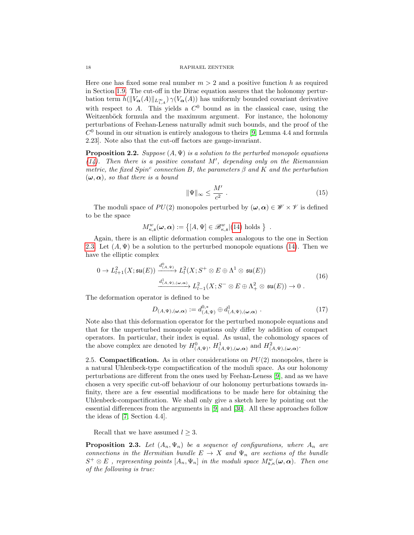Here one has fixed some real number  $m > 2$  and a positive function h as required in Section [1.9.](#page-12-0) The cut-off in the Dirac equation assures that the holonomy perturbation term  $h(||V_{\alpha}(A)||_{L^{\infty}_{1,A}}) \gamma(V_{\alpha}(A))$  has uniformly bounded covariant derivative with respect to A. This yields a  $C^0$  bound as in the classical case, using the Weitzenböck formula and the maximum argument. For instance, the holonomy perturbations of Feehan-Leness naturally admit such bounds, and the proof of the  $C<sup>0</sup>$  bound in our situation is entirely analogous to theirs [\[9,](#page-44-6) Lemma 4.4 and formula 2.23]. Note also that the cut-off factors are gauge-invariant.

**Proposition 2.2.** Suppose  $(A, \Psi)$  is a solution to the perturbed monopole equations  $(14)$ . Then there is a positive constant M', depending only on the Riemannian metric, the fixed  $Spin^c$  connection B, the parameters  $\beta$  and K and the perturbation  $(\boldsymbol{\omega}, \boldsymbol{\alpha})$ , so that there is a bound

<span id="page-17-1"></span>
$$
\|\Psi\|_{\infty} \le \frac{M'}{c^2} \tag{15}
$$

The moduli space of  $PU(2)$  monopoles perturbed by  $(\omega, \alpha) \in \mathcal{W} \times \mathcal{V}$  is defined to be the space

$$
M_{\kappa,\mathfrak{s}}^w(\boldsymbol{\omega},\boldsymbol{\alpha}) := \{ [A,\Psi] \in \mathscr{B}_{\kappa,\mathfrak{s}}^w | (14) \text{ holds } \} .
$$

Again, there is an elliptic deformation complex analogous to the one in Section [2.3.](#page-14-2) Let  $(A, \Psi)$  be a solution to the perturbed monopole equations [\(14\)](#page-16-0). Then we have the elliptic complex

<span id="page-17-2"></span>
$$
0 \to L_{l+1}^2(X; \mathfrak{su}(E)) \xrightarrow{d^0_{(A,\Psi)}} L_l^2(X; S^+ \otimes E \oplus \Lambda^1 \otimes \mathfrak{su}(E))
$$
  

$$
\xrightarrow{d^1_{(A,\Psi), (\omega,\alpha)}} L_{l-1}^2(X; S^- \otimes E \oplus \Lambda^2_+ \otimes \mathfrak{su}(E)) \to 0.
$$
 (16)

The deformation operator is defined to be

$$
D_{(A,\Psi),(\boldsymbol{\omega},\boldsymbol{\alpha})} := d_{(A,\Psi)}^{0,*} \oplus d_{(A,\Psi),(\boldsymbol{\omega},\boldsymbol{\alpha})}^{1} .
$$
 (17)

Note also that this deformation operator for the perturbed monopole equations and that for the unperturbed monopole equations only differ by addition of compact operators. In particular, their index is equal. As usual, the cohomology spaces of the above complex are denoted by  $H^0_{(A,\Psi)}$ ,  $H^1_{(A,\Psi),(\omega,\alpha)}$  and  $H^2_{(A,\Psi),(\omega,\alpha)}$ .

<span id="page-17-3"></span>2.5. **Compactification.** As in other considerations on  $PU(2)$  monopoles, there is a natural Uhlenbeck-type compactification of the moduli space. As our holonomy perturbations are different from the ones used by Feehan-Leness [\[9\]](#page-44-6), and as we have chosen a very specific cut-off behaviour of our holonomy perturbations towards infinity, there are a few essential modifications to be made here for obtaining the Uhlenbeck-compactification. We shall only give a sketch here by pointing out the essential differences from the arguments in [\[9\]](#page-44-6) and [\[30\]](#page-44-0). All these approaches follow the ideas of [\[7,](#page-43-1) Section 4.4].

Recall that we have assumed  $l \geq 3$ .

<span id="page-17-0"></span>**Proposition 2.3.** Let  $(A_n, \Psi_n)$  be a sequence of configurations, where  $A_n$  are connections in the Hermitian bundle  $E \to X$  and  $\Psi_n$  are sections of the bundle  $S^+\otimes E$  , representing points  $[A_n, \Psi_n]$  in the moduli space  $M^w_{\mathfrak{s},\kappa}(\boldsymbol{\omega},\boldsymbol{\alpha})$ . Then one of the following is true: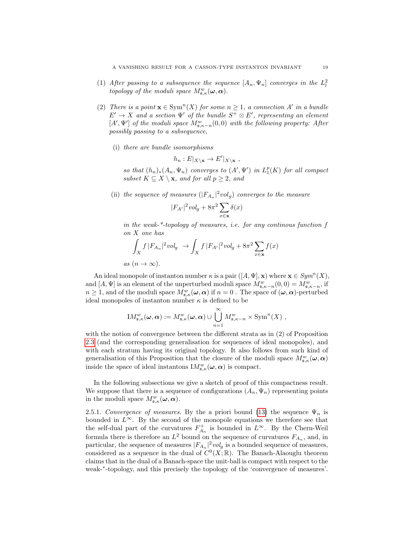- (1) After passing to a subsequence the sequence  $[A_n, \Psi_n]$  converges in the  $L^2_l$ topology of the moduli space  $M_{\mathfrak{s},\kappa}^w(\boldsymbol{\omega},\boldsymbol{\alpha})$ .
- (2) There is a point  $\mathbf{x} \in \text{Sym}^n(X)$  for some  $n \geq 1$ , a connection A' in a bundle  $E' \to X$  and a section  $\Psi'$  of the bundle  $S^+ \otimes E'$ , representing an element [ $A', \Psi'$ ] of the moduli space  $M^w_{\mathfrak{s}, \kappa - n}(0,0)$  with the following property: After possibly passing to a subsequence,
	- (i) there are bundle isomorphisms

$$
h_n: E|_{X \setminus \mathbf{x}} \to E'|_{X \setminus \mathbf{x}},
$$

so that  $(h_n)_*(A_n, \Psi_n)$  converges to  $(A', \Psi')$  in  $L_1^p(K)$  for all compact subset  $K \subseteq X \setminus \mathbf{x}$ , and for all  $p \geq 2$ , and

(ii) the sequence of measures  $(|F_{A_n}|^2 vol_g)$  converges to the measure

$$
|F_{A'}|^2 vol_g + 8\pi^2 \sum_{x \in \mathbf{x}} \delta(x)
$$

in the weak-\*-topology of measures, i.e. for any continous function f on X one has

$$
\int_X f |F_{A_n}|^2 vol_g \to \int_X f |F_{A'}|^2 vol_g + 8\pi^2 \sum_{x \in \mathbf{x}} f(x)
$$
  
as  $(n \to \infty)$ .

An ideal monopole of instanton number  $\kappa$  is a pair  $([A, \Psi], \mathbf{x})$  where  $\mathbf{x} \in Sym^n(X)$ , and  $[A, \Psi]$  is an element of the unperturbed moduli space  $M_{\mathfrak{s},\kappa-n}^w(0,0) = M_{\mathfrak{s},\kappa-n}^w$ , if  $n \geq 1$ , and of the moduli space  $M_{\mathfrak{s},\kappa}^w(\omega,\alpha)$  if  $n = 0$ . The space of  $(\omega,\alpha)$ -perturbed ideal monopoles of instanton number  $\kappa$  is defined to be

$$
IM_{\mathfrak{s},\kappa}^w(\boldsymbol{\omega},\boldsymbol{\alpha}) := M_{\mathfrak{s},\kappa}^w(\boldsymbol{\omega},\boldsymbol{\alpha}) \cup \bigcup_{n=1}^{\infty} M_{\mathfrak{s},\kappa-n}^w \times \text{Sym}^n(X) ,
$$

with the notion of convergence between the different strata as in (2) of Proposition [2.3](#page-17-0) (and the corresponding generalisation for sequences of ideal monopoles), and with each stratum having its original topology. It also follows from such kind of generalisation of this Proposition that the closure of the moduli space  $M^w_{\mathfrak{s},\kappa}(\boldsymbol{\omega},\boldsymbol{\alpha})$ inside the space of ideal instantons  $\mathrm{I}M^w_{\mathfrak{s},\kappa}(\boldsymbol{\omega},\boldsymbol{\alpha})$  is compact.

In the following subsections we give a sketch of proof of this compactness result. We suppose that there is a sequence of configurations  $(A_n, \Psi_n)$  representing points in the moduli space  $M^w_{\mathfrak{s},\kappa}(\boldsymbol{\omega},\boldsymbol{\alpha})$ .

2.5.1. Convergence of measures. By the a priori bound [\(13\)](#page-15-0) the sequence  $\Psi_n$  is bounded in  $L^{\infty}$ . By the second of the monopole equations we therefore see that the self-dual part of the curvatures  $F_{A_n}^+$  is bounded in  $L^{\infty}$ . By the Chern-Weil formula there is therefore an  $L^2$  bound on the sequence of curvatures  $F_{A_n}$ , and, in particular, the sequence of measures  $|F_{A_n}|^2 vol_g$  is a bounded sequence of measures, considered as a sequence in the dual of  $C<sup>0</sup>(X;\mathbb{R})$ . The Banach-Alaouglu theorem claims that in the dual of a Banach-space the unit-ball is compact with respect to the weak-<sup>∗</sup>-topology, and this precisely the topology of the 'convergence of measures'.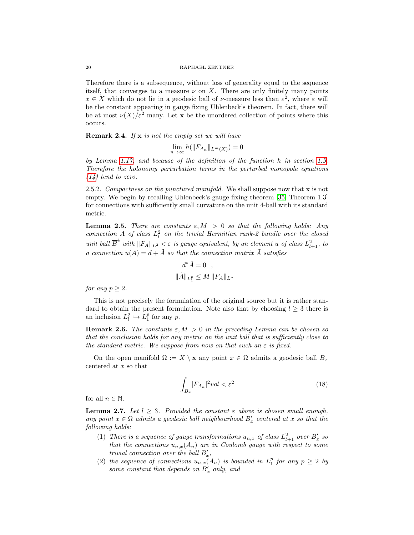Therefore there is a subsequence, without loss of generality equal to the sequence itself, that converges to a measure  $\nu$  on X. There are only finitely many points  $x \in X$  which do not lie in a geodesic ball of  $\nu$ -measure less than  $\varepsilon^2$ , where  $\varepsilon$  will be the constant appearing in gauge fixing Uhlenbeck's theorem. In fact, there will be at most  $\nu(X)/\varepsilon^2$  many. Let **x** be the unordered collection of points where this occurs.

**Remark 2.4.** If  $x$  is not the empty set we will have

$$
\lim_{n \to \infty} h(||F_{A_n}||_{L^m(X)}) = 0
$$

by Lemma [1.17,](#page-12-1) and because of the definition of the function h in section [1.9.](#page-12-0) Therefore the holonomy perturbation terms in the perturbed monopole equations  $(14)$  tend to zero.

2.5.2. Compactness on the punctured manifold. We shall suppose now that  $x$  is not empty. We begin by recalling Uhlenbeck's gauge fixing theorem [\[35,](#page-44-23) Theorem 1.3] for connections with sufficiently small curvature on the unit 4-ball with its standard metric.

<span id="page-19-0"></span>**Lemma 2.5.** There are constants  $\varepsilon, M > 0$  so that the following holds: Any connection A of class  $L<sub>l</sub><sup>2</sup>$  on the trivial Hermitian rank-2 bundle over the closed unit ball  $\overline{B}^4$  with  $||F_A||_{L^2} < \varepsilon$  is gauge equivalent, by an element u of class  $L^2_{l+1}$ , to a connection  $u(A) = d + \tilde{A}$  so that the connection matrix  $\tilde{A}$  satisfies

$$
d^*\tilde{A} = 0 ,
$$
  

$$
\|\tilde{A}\|_{L_1^p} \le M \, \|F_A\|_{L^p}
$$

for any  $p \geq 2$ .

This is not precisely the formulation of the original source but it is rather standard to obtain the present formulation. Note also that by choosing  $l \geq 3$  there is an inclusion  $L_l^2 \hookrightarrow L_1^p$  for any p.

**Remark 2.6.** The constants  $\varepsilon, M > 0$  in the preceding Lemma can be chosen so that the conclusion holds for any metric on the unit ball that is sufficiently close to the standard metric. We suppose from now on that such an  $\varepsilon$  is fixed.

On the open manifold  $\Omega := X \setminus \mathbf{x}$  any point  $x \in \Omega$  admits a geodesic ball  $B_x$ centered at x so that

<span id="page-19-1"></span>
$$
\int_{B_x} |F_{A_n}|^2 vol < \varepsilon^2 \tag{18}
$$

for all  $n \in \mathbb{N}$ .

<span id="page-19-2"></span>**Lemma 2.7.** Let  $l \geq 3$ . Provided the constant  $\varepsilon$  above is chosen small enough, any point  $x \in \Omega$  admits a geodesic ball neighbourhood  $B'_x$  centered at x so that the following holds:

- (1) There is a sequence of gauge transformations  $u_{n,x}$  of class  $L^2_{l+1}$  over  $B'_x$  so that the connections  $u_{n,x}(A_n)$  are in Coulomb gauge with respect to some trivial connection over the ball  $B'_x$ ,
- (2) the sequence of connections  $u_{n,x}(A_n)$  is bounded in  $L_1^p$  for any  $p \geq 2$  by some constant that depends on  $B'_x$  only, and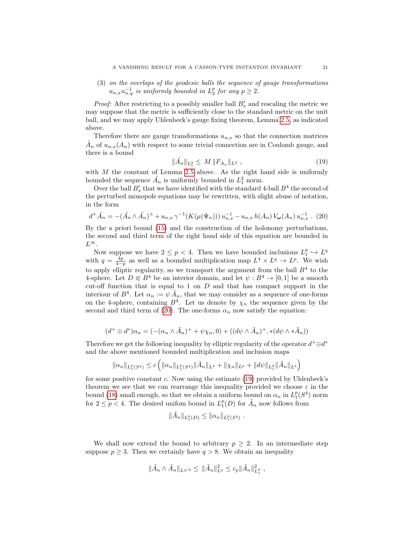(3) on the overlaps of the geodesic balls the sequence of gauge transformations  $u_{n,x}u_{n,y}^{-1}$  is uniformly bounded in  $L_2^p$  for any  $p \geq 2$ .

*Proof:* After restricting to a possibly smaller ball  $B'_x$  and rescaling the metric we may suppose that the metric is sufficiently close to the standard metric on the unit ball, and we may apply Uhlenbeck's gauge fixing theorem, Lemma [2.5,](#page-19-0) as indicated above.

Therefore there are gauge transformations  $u_{n,x}$  so that the connection matrices  $\tilde{A}_n$  of  $u_{n,x}(A_n)$  with respect to some trivial connection are in Coulomb gauge, and there is a bound

<span id="page-20-1"></span>
$$
\|\tilde{A}_n\|_{L_1^2} \le M \, \|F_{A_n}\|_{L^2} \,, \tag{19}
$$

with  $M$  the constant of Lemma [2.5](#page-19-0) above. As the right hand side is uniformly bounded the sequence  $\tilde{A}_n$  is uniformly bounded in  $L_1^2$  norm.

Over the ball  $B'_x$  that we have identified with the standard 4-ball  $B^4$  the second of the perturbed monopole equations may be rewritten, with slight abuse of notation, in the form

<span id="page-20-0"></span>
$$
d^+\tilde{A}_n = -(\tilde{A}_n \wedge \tilde{A}_n)^+ + u_{n,x} \gamma^{-1}(K(\mu(\Psi_n))) u_{n,x}^{-1} - u_{n,x} h(A_n) V_{\omega}(A_n) u_{n,x}^{-1} . (20)
$$

By the a priori bound [\(15\)](#page-17-1) and the construction of the holonomy perturbations, the second and third term of the right hand side of this equation are bounded in  $L^{\infty}$ .

Now suppose we have  $2 \le p < 4$ . Then we have bounded inclusions  $L_1^p \hookrightarrow L^q$ with  $q = \frac{4p}{4-p}$  as well as a bounded multiplication map  $L^4 \times L^q \to L^p$ . We wish to apply elliptic regularity, so we transport the argument from the ball  $B<sup>4</sup>$  to the 4-sphere. Let  $D \in B^4$  be an interior domain, and let  $\psi : B^4 \to [0, 1]$  be a smooth cut-off function that is equal to 1 on  $D$  and that has compact support in the interiour of  $B^4$ . Let  $\alpha_n := \psi \tilde{A}_n$ , that we may consider as a sequence of one-forms on the 4-sphere, containing  $B^4$ . Let us denote by  $\chi_n$  the sequence given by the second and third term of [\(20\)](#page-20-0). The one-forms  $\alpha_n$  now satisfy the equation:

$$
(d^+ \oplus d^*)\alpha_n = (-(\alpha_n \wedge \tilde{A}_n)^+ + \psi \chi_n, 0) + ((d\psi \wedge \tilde{A}_n)^+, *(d\psi \wedge * \tilde{A}_n))
$$

Therefore we get the following inequality by elliptic regularity of the operator  $d^+\oplus d^*$ and the above mentioned bounded multiplication and inclusion maps

$$
\|\alpha_n\|_{L_1^p(S^4)} \le c \left( \|\alpha_n\|_{L_1^p(S^4)} \|\tilde{A}_n\|_{L^4} + \|\chi_n\|_{L^p} + \|d\psi\|_{L_1^p} \|\tilde{A}_n\|_{L^4} \right)
$$

for some positive constant c. Now using the estimate [\(19\)](#page-20-1) provided by Uhlenbeck's theorem we see that we can rearrange this inequality provided we choose  $\varepsilon$  in the bound [\(18\)](#page-19-1) small enough, so that we obtain a uniform bound on  $\alpha_n$  in  $L_1^p(S^4)$  norm for  $2 \leq p < 4$ . The desired unifom bound in  $L_1^p(D)$  for  $\tilde{A}_n$  now follows from

$$
\|\tilde{A}_n\|_{L_1^p(D)} \leq \|\alpha_n\|_{L_1^p(S^4)}.
$$

We shall now extend the bound to arbitrary  $p \geq 2$ . In an intermediate step suppose  $p \geq 3$ . Then we certainly have  $q > 8$ . We obtain an inequality

$$
\|\tilde{A}_n \wedge \tilde{A}_n\|_{L^{q/2}} \leq \|\tilde{A}_n\|_{L^q}^2 \leq c_p \|\tilde{A}_n\|_{L^p_1}^2,
$$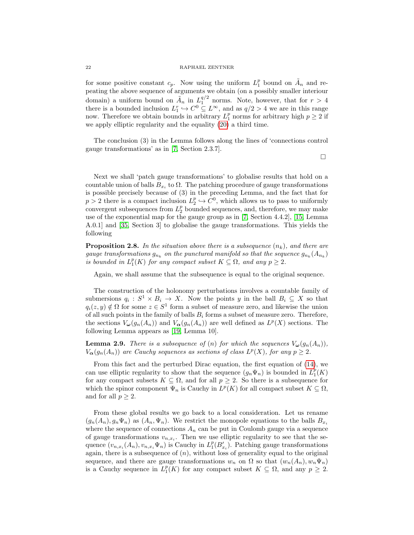### 22 RAPHAEL ZENTNER

for some positive constant  $c_p$ . Now using the uniform  $L_1^p$  bound on  $\tilde{A}_n$  and repeating the above sequence of arguments we obtain (on a possibly smaller interiour domain) a uniform bound on  $\tilde{A}_n$  in  $L_1^{q/2}$  norms. Note, however, that for  $r > 4$ there is a bounded inclusion  $L_1^r \hookrightarrow C^0 \subseteq L^\infty$ , and as  $q/2 > 4$  we are in this range now. Therefore we obtain bounds in arbitrary  $L_1^p$  norms for arbitrary high  $p \geq 2$  if we apply elliptic regularity and the equality [\(20\)](#page-20-0) a third time.

The conclusion (3) in the Lemma follows along the lines of 'connections control gauge transformations' as in [\[7,](#page-43-1) Section 2.3.7].

 $\Box$ 

Next we shall 'patch gauge transformations' to globalise results that hold on a countable union of balls  $B_{x_i}$  to  $\Omega$ . The patching procedure of gauge transformations is possible precisely because of (3) in the preceding Lemma, and the fact that for  $p > 2$  there is a compact inclusion  $L_2^p \hookrightarrow C^0$ , which allows us to pass to uniformly convergent subsequences from  $L_2^p$  bounded sequences, and, therefore, we may make use of the exponential map for the gauge group as in [\[7,](#page-43-1) Section 4.4.2], [\[15,](#page-44-24) Lemma A.0.1] and [\[35,](#page-44-23) Section 3] to globalise the gauge transformations. This yields the following

**Proposition 2.8.** In the situation above there is a subsequence  $(n_k)$ , and there are gauge transformations  $g_{n_k}$  on the punctured manifold so that the sequence  $g_{n_k}(A_{n_k})$ is bounded in  $L_1^p(K)$  for any compact subset  $K \subseteq \Omega$ , and any  $p \geq 2$ .

Again, we shall assume that the subsequence is equal to the original sequence.

The construction of the holonomy perturbations involves a countable family of submersions  $q_i : S^1 \times B_i \to X$ . Now the points y in the ball  $B_i \subseteq X$  so that  $q_i(z, y) \notin \Omega$  for some  $z \in S^1$  form a subset of measure zero, and likewise the union of all such points in the family of balls  $B_i$  forms a subset of measure zero. Therefore, the sections  $V_{\omega}(g_n(A_n))$  and  $V_{\alpha}(g_n(A_n))$  are well defined as  $L^p(X)$  sections. The following Lemma appears as [\[19,](#page-44-12) Lemma 10].

**Lemma 2.9.** There is a subsequence of (n) for which the sequences  $V_{\boldsymbol{\omega}}(g_n(A_n))$ ,  $V_{\alpha}(g_n(A_n))$  are Cauchy sequences as sections of class  $L^p(X)$ , for any  $p \geq 2$ .

From this fact and the perturbed Dirac equation, the first equation of [\(14\)](#page-16-0), we can use elliptic regularity to show that the sequence  $(g_n \Psi_n)$  is bounded in  $L_1^p(K)$ for any compact subsets  $K \subseteq \Omega$ , and for all  $p \geq 2$ . So there is a subsequence for which the spinor component  $\Psi_n$  is Cauchy in  $L^p(K)$  for all compact subset  $K \subseteq \Omega$ , and for all  $p \geq 2$ .

From these global results we go back to a local consideration. Let us rename  $(g_n(A_n), g_n\Psi_n)$  as  $(A_n, \Psi_n)$ . We restrict the monopole equations to the balls  $B_{x_i}$ where the sequence of connections  $A_n$  can be put in Coulomb gauge via a sequence of gauge transformations  $v_{n,x_i}$ . Then we use elliptic regularity to see that the sequence  $(v_{n,x_i}(A_n), v_{n,x_i}\Psi_n)$  is Cauchy in  $L_1^p(B'_{x_i})$ . Patching gauge transformations again, there is a subsequence of  $(n)$ , without loss of generality equal to the original sequence, and there are gauge transformations  $w_n$  on  $\Omega$  so that  $(w_n(A_n), w_n \Psi_n)$ is a Cauchy sequence in  $L_1^p(K)$  for any compact subset  $K \subseteq \Omega$ , and any  $p \geq 2$ .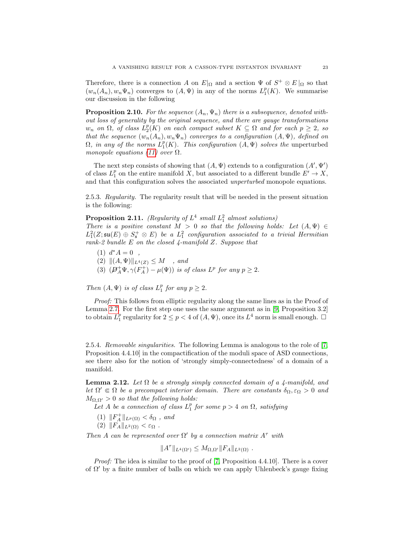Therefore, there is a connection A on  $E|_{\Omega}$  and a section  $\Psi$  of  $S^+ \otimes E|_{\Omega}$  so that  $(w_n(A_n), w_n \Psi_n)$  converges to  $(A, \Psi)$  in any of the norms  $L_1^p(K)$ . We summarise our discussion in the following

**Proposition 2.10.** For the sequence  $(A_n, \Psi_n)$  there is a subsequence, denoted without loss of generality by the original sequence, and there are gauge transformations  $w_n$  on  $\Omega$ , of class  $\tilde{L}_2^p(K)$  on each compact subset  $K \subseteq \Omega$  and for each  $p \geq 2$ , so that the sequence  $(w_n(A_n), w_n \Psi_n)$  converges to a configuration  $(A, \Psi)$ , defined on  $\Omega$ , in any of the norms  $L_1^p(K)$ . This configuration  $(A, \Psi)$  solves the unperturbed monopole equations [\(11\)](#page-14-1) over  $\Omega$ .

The next step consists of showing that  $(A, \Psi)$  extends to a configuration  $(A', \Psi')$ of class  $L_1^p$  on the entire manifold  $\tilde{X}$ , but associated to a different bundle  $E' \to X$ , and that this configuration solves the associated unperturbed monopole equations.

2.5.3. Regularity. The regularity result that will be needed in the present situation is the following:

<span id="page-22-1"></span>**Proposition 2.11.** (Regularity of  $L^4$  small  $L_1^2$  almost solutions) There is a positive constant  $M > 0$  so that the following holds: Let  $(A, \Psi) \in$  $L_1^2(Z; \mathfrak{su}(E) \oplus S^+_{\mathfrak{s}} \otimes E)$  be a  $L_1^2$  configuration associated to a trivial Hermitian rank-2 bundle  $E$  on the closed  $\frac{1}{4}$ -manifold  $Z$ . Suppose that

(1)  $d^*A = 0$ , (2)  $||(A, \Psi)||_{L^4(Z)} \leq M$ , and (3)  $(\mathcal{D}_A^+\Psi, \gamma(F_A^+) - \mu(\Psi))$  is of class  $L^p$  for any  $p \geq 2$ .

Then  $(A, \Psi)$  is of class  $L_1^p$  for any  $p \geq 2$ .

Proof: This follows from elliptic regularity along the same lines as in the Proof of Lemma [2.7.](#page-19-2) For the first step one uses the same argument as in [\[9,](#page-44-6) Proposition 3.2] to obtain  $L_1^p$  regularity for  $2 \leq p < 4$  of  $(A, \Psi)$ , once its  $L^4$  norm is small enough.  $\Box$ 

2.5.4. Removable singularities. The following Lemma is analogous to the role of [\[7,](#page-43-1) Proposition 4.4.10] in the compactification of the moduli space of ASD connections, see there also for the notion of 'strongly simply-connectedness' of a domain of a manifold.

<span id="page-22-0"></span>Lemma 2.12. Let  $\Omega$  be a strongly simply connected domain of a 4-manifold, and let  $\Omega' \in \Omega$  be a precompact interior domain. There are constants  $\delta_{\Omega}, \varepsilon_{\Omega} > 0$  and  $M_{\Omega,\Omega'} > 0$  so that the following holds:

Let A be a connection of class  $L_1^p$  for some  $p > 4$  on  $\Omega$ , satisfying

- (1)  $||F_A^+||_{L^p(\Omega)} < \delta_{\Omega}$ , and
- (2)  $||F_A||_{L^2(\Omega)} < \varepsilon_{\Omega}$ .

Then A can be represented over  $\Omega'$  by a connection matrix  $A^{\tau}$  with

$$
||A^{\tau}||_{L^{4}(\Omega')}\leq M_{\Omega,\Omega'}||F_A||_{L^{2}(\Omega)}.
$$

*Proof:* The idea is similar to the proof of [\[7,](#page-43-1) Proposition 4.4.10]. There is a cover of  $\Omega'$  by a finite number of balls on which we can apply Uhlenbeck's gauge fixing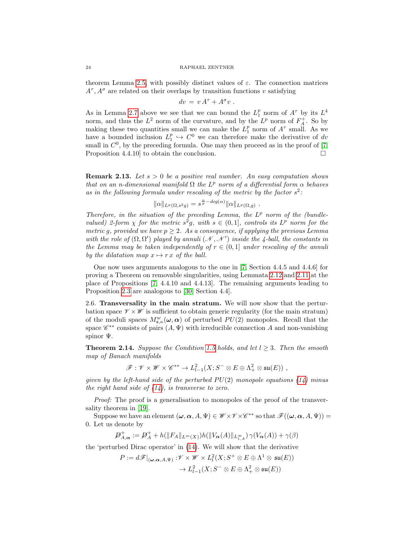#### 24 RAPHAEL ZENTNER

theorem Lemma [2.5,](#page-19-0) with possibly distinct values of  $\varepsilon$ . The connection matrices  $A^{\tau}, A^{\sigma}$  are related on their overlaps by transition functions v satisfying

$$
dv = v A^{\tau} + A^{\sigma} v .
$$

As in Lemma [2.7](#page-19-2) above we see that we can bound the  $L_1^p$  norm of  $A^{\tau}$  by its  $L^4$ norm, and thus the  $L^2$  norm of the curvature, and by the  $L^p$  norm of  $F_A^+$ . So by making these two quantities small we can make the  $L_1^p$  norm of  $A^{\tau}$  small. As we have a bounded inclusion  $L_1^p \hookrightarrow C^0$  we can therefore make the derivative of dv small in  $C^0$ , by the preceding formula. One may then proceed as in the proof of [\[7,](#page-43-1) Proposition 4.4.10 to obtain the conclusion.

**Remark 2.13.** Let  $s > 0$  be a positive real number. An easy computation shows that on an n-dimensional manifold  $\Omega$  the  $L^p$  norm of a differential form  $\alpha$  behaves as in the following formula under rescaling of the metric by the factor  $s^2$ :

$$
\|\alpha\|_{L^p(\Omega,s^2g)} = s^{\frac{n}{p} - deg(\alpha)} \|\alpha\|_{L^p(\Omega,g)}
$$

.

Therefore, in the situation of the preceding Lemma, the  $L^p$  norm of the (bundlevalued) 2-form  $\chi$  for the metric  $s^2g$ , with  $s \in (0,1]$ , controls its  $L^p$  norm for the metric g, provided we have  $p \geq 2$ . As a consequence, if applying the previous Lemma with the role of  $(\Omega, \Omega')$  played by annuli  $(\mathcal{N}, \mathcal{N}')$  inside the 4-ball, the constants in the Lemma may be taken independently of  $r \in (0,1]$  under rescaling of the annuli by the dilatation map  $x \mapsto r x$  of the ball.

One now uses arguments analogous to the one in [\[7,](#page-43-1) Section 4.4.5 and 4.4.6] for proving a Theorem on removable singularities, using Lemmata [2.12](#page-22-0) and [2.11](#page-22-1) at the place of Propositions [\[7,](#page-43-1) 4.4.10 and 4.4.13]. The remaining arguments leading to Proposition [2.3](#page-17-0) are analogous to [\[30,](#page-44-0) Section 4.4].

2.6. Transversality in the main stratum. We will now show that the perturbation space  $\mathscr{V} \times \mathscr{W}$  is sufficient to obtain generic regularity (for the main stratum) of the moduli spaces  $M^w_{\mathfrak{s},\kappa}(\omega,\alpha)$  of perturbed  $PU(2)$  monopoles. Recall that the space  $\mathscr{C}^{**}$  consists of pairs  $(A, \Psi)$  with irreducible connection A and non-vanishing spinor Ψ.

<span id="page-23-0"></span>**Theorem 2.14.** Suppose the Condition [1.5](#page-7-0) holds, and let  $l \geq 3$ . Then the smooth map of Banach manifolds

 $\mathscr{F}: \mathscr{V} \times \mathscr{W} \times \mathscr{C}^{**} \to L^2_{l-1}(X; S^- \otimes E \oplus \Lambda^2_+ \otimes \mathfrak{su}(E))$  ,

given by the left-hand side of the perturbed  $PU(2)$  monopole equations [\(14\)](#page-16-0) minus the right hand side of  $(14)$ , is transverse to zero.

Proof: The proof is a generalisation to monopoles of the proof of the transversality theorem in [\[19\]](#page-44-12).

Suppose we have an element  $(\omega, \alpha, A, \Psi) \in \mathscr{W} \times \mathscr{V} \times \mathscr{C}^{**}$  so that  $\mathscr{F}((\omega, \alpha, A, \Psi)) =$ 0. Let us denote by

$$
\mathcal{D}_{A,\alpha}^+ := \mathcal{D}_A^+ + h(||F_A||_{L^m(X)})h(||V_\alpha(A)||_{L^\infty_{1,A}}) \gamma(V_\alpha(A)) + \gamma(\beta)
$$

the 'perturbed Dirac operator' in [\(14\)](#page-16-0). We will show that the derivative

$$
P := d\mathscr{F}|_{(\boldsymbol{\omega}, \boldsymbol{\alpha}, A, \Psi)} : \mathscr{V} \times \mathscr{W} \times L^2_l(X; S^+ \otimes E \oplus \Lambda^1 \otimes \mathfrak{su}(E))
$$
  

$$
\rightarrow L^2_{l-1}(X; S^- \otimes E \oplus \Lambda^2_+ \otimes \mathfrak{su}(E))
$$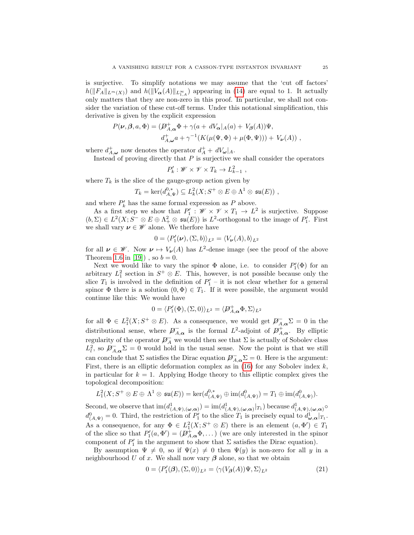is surjective. To simplify notations we may assume that the 'cut off factors'  $h(||F_A||_{L^m(X)})$  and  $h(||V_{\alpha}(A)||_{L^{\infty}_{1,A}})$  appearing in [\(14\)](#page-16-0) are equal to 1. It actually only matters that they are non-zero in this proof. In particular, we shall not consider the variation of these cut-off terms. Under this notational simplification, this derivative is given by the explicit expression

$$
P(\nu, \beta, a, \Phi) = (\mathcal{D}_{A,\alpha}^+ \Phi + \gamma (a + dV_\alpha)_A(a) + V_\beta(A))\Psi,
$$
  

$$
d_{A,\omega}^+ a + \gamma^{-1}(K(\mu(\Psi, \Phi) + \mu(\Phi, \Psi))) + V_\nu(A)),
$$

where  $d_{A,\omega}^+$  now denotes the operator  $d_A^+ + dV_\omega|_A$ .

Instead of proving directly that  $P$  is surjective we shall consider the operators

$$
P'_k : \mathscr{W} \times \mathscr{V} \times T_k \to L_{k-1}^2 ,
$$

where  $T_k$  is the slice of the gauge-group action given by

$$
T_k = \ker(d_{A,\Psi}^{0,*}) \subseteq L_k^2(X;S^+ \otimes E \oplus \Lambda^1 \otimes \mathfrak{su}(E)),
$$

and where  $P'_k$  has the same formal expression as  $P$  above.

As a first step we show that  $P'_1$ :  $\mathscr{W} \times \mathscr{V} \times T_1 \to L^2$  is surjective. Suppose  $(b, \Sigma) \in L^2(X; S^- \otimes E \oplus \Lambda^2_+ \otimes \mathfrak{su}(E))$  is  $L^2$ -orthogonal to the image of  $P'_1$ . First we shall vary  $\pmb{\nu} \in \mathscr{W}$  alone. We therfore have

$$
0 = \langle P'_1(\nu), (\Sigma, b) \rangle_{L^2} = \langle V_{\nu}(A), b \rangle_{L^2}
$$

for all  $\nu \in \mathscr{W}$ . Now  $\nu \mapsto V_{\nu}(A)$  has  $L^2$ -dense image (see the proof of the above Theorem [1.6](#page-7-1) in [\[19\]](#page-44-12)), so  $b = 0$ .

Next we would like to vary the spinor  $\Phi$  alone, i.e. to consider  $P'_{1}(\Phi)$  for an arbitrary  $L_1^2$  section in  $S^+ \otimes E$ . This, however, is not possible because only the slice  $T_1$  is involved in the definition of  $P'_1$  – it is not clear whether for a general spinor  $\Phi$  there is a solution  $(0, \Phi) \in T_1$ . If it were possible, the argument would continue like this: We would have

$$
0 = \langle P'_1(\Phi), (\Sigma, 0) \rangle_{L^2} = \langle \mathcal{P}^+_{A, \alpha} \Phi, \Sigma \rangle_{L^2}
$$

for all  $\Phi \in L_1^2(X; S^+ \otimes E)$ . As a consequence, we would get  $\mathscr{P}_{A,\alpha}^{\mathbb{Z}}\Sigma = 0$  in the distributional sense, where  $\mathcal{D}_{A,\alpha}^-$  is the formal  $L^2$ -adjoint of  $\mathcal{D}_{A,\alpha}^+$ . By elliptic regularity of the operator  $\overline{\mathcal{P}_A}$  we would then see that  $\Sigma$  is actually of Sobolev class  $L^2_l$ , so  $\mathcal{P}^-_{A,\alpha}\Sigma=0$  would hold in the usual sense. Now the point is that we still can conclude that  $\Sigma$  satisfies the Dirac equation  $\mathcal{P}^{-}_{A,\alpha}\Sigma=0$ . Here is the argument: First, there is an elliptic deformation complex as in  $(16)$  for any Sobolev index k, in particular for  $k = 1$ . Applying Hodge theory to this elliptic complex gives the topological decomposition:

$$
L_1^2(X; S^+ \otimes E \oplus \Lambda^1 \otimes \mathfrak{su}(E)) = \ker(d_{(A,\Psi)}^{0,*} \oplus \text{im}(d_{(A,\Psi)}^0) = T_1 \oplus \text{im}(d_{(A,\Psi)}^0).
$$

Second, we observe that  $\text{im}(d^1_{(A,\Psi),(\omega,\alpha)}) = \text{im}(d^1_{(A,\Psi),(\omega,\alpha)}|_{T_1})$  because  $d^1_{(A,\Psi),(\omega,\alpha)}$  $d^0_{(A,\Psi)}=0$ . Third, the restriction of  $P'_1$  to the slice  $T_1$  is precisely equal to  $d^1_{\omega,\alpha}|_{T_1}$ . As a consequence, for any  $\Phi \in L_1^2(X; S^+ \otimes E)$  there is an element  $(a, \Phi') \in T_1$ of the slice so that  $P'_1(a, \Phi') = (\mathcal{P}^+_{A,\alpha} \Phi, \dots)$  (we are only interested in the spinor component of  $P'_1$  in the argument to show that  $\Sigma$  satisfies the Dirac equation).

By assumption  $\Psi \neq 0$ , so if  $\Psi(x) \neq 0$  then  $\Psi(y)$  is non-zero for all y in a neighbourhood U of x. We shall now vary  $\beta$  alone, so that we obtain

<span id="page-24-0"></span>
$$
0 = \langle P_1'(\beta), (\Sigma, 0) \rangle_{L^2} = \langle \gamma(V_\beta(A)) \Psi, \Sigma \rangle_{L^2}
$$
\n(21)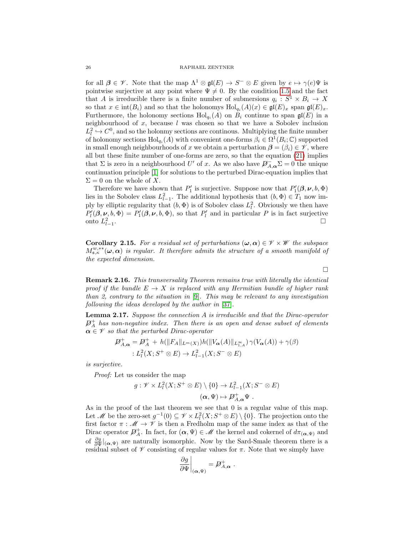for all  $\beta \in \mathscr{V}$ . Note that the map  $\Lambda^1 \otimes \mathfrak{gl}(E) \to S^- \otimes E$  given by  $e \mapsto \gamma(e)\Psi$  is pointwise surjective at any point where  $\Psi \neq 0$ . By the condition [1.5](#page-7-0) and the fact that A is irreducible there is a finite number of submersions  $q_i : S^1 \times B_i \to X$ so that  $x \in \text{int}(B_i)$  and so that the holonomys  $\text{Hol}_{q_i}(A)(x) \in \mathfrak{gl}(E)_x$  span  $\mathfrak{gl}(E)_x$ . Furthermore, the holonomy sections  $\text{Hol}_{q_i}(A)$  on  $B_i$  continue to span  $\mathfrak{gl}(E)$  in a neighbourhood of  $x$ , because  $l$  was chosen so that we have a Sobolev inclusion  $L_l^2 \hookrightarrow C^0$ , and so the holonmy sections are continous. Multiplying the finite number of holonomy sections  $\text{Hol}_{q_i}(A)$  with convenient one-forms  $\beta_i \in \Omega^1(B_i; \mathbb{C})$  supported in small enough neighbourhoods of x we obtain a perturbation  $\boldsymbol{\beta} = (\beta_i) \in \mathcal{V}$ , where all but these finite number of one-forms are zero, so that the equation [\(21\)](#page-24-0) implies that  $\Sigma$  is zero in a neighbourhood U' of x. As we also have  $\cancel{D}_{A,\alpha}^{-} \Sigma = 0$  the unique continuation principle [\[1\]](#page-43-4) for solutions to the perturbed Dirac-equation implies that  $\Sigma = 0$  on the whole of X.

Therefore we have shown that  $P'_1$  is surjective. Suppose now that  $P'_1(\beta,\nu,b,\Phi)$ lies in the Sobolev class  $L^2_{l-1}$ . The additional hypothesis that  $(b, \Phi) \in T_1$  now imply by elliptic regularity that  $(b, \Phi)$  is of Sobolev class  $L^2_l$ . Obviously we then have  $P'_{l}(\boldsymbol{\beta}, \boldsymbol{\nu}, b, \Phi) = P'_{l}(\boldsymbol{\beta}, \boldsymbol{\nu}, b, \Phi)$ , so that  $P'_{l}$  and in particular P is in fact surjective onto  $L_{l-1}^2$ .

<span id="page-25-1"></span>**Corollary 2.15.** For a residual set of perturbations  $(\omega, \alpha) \in \mathcal{V} \times \mathcal{W}$  the subspace  $M_{\mathbf{s},\kappa}^{w,*}(\boldsymbol{\omega},\boldsymbol{\alpha})$  is regular. It therefore admits the structure of a smooth manifold of the expected dimension.

Remark 2.16. This transversality Theorem remains true with literally the identical proof if the bundle  $E \to X$  is replaced with any Hermitian bundle of higher rank than 2, contrary to the situation in  $[9]$ . This may be relevant to any investigation following the ideas developed by the author in [\[37\]](#page-44-22).

<span id="page-25-0"></span>Lemma 2.17. Suppose the connection A is irreducible and that the Dirac-operator  $\not\!\! D^+_A$  has non-negative index. Then there is an open and dense subset of elements  $\alpha \in \mathscr{V}$  so that the perturbed Dirac-operator

$$
\mathcal{D}_{A,\alpha}^+ = \mathcal{D}_A^+ + h(||F_A||_{L^m(X)})h(||V_\alpha(A)||_{L^\infty_{1,A}}) \gamma(V_\alpha(A)) + \gamma(\beta)
$$
  
 :  $L^2_l(X;S^+\otimes E) \to L^2_{l-1}(X;S^-\otimes E)$ 

is surjective.

Proof: Let us consider the map

$$
g: \mathscr{V} \times L_l^2(X; S^+ \otimes E) \setminus \{0\} \to L_{l-1}^2(X; S^- \otimes E)
$$

$$
(\alpha, \Psi) \mapsto \mathcal{P}_{A,\alpha}^+ \Psi.
$$

As in the proof of the last theorem we see that 0 is a regular value of this map. Let *M* be the zero-set  $g^{-1}(0) \subseteq \mathscr{V} \times L^2_l(X; S^+ \otimes E) \setminus \{0\}$ . The projection onto the first factor  $\pi : \mathscr{M} \to \mathscr{V}$  is then a Fredholm map of the same index as that of the Dirac operator  $\mathcal{D}_A^+$ . In fact, for  $(\alpha, \Psi) \in \mathcal{M}$  the kernel and cokernel of  $d\pi_{(\alpha,\Psi)}$  and of  $\frac{\partial g}{\partial \Psi}|_{(\alpha,\Psi)}$  are naturally isomorphic. Now by the Sard-Smale theorem there is a residual subset of  $\mathscr V$  consisting of regular values for  $\pi$ . Note that we simply have

$$
\left.\frac{\partial g}{\partial \Psi}\right|_{(\boldsymbol{\alpha},\Psi)}=\not{\!\!D}^+_{A,\boldsymbol{\alpha}}\ .
$$

 $\Box$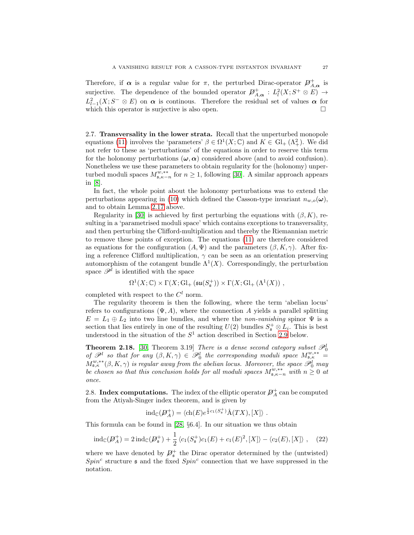Therefore, if  $\alpha$  is a regular value for  $\pi$ , the perturbed Dirac-operator  $\mathcal{D}^+_{A,\alpha}$  is surjective. The dependence of the bounded operator  $\mathcal{D}^+_{A,\alpha}: L^2_l(X; S^+ \otimes E) \to$  $L^2_{l-1}(X; S^- \otimes E)$  on  $\alpha$  is continuous. Therefore the residual set of values  $\alpha$  for which this operator is surjective is also open.  $\Box$ 

2.7. Transversality in the lower strata. Recall that the unperturbed monopole equations [\(11\)](#page-14-1) involves the 'parameters'  $\beta \in \Omega^1(X; \mathbb{C})$  and  $K \in Gl_+(\Lambda^2_+)$ . We did not refer to these as 'perturbations' of the equations in order to reserve this term for the holonomy perturbations  $(\omega, \alpha)$  considered above (and to avoid confusion). Nonetheless we use these parameters to obtain regularity for the (holonomy) unperturbed moduli spaces  $M_{\mathfrak{s},\kappa-n}^{\tilde{w},\ast\ast}$  for  $n\geq 1$ , following [\[30\]](#page-44-0). A similar approach appears in [\[8\]](#page-43-0).

In fact, the whole point about the holonomy perturbations was to extend the perturbations appearing in [\(10\)](#page-12-2) which defined the Casson-type invariant  $n_{w,o}(\omega)$ , and to obtain Lemma [2.17](#page-25-0) above.

Regularity in [\[30\]](#page-44-0) is achieved by first perturbing the equations with  $(\beta, K)$ , resulting in a 'parametrised moduli space' which contains exceptions to transversality, and then perturbing the Clifford-multiplication and thereby the Riemannian metric to remove these points of exception. The equations [\(11\)](#page-14-1) are therefore considered as equations for the configuration  $(A, \Psi)$  and the parameters  $(\beta, K, \gamma)$ . After fixing a reference Clifford multiplication,  $\gamma$  can be seen as an orientation preserving automorphism of the cotangent bundle  $\Lambda^1(X)$ . Correspondingly, the perturbation space  $\mathscr{P}^l$  is identified with the space

$$
\Omega^1(X;\mathbb{C})\times \Gamma(X;\mathrm{Gl}_+ \left({\mathfrak{su}}(S_{\mathfrak{s}}^+)\right) \times \Gamma(X;\mathrm{Gl}_+ \left(\Lambda^1(X)\right)\,,
$$

completed with respect to the  $C<sup>l</sup>$  norm.

The regularity theorem is then the following, where the term 'abelian locus' refers to configurations  $(\Psi, A)$ , where the connection A yields a parallel splitting  $E = L_1 \oplus L_2$  into two line bundles, and where the *non-vanishing* spinor  $\Psi$  is a section that lies entirely in one of the resulting  $U(2)$  bundles  $S_{\mathfrak{s}}^+ \otimes L_i$ . This is best understood in the situation of the  $S<sup>1</sup>$  action described in Section [2.9](#page-28-0) below.

<span id="page-26-1"></span>**Theorem 2.18.** [\[30,](#page-44-0) Theorem 3.19] There is a dense second category subset  $\mathcal{P}_0^l$ of  $\mathscr{P}^l$  so that for any  $(\beta, K, \gamma) \in \mathscr{P}_0^l$  the corresponding moduli space  $M_{\mathfrak{s},\kappa}^{w,**}$  =  $M^{w,*}_{s,\kappa}(\beta,K,\gamma)$  is regular away from the abelian locus. Moreover, the space  $\mathscr{P}_0^l$  may  $M^{w,*}_{s,\kappa}(\beta,K,\gamma)$  is regular away from the abelian locus. Moreover, the space  $\mathscr{P}_0^l$  may be chosen so that this conclusion holds for all moduli spaces  $M^{w, **}_{s, \kappa-n}$  with  $n \geq 0$  at once.

2.8. Index computations. The index of the elliptic operator  $\mathcal{D}_{A}^{+}$  can be computed from the Atiyah-Singer index theorem, and is given by

$$
ind_{\mathbb{C}}(\mathcal{D}_{A}^{+}) = \langle ch(E)e^{\frac{1}{2}c_1(S_{s}^{+})}\hat{A}(TX), [X] \rangle .
$$

This formula can be found in [\[28,](#page-44-19) §6.4]. In our situation we thus obtain

<span id="page-26-0"></span>
$$
\mathrm{ind}_{\mathbb{C}}(\mathcal{D}_{A}^{+}) = 2\,\mathrm{ind}_{\mathbb{C}}(\mathcal{D}_{\mathfrak{s}}^{+}) + \frac{1}{2}\,\langle c_{1}(S_{\mathfrak{s}}^{+})c_{1}(E) + c_{1}(E)^{2}, [X] \rangle - \langle c_{2}(E), [X] \rangle , \quad (22)
$$

where we have denoted by  $\mathcal{D}_{\mathfrak{s}}^+$  the Dirac operator determined by the (untwisted)  $Spin<sup>c</sup>$  structure  $\mathfrak s$  and the fixed  $Spin<sup>c</sup>$  connection that we have suppressed in the notation.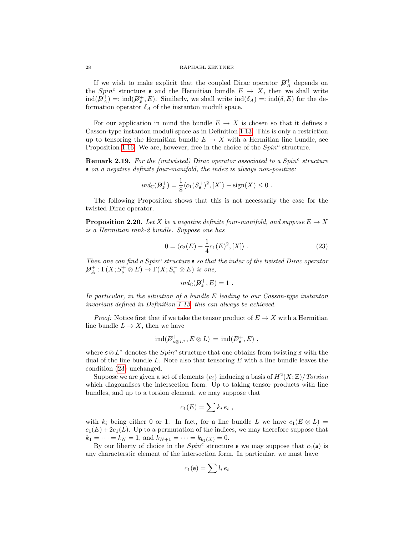#### 28 RAPHAEL ZENTNER

If we wish to make explicit that the coupled Dirac operator  $\mathcal{D}_A^+$  depends on the Spin<sup>c</sup> structure s and the Hermitian bundle  $E \rightarrow X$ , then we shall write  $\text{ind}(\mathcal{D}_A^+) = \text{ind}(\mathcal{D}_\mathfrak{s}^+, E).$  Similarly, we shall write  $\text{ind}(\delta_A) = \text{ind}(\delta, E)$  for the deformation operator  $\delta_A$  of the instanton moduli space.

For our application in mind the bundle  $E \to X$  is chosen so that it defines a Casson-type instanton moduli space as in Definition [1.13.](#page-10-2) This is only a restriction up to tensoring the Hermitian bundle  $E \to X$  with a Hermitian line bundle, see Proposition [1.16.](#page-11-0) We are, however, free in the choice of the  $Spin<sup>c</sup>$  structure.

**Remark 2.19.** For the (untwisted) Dirac operator associated to a Spin<sup>c</sup> structure s on a negative definite four-manifold, the index is always non-positive:

$$
ind_{\mathbb{C}}(\mathcal{D}_{\mathfrak{s}}^{+}) = \frac{1}{8} \langle c_{1}(S_{\mathfrak{s}}^{+})^{2}, [X] \rangle - \text{sign}(X) \leq 0.
$$

The following Proposition shows that this is not necessarily the case for the twisted Dirac operator.

<span id="page-27-1"></span>**Proposition 2.20.** Let X be a negative definite four-manifold, and suppose  $E \to X$ is a Hermitian rank-2 bundle. Suppose one has

<span id="page-27-0"></span>
$$
0 = \langle c_2(E) - \frac{1}{4}c_1(E)^2, [X] \rangle . \tag{23}
$$

Then one can find a  $Spin^c$  structure  $\mathfrak s$  so that the index of the twisted Dirac operator  $\mathcal{D}_A^+:\Gamma(X;S^+_{\mathfrak{s}} \otimes E) \to \Gamma(X;S^-_{\mathfrak{s}} \otimes E)$  is one,

$$
ind_{\mathbb{C}}(\mathcal{D}^+_{\mathfrak{s}},E)=1.
$$

In particular, in the situation of a bundle E leading to our Casson-type instanton invariant defined in Definition [1.13,](#page-10-2) this can always be achieved.

*Proof:* Notice first that if we take the tensor product of  $E \to X$  with a Hermitian line bundle  $L \to X$ , then we have

$$
\mathrm{ind}(\mathcal{D}^+_{\mathfrak{s} \otimes L^*}, E \otimes L) \, = \, \mathrm{ind}(\mathcal{D}^+_{\mathfrak{s}}, E) \, ,
$$

where  $\mathfrak{s} \otimes L^*$  denotes the  $Spin^c$  structure that one obtains from twisting  $\mathfrak{s}$  with the dual of the line bundle  $L$ . Note also that tensoring  $E$  with a line bundle leaves the condition [\(23\)](#page-27-0) unchanged.

Suppose we are given a set of elements  $\{e_i\}$  inducing a basis of  $H^2(X;\mathbb{Z})/Torsion$ which diagonalises the intersection form. Up to taking tensor products with line bundles, and up to a torsion element, we may suppose that

$$
c_1(E) = \sum k_i e_i ,
$$

with  $k_i$  being either 0 or 1. In fact, for a line bundle L we have  $c_1(E \otimes L)$  =  $c_1(E) + 2c_1(L)$ . Up to a permutation of the indices, we may therefore suppose that  $k_1 = \cdots = k_N = 1$ , and  $k_{N+1} = \cdots = k_{b_2(X)} = 0$ .

By our liberty of choice in the  $Spin<sup>c</sup>$  structure  $\mathfrak s$  we may suppose that  $c_1(\mathfrak s)$  is any characterstic element of the intersection form. In particular, we must have

$$
c_1(\mathfrak{s}) = \sum l_i \, e_i
$$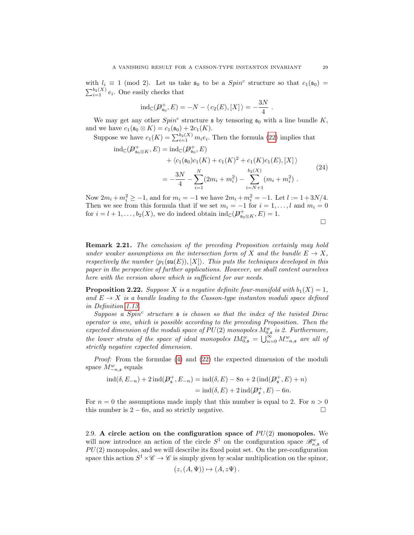with  $l_i \equiv 1 \pmod{2}$ . Let us take  $\mathfrak{s}_0$  to be a  $Spin^c$  structure so that  $c_1(\mathfrak{s}_0) =$  $\sum_{i=1}^{b_2(X)} e_i$ . One easily checks that

$$
ind_{\mathbb{C}}(\mathcal{D}^+_{\mathfrak{s}_0}, E) = -N - \langle c_2(E), [X] \rangle = -\frac{3N}{4}.
$$

We may get any other  $Spin^c$  structure  $\mathfrak s$  by tensoring  $\mathfrak s_0$  with a line bundle K, and we have  $c_1(\mathfrak{s}_0 \otimes K) = c_1(\mathfrak{s}_0) + 2c_1(K)$ .

Suppose we have  $c_1(K) = \sum_{i=1}^{b_2(K)} m_i e_i$ . Then the formula [\(22\)](#page-26-0) implies that

$$
\begin{split} \operatorname{ind}_{\mathbb{C}}(\mathcal{P}_{\mathfrak{s}_0 \otimes K}^+, E) &= \operatorname{ind}_{\mathbb{C}}(\mathcal{P}_{\mathfrak{s}_0}^+, E) \\ &+ \langle c_1(\mathfrak{s}_0)c_1(K) + c_1(K)^2 + c_1(K)c_1(E), [X] \rangle \\ &= -\frac{3N}{4} - \sum_{i=1}^N (2m_i + m_i^2) - \sum_{i=N+1}^{b_2(X)} (m_i + m_i^2) \ . \end{split} \tag{24}
$$

Now  $2m_i + m_i^2 \ge -1$ , and for  $m_i = -1$  we have  $2m_i + m_i^2 = -1$ . Let  $l := 1 + 3N/4$ . Then we see from this formula that if we set  $m_i = -1$  for  $i = 1, \ldots, l$  and  $m_i = 0$ for  $i = l + 1, \ldots, b_2(X)$ , we do indeed obtain  $ind_{\mathbb{C}}(\mathcal{P}^+_{\mathfrak{s}_0 \otimes K}, E) = 1$ .

Remark 2.21. The conclusion of the preceding Proposition certainly may hold under weaker assumptions on the intersection form of X and the bundle  $E \to X$ , respectively the number  $\langle p_1(\mathfrak{su}(E)), [X]\rangle$ . This puts the techniques developed in this paper in the perspective of further applications. However, we shall content ourselves here with the version above which is sufficient for our needs.

<span id="page-28-1"></span>**Proposition 2.22.** Suppose X is a negative definite four-manifold with  $b_1(X) = 1$ , and  $E \rightarrow X$  is a bundle leading to the Casson-type instanton moduli space defined in Definition [1.13.](#page-10-2)

 $Suppose \, a \, Spin^c \, structure \, s \, is \, chosen \, so \, that \, the \, index \, of \, the \, twisted \, Dirac \,$ operator is one, which is possible according to the preceding Proposition. Then the expected dimension of the moduli space of  $PU(2)$  monopoles  $M_{0, \mathfrak{s}}^{w}$  is 2. Furthermore, the lower strata of the space of ideal monopoles  $IM_{0,s}^w = \bigcup_{n=0}^{\infty} M_{-n,s}^w$  are all of strictly negative expected dimension.

Proof: From the formulae [\(4\)](#page-4-0) and [\(22\)](#page-26-0) the expected dimension of the moduli space  $M_{-n,\mathfrak{s}}^w$  equals

$$
ind(\delta, E_{-n}) + 2ind(\mathcal{P}_{\mathfrak{s}}^+, E_{-n}) = ind(\delta, E) - 8n + 2 (ind(\mathcal{P}_{\mathfrak{s}}^+, E) + n)
$$
  
=  $ind(\delta, E) + 2 ind(\mathcal{P}_{\mathfrak{s}}^+, E) - 6n.$ 

For  $n = 0$  the assumptions made imply that this number is equal to 2. For  $n > 0$ this number is  $2 - 6n$ , and so strictly negative.

<span id="page-28-0"></span>2.9. A circle action on the configuration space of  $PU(2)$  monopoles. We will now introduce an action of the circle  $S^1$  on the configuration space  $\mathscr{B}_{\kappa,\mathfrak{s}}^w$  of  $PU(2)$  monopoles, and we will describe its fixed point set. On the pre-configuration space this action  $S^1 \times \mathscr{C} \to \mathscr{C}$  is simply given by scalar multiplication on the spinor,

$$
(z, (A, \Psi)) \mapsto (A, z\Psi).
$$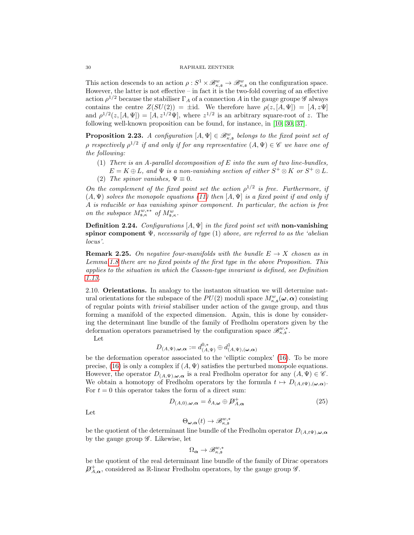This action descends to an action  $\rho: S^1 \times \mathcal{B}_{\kappa, \mathfrak{s}}^w \to \mathcal{B}_{\kappa, \mathfrak{s}}^w$  on the configuration space. However, the latter is not effective – in fact it is the two-fold covering of an effective action  $\rho^{1/2}$  because the stabiliser  $\Gamma_A$  of a connection A in the gauge groupe  $\mathscr G$  always contains the centre  $Z(SU(2)) = \pm id$ . We therefore have  $\rho(z, [A, \Psi]) = [A, z\Psi]$ and  $\rho^{1/2}(z,[A,\Psi]) = [A, z^{1/2}\Psi]$ , where  $z^{1/2}$  is an arbitrary square-root of z. The following well-known proposition can be found, for instance, in [\[10,](#page-44-7) [30,](#page-44-0) [37\]](#page-44-22).

<span id="page-29-1"></span>**Proposition 2.23.** A configuration  $[A, \Psi] \in \mathcal{B}_{\kappa, \mathfrak{s}}^w$  belongs to the fixed point set of  $\rho$  respectively  $\rho^{1/2}$  if and only if for any representative  $(A, \Psi) \in \mathscr{C}$  we have one of the following:

(1) There is an A-parallel decomposition of  $E$  into the sum of two line-bundles,  $E = K \oplus L$ , and  $\Psi$  is a non-vanishing section of either  $S^+ \otimes K$  or  $S^+ \otimes L$ . (2) The spinor vanishes,  $\Psi \equiv 0$ .

On the complement of the fixed point set the action  $\rho^{1/2}$  is free. Furthermore, if  $(A, \Psi)$  solves the monopole equations [\(11\)](#page-14-1) then  $[A, \Psi]$  is a fixed point if and only if A is reducible or has vanishing spinor component. In particular, the action is free on the subspace  $M^{w,**}_{\mathfrak{s},\kappa}$  of  $M^w_{\mathfrak{s},\kappa}$ .

**Definition 2.24.** Configurations  $[A, \Psi]$  in the fixed point set with non-vanishing spinor component  $\Psi$ , necessarily of type (1) above, are referred to as the 'abelian locus'.

**Remark 2.25.** On negative four-manifolds with the bundle  $E \rightarrow X$  chosen as in Lemma [1.8](#page-9-1) there are no fixed points of the first type in the above Proposition. This applies to the situation in which the Casson-type invariant is defined, see Definition [1.13.](#page-10-2)

2.10. Orientations. In analogy to the instanton situation we will determine natural orientations for the subspace of the  $PU(2)$  moduli space  $M_{\kappa,\mathfrak{s}}^w(\omega,\alpha)$  consisting of regular points with trivial stabiliser under action of the gauge group, and thus forming a manifold of the expected dimension. Again, this is done by considering the determinant line bundle of the family of Fredholm operators given by the deformation operators parametrised by the configuration space  $\mathscr{B}^{w,*}_{\kappa,\mathfrak{s}}$ .

Let

$$
D_{(A,\Psi),\boldsymbol{\omega},\boldsymbol{\alpha}}:=d^{0,*}_{(A,\Psi)}\oplus d^1_{(A,\Psi),(\boldsymbol{\omega},\boldsymbol{\alpha})}
$$

be the deformation operator associated to the 'elliptic complex' [\(16\)](#page-17-2). To be more precise, [\(16\)](#page-17-2) is only a complex if  $(A, \Psi)$  satisfies the perturbed monopole equations. However, the operator  $D_{(A,\Psi),\omega,\alpha}$  is a real Fredholm operator for any  $(A,\Psi) \in \mathscr{C}$ . We obtain a homotopy of Fredholm operators by the formula  $t \mapsto D_{(A,t\Psi),(\omega,\alpha)}$ . For  $t = 0$  this operator takes the form of a direct sum:

<span id="page-29-0"></span>
$$
D_{(A,0),\omega,\alpha} = \delta_{A,\omega} \oplus \mathcal{D}_{A,\alpha}^{+}
$$
 (25)

Let

$$
\Theta_{\pmb{\omega},\pmb{\alpha}}(t) \rightarrow \mathscr{B}^{w,*}_{\kappa,\mathfrak{s}}
$$

be the quotient of the determinant line bundle of the Fredholm operator  $D_{(A,t\Psi),\omega,\alpha}$ by the gauge group  $\mathscr G$ . Likewise, let

$$
\Omega_{\pmb{\alpha}} \to \mathscr{B}^{w,*}_{\kappa,\mathfrak{s}}
$$

be the quotient of the real determinant line bundle of the family of Dirac operators  $\mathcal{D}_{A,\alpha}^+$ , considered as R-linear Fredholm operators, by the gauge group  $\mathscr{G}$ .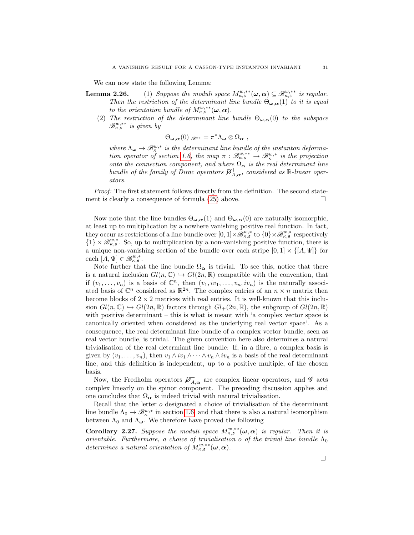We can now state the following Lemma:

- **Lemma 2.26.** (1) Suppose the moduli space  $M_{\kappa, \mathfrak{s}}^{w, **}(\omega, \alpha) \subseteq \mathscr{B}_{\kappa, \mathfrak{s}}^{w, **}$  is regular. Then the restriction of the determinant line bundle  $\Theta_{\omega,\alpha}(1)$  to it is equal to the orientation bundle of  $M^{w,*}_{\kappa, \mathfrak{s}} (\omega, \alpha)$ .
	- (2) The restriction of the determinant line bundle  $\Theta_{\omega,\alpha}(0)$  to the subspace  $\mathscr{B}^{w,**}_{\kappa,\mathfrak{s}}$  is given by

$$
\Theta_{\boldsymbol{\omega},\boldsymbol{\alpha}}(0)|_{\mathscr{B}^{**}}=\pi^*\Lambda_{\boldsymbol{\omega}}\otimes\Omega_{\boldsymbol{\alpha}}\;,
$$

where  $\Lambda_{\omega} \to \mathscr{B}_{\kappa}^{w,*}$  is the determinant line bundle of the instanton deforma-tion operator of section [1.6,](#page-8-1) the map  $\pi : \mathscr{B}^{w,*}_{\kappa,\mathfrak{s}} \to \mathscr{B}^{w,*}_{\kappa}$  is the projection onto the connection component, and where  $\Omega_{\alpha}$  is the real determinant line bundle of the family of Dirac operators  $\mathcal{P}^+_{A,\alpha}$ , considered as R-linear operators.

Proof: The first statement follows directly from the definition. The second statement is clearly a consequence of formula  $(25)$  above.

Now note that the line bundles  $\Theta_{\omega,\alpha}(1)$  and  $\Theta_{\omega,\alpha}(0)$  are naturally isomorphic, at least up to multiplication by a nowhere vanishing positive real function. In fact, they occur as restrictions of a line bundle over  $[0,1] \times \mathscr{B}_{\kappa,\mathfrak{s}}^{w,*}$  to  $\{0\} \times \mathscr{B}_{\kappa,\mathfrak{s}}^{w,*}$  respectively  ${1} \times \mathscr{B}_{\kappa,\mathfrak{s}}^{w,*}$ . So, up to multiplication by a non-vanishing positive function, there is a unique non-vanishing section of the bundle over each stripe  $[0, 1] \times \{[A, \Psi]\}$  for each  $[A, \Psi] \in \mathscr{B}_{\kappa, \mathfrak{s}}^{w, *}.$ 

Note further that the line bundle  $\Omega_{\alpha}$  is trivial. To see this, notice that there is a natural inclusion  $Gl(n,\mathbb{C}) \hookrightarrow Gl(2n,\mathbb{R})$  compatible with the convention, that if  $(v_1, \ldots, v_n)$  is a basis of  $\mathbb{C}^n$ , then  $(v_1, iv_1, \ldots, v_n, iv_n)$  is the naturally associated basis of  $\mathbb{C}^n$  considered as  $\mathbb{R}^{2n}$ . The complex entries of an  $n \times n$  matrix then become blocks of  $2 \times 2$  matrices with real entries. It is well-known that this inclusion  $Gl(n,\mathbb{C})\hookrightarrow Gl(2n,\mathbb{R})$  factors through  $Gl_+(2n,\mathbb{R})$ , the subgroup of  $Gl(2n,\mathbb{R})$ with positive determinant – this is what is meant with 'a complex vector space is canonically oriented when considered as the underlying real vector space'. As a consequence, the real determinant line bundle of a complex vector bundle, seen as real vector bundle, is trivial. The given convention here also determines a natural trivialisation of the real determiant line bundle: If, in a fibre, a complex basis is given by  $(v_1, \ldots, v_n)$ , then  $v_1 \wedge iv_1 \wedge \cdots \wedge v_n \wedge iv_n$  is a basis of the real determinant line, and this definition is independent, up to a positive multiple, of the chosen basis.

Now, the Fredholm operators  $\mathcal{P}^+_{A,\alpha}$  are complex linear operators, and  $\mathscr G$  acts complex linearly on the spinor component. The preceding discussion applies and one concludes that  $\Omega_{\alpha}$  is indeed trivial with natural trivialisation.

Recall that the letter o designated a choice of trivialisation of the determinant line bundle  $\Lambda_0 \to \mathscr{B}_{\kappa}^{w,*}$  in section [1.6,](#page-8-1) and that there is also a natural isomorphism between  $\Lambda_0$  and  $\Lambda_\omega$ . We therefore have proved the following

<span id="page-30-0"></span>**Corollary 2.27.** Suppose the moduli space  $M_{\kappa, \mathfrak{s}}^{w, **}(\omega, \alpha)$  is regular. Then it is orientable. Furthermore, a choice of trivialisation o of the trivial line bundle  $\Lambda_0$ determines a natural orientation of  $M_{\kappa, \mathfrak{s}}^{w, **}(\boldsymbol{\omega}, \boldsymbol{\alpha})$ .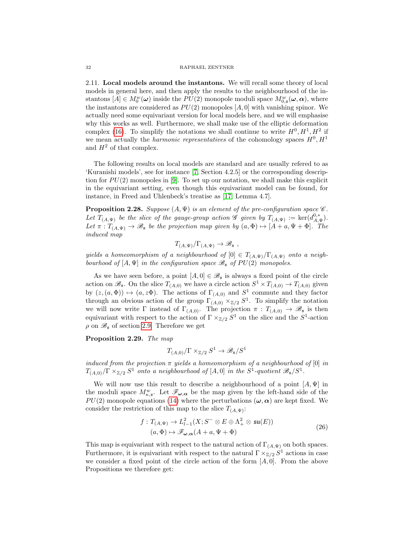2.11. Local models around the instantons. We will recall some theory of local models in general here, and then apply the results to the neighbourhood of the instantons  $[A] \in M_0^w(\omega)$  inside the  $PU(2)$  monopole moduli space  $M_{0,s}^w(\omega, \alpha)$ , where the instantons are considered as  $PU(2)$  monopoles  $[A, 0]$  with vanishing spinor. We actually need some equivariant version for local models here, and we will emphasise why this works as well. Furthermore, we shall make use of the elliptic deformation complex [\(16\)](#page-17-2). To simplify the notations we shall continue to write  $H^0, H^1, H^2$  if we mean actually the *harmonic representatives* of the cohomology spaces  $H^0, H^1$ and  $H^2$  of that complex.

The following results on local models are standard and are usually refered to as 'Kuranishi models', see for instance [\[7,](#page-43-1) Section 4.2.5] or the corresponding description for  $PU(2)$  monopoles in [\[9\]](#page-44-6). To set up our notation, we shall make this explicit in the equivariant setting, even though this equivariant model can be found, for instance, in Freed and Uhlenbeck's treatise as [\[17,](#page-44-15) Lemma 4.7].

<span id="page-31-0"></span>**Proposition 2.28.** Suppose  $(A, \Psi)$  is an element of the pre-configuration space  $\mathscr C$ . Let  $T_{(A,\Psi)}$  be the slice of the gauge-group action  $\mathscr G$  given by  $T_{(A,\Psi)} := \ker(d_{A,\Psi}^{0,*})$ . Let  $\pi: T_{(A,\Psi)} \to \mathscr{B}_{\mathfrak{s}}$  be the projection map given by  $(a,\Phi) \mapsto [A + a, \Psi + \Phi]$ . The induced map

$$
T_{(A,\Psi)}/\Gamma_{(A,\Psi)} \to \mathscr{B}_{\mathfrak{s}} \ ,
$$

yields a homeomorphism of a neighbourhood of  $[0] \in T_{(A,\Psi)} / \Gamma_{(A,\Psi)}$  onto a neighbourhood of  $[A, \Psi]$  in the configuration space  $\mathscr{B}_\mathfrak{s}$  of  $PU(2)$  monopoles.

As we have seen before, a point  $[A, 0] \in \mathcal{B}_{\mathfrak{s}}$  is always a fixed point of the circle action on  $\mathscr{B}_{\mathfrak{s}}$ . On the slice  $T_{(A,0)}$  we have a circle action  $S^1 \times T_{(A,0)} \to T_{(A,0)}$  given by  $(z, (a, \Phi)) \mapsto (a, z\Phi)$ . The actions of  $\Gamma_{(A,0)}$  and  $S^1$  commute and they factor through an obvious action of the group  $\Gamma_{(A,0)} \times_{\mathbb{Z}/2} S^1$ . To simplify the notation we will now write  $\Gamma$  instead of  $\Gamma_{(A,0)}$ . The projection  $\pi: T_{(A,0)} \to \mathscr{B}_{\mathfrak{s}}$  is then equivariant with respect to the action of  $\Gamma \times_{\mathbb{Z}/2} S^1$  on the slice and the  $S^1$ -action  $\rho$  on  $\mathscr{B}_\mathfrak{s}$  of section [2.9.](#page-28-0) Therefore we get

<span id="page-31-2"></span>Proposition 2.29. The map

$$
T_{(A,0)}/\Gamma \times Z_{/2} S^1 \to \mathscr{B}_{\mathfrak{s}}/S^1
$$

induced from the projection  $\pi$  yields a homeomorphism of a neighbourhood of [0] in  $T_{(A,0)}/\Gamma \times_{\mathbb{Z}/2} S^1$  onto a neighbourhood of  $[A,0]$  in the  $S^1$ -quotient  $\mathscr{B}_\mathfrak{s}/S^1$ .

We will now use this result to describe a neighbourhood of a point  $[A, \Psi]$  in the moduli space  $M_{\kappa,s}^w$ . Let  $\mathscr{F}_{\omega,\alpha}$  be the map given by the left-hand side of the  $PU(2)$  monopole equations [\(14\)](#page-16-0) where the perturbations  $(\omega, \alpha)$  are kept fixed. We consider the restriction of this map to the slice  $T_{(A,\Psi)}$ :

$$
f: T_{(A,\Psi)} \to L_{l-1}^2(X; S^- \otimes E \oplus \Lambda^2_+ \otimes \mathfrak{su}(E))
$$
  
(a,  $\Phi$ )  $\mapsto \mathscr{F}_{\omega,\alpha}(A + a, \Psi + \Phi)$  (26)

<span id="page-31-1"></span>This map is equivariant with respect to the natural action of  $\Gamma_{(A,\Psi)}$  on both spaces. Furthermore, it is equivariant with respect to the natural  $\Gamma \times_{\mathbb{Z}/2} S^1$  actions in case we consider a fixed point of the circle action of the form  $[A, 0]$ . From the above Propositions we therefore get: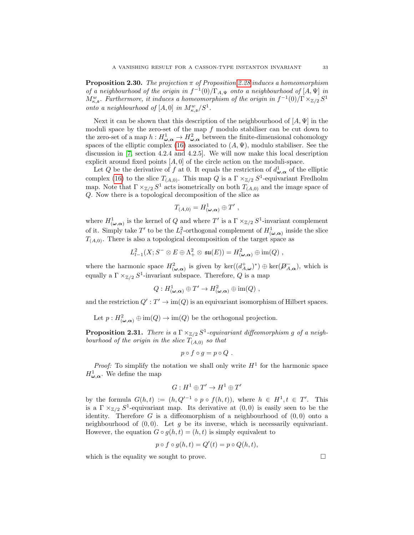<span id="page-32-0"></span>**Proposition 2.30.** The projection  $\pi$  of Proposition [2.28](#page-31-0) induces a homeomorphism of a neighbourhood of the origin in  $f^{-1}(0)/\Gamma_{A,\Psi}$  onto a neighbourhood of  $[A,\Psi]$  in  $M_{\kappa,\mathfrak{s}}^w$ . Furthermore, it induces a homeomorphism of the origin in  $f^{-1}(0)/\Gamma\times_{\mathbb{Z}/2} S^1$ onto a neighbourhood of  $[A, 0]$  in  $M_{\kappa, \mathfrak{s}}^w / S^1$ .

Next it can be shown that this description of the neighbourhood of  $[A, \Psi]$  in the moduli space by the zero-set of the map  $f$  modulo stabiliser can be cut down to the zero-set of a map  $h: H^1_{\omega, \alpha} \to H^2_{\omega, \alpha}$  between the finite-dimensional cohomology spaces of the elliptic complex [\(16\)](#page-17-2) associated to  $(A, \Psi)$ , modulo stabiliser. See the discussion in [\[7,](#page-43-1) section 4.2.4 and 4.2.5]. We will now make this local description explicit around fixed points  $[A, 0]$  of the circle action on the moduli-space.

Let Q be the derivative of f at 0. It equals the restriction of  $d_{\boldsymbol{\omega},\boldsymbol{\alpha}}^1$  of the elliptic complex [\(16\)](#page-17-2) to the slice  $T_{(A,0)}$ . This map Q is a  $\Gamma \times_{\mathbb{Z}/2} S^1$ -equivariant Fredholm map. Note that  $\Gamma \times_{\mathbb{Z}/2} S^1$  acts isometrically on both  $T_{(A,0)}$  and the image space of Q. Now there is a topological decomposition of the slice as

$$
T_{(A,0)} = H^1_{(\boldsymbol{\omega},\boldsymbol{\alpha})} \oplus T' ,
$$

where  $H^1_{(\omega,\alpha)}$  is the kernel of Q and where T' is a  $\Gamma \times_{\mathbb{Z}/2} S^1$ -invariant complement of it. Simply take T' to be the  $L_l^2$ -orthogonal complement of  $H^1_{(\omega,\alpha)}$  inside the slice  $T<sub>(A,0)</sub>$ . There is also a topological decomposition of the target space as

$$
L^2_{l-1}(X;S^- \otimes E \oplus \Lambda^2_+ \otimes \mathfrak{su}(E)) = H^2_{(\omega,\alpha)} \oplus \text{im}(Q) ,
$$

where the harmonic space  $H^2_{(\omega,\alpha)}$  is given by  $\ker((d^+_{A,\omega})^*)\oplus \ker(\mathcal{D}^-_{A,\alpha})$ , which is equally a  $\Gamma \times_{\mathbb{Z}/2} S^1$ -invariant subspace. Therefore, Q is a map

$$
Q: H^1_{(\omega,\alpha)} \oplus T' \to H^2_{(\omega,\alpha)} \oplus \text{im}(Q) ,
$$

and the restriction  $Q': T' \to \text{im}(Q)$  is an equivariant isomorphism of Hilbert spaces.

Let  $p: H^2_{(\omega,\alpha)} \oplus \text{im}(Q) \to \text{im}(Q)$  be the orthogonal projection.

**Proposition 2.31.** There is a  $\Gamma \times_{\mathbb{Z}/2} S^1$ -equivariant diffeomorphism g of a neighbourhood of the origin in the slice  $T_{(A,0)}$  so that

$$
p\circ f\circ g=p\circ Q.
$$

*Proof:* To simplify the notation we shall only write  $H<sup>1</sup>$  for the harmonic space  $H^1_{\boldsymbol{\omega},\boldsymbol{\alpha}}$ . We define the map

$$
G: H^1 \oplus T' \to H^1 \oplus T'
$$

by the formula  $G(h,t) := (h, Q'^{-1} \circ p \circ f(h,t)),$  where  $h \in H^1, t \in T'$ . This is a  $\Gamma \times_{\mathbb{Z}/2} S^1$ -equivariant map. Its derivative at  $(0,0)$  is easily seen to be the identity. Therefore  $G$  is a diffeomorphism of a neighbourhood of  $(0,0)$  onto a neighbourhood of  $(0, 0)$ . Let g be its inverse, which is necessarily equivariant. However, the equation  $G \circ g(h, t) = (h, t)$  is simply equivalent to

$$
p \circ f \circ g(h, t) = Q'(t) = p \circ Q(h, t),
$$

which is the equality we sought to prove.  $\Box$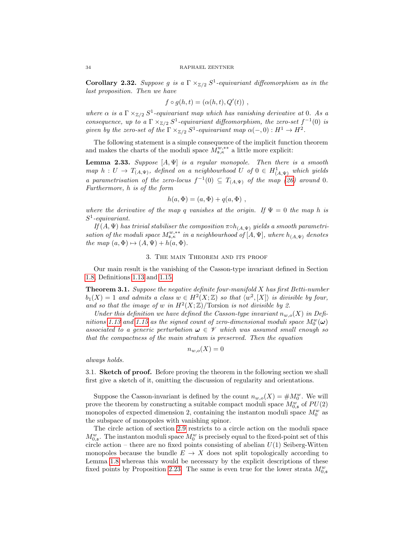<span id="page-33-0"></span>**Corollary 2.32.** Suppose g is a  $\Gamma \times_{\mathbb{Z}/2} S^1$ -equivariant diffeomorphism as in the last proposition. Then we have

$$
f \circ g(h, t) = (\alpha(h, t), Q'(t)),
$$

where  $\alpha$  is a  $\Gamma \times_{\mathbb{Z}/2} S^1$ -equivariant map which has vanishing derivative at 0. As a consequence, up to a  $\Gamma \times_{\mathbb{Z}/2} S^1$ -equivariant diffeomorphism, the zero-set  $f^{-1}(0)$  is given by the zero-set of the  $\Gamma \times_{\mathbb{Z}/2} S^1$ -equivariant map  $\alpha(-,0): H^1 \to H^2$ .

The following statement is a simple consequence of the implicit function theorem and makes the charts of the moduli space  $M_{s,\kappa}^{w,*}$  a little more explicit:

<span id="page-33-2"></span>**Lemma 2.33.** Suppose  $[A, \Psi]$  is a regular monopole. Then there is a smooth map  $h: U \to T_{(A,\Psi)}$ , defined on a neighbourhood U of  $0 \in H^1_{(A,\Psi)}$  which yields a parametrisation of the zero-locus  $f^{-1}(0) \subseteq T_{(A,\Psi)}$  of the map [\(26\)](#page-31-1) around 0. Furthermore, h is of the form

$$
h(a, \Phi) = (a, \Phi) + q(a, \Phi) ,
$$

where the derivative of the map q vanishes at the origin. If  $\Psi = 0$  the map h is  $S^1$ -equivariant.

If  $(A, \Psi)$  has trivial stabiliser the composition  $\pi \circ h_{(A,\Psi)}$  yields a smooth parametrisation of the moduli space  $M^{w,**}_{s,\kappa}$  in a neighbourhood of  $[A, \Psi]$ , where  $h_{(A,\Psi)}$  denotes the map  $(a, \Phi) \mapsto (A, \Psi) + h(a, \Phi)$ .

## 3. The main Theorem and its proof

Our main result is the vanishing of the Casson-type invariant defined in Section [1.8,](#page-10-3) Definitions [1.13](#page-10-2) and [1.15.](#page-11-1)

<span id="page-33-1"></span>**Theorem 3.1.** Suppose the negative definite four-manifold  $X$  has first Betti-number  $b_1(X) = 1$  and admits a class  $w \in H^2(X; \mathbb{Z})$  so that  $\langle w^2, [X] \rangle$  is divisible by four, and so that the image of w in  $H^2(X;\mathbb{Z})$ /Torsion is not divisible by 2.

Under this definition we have defined the Casson-type invariant  $n_{w,o}(X)$  in Defi-nitions [1.13](#page-10-2) and [1.15](#page-11-1) as the signed count of zero-dimensional moduli space  $M_0^w(\boldsymbol{\omega})$ associated to a generic perturbation  $\omega \in \mathcal{V}$  which was assumed small enough so that the compactness of the main stratum is preserved. Then the equation

$$
n_{w,o}(X) = 0
$$

always holds.

3.1. Sketch of proof. Before proving the theorem in the following section we shall first give a sketch of it, omitting the discussion of regularity and orientations.

Suppose the Casson-invariant is defined by the count  $n_{w,o}(X) = \#M_0^w$ . We will prove the theorem by constructing a suitable compact moduli space  $M_{0, \mathfrak{s}}^w$  of  $PU(2)$ monopoles of expected dimension 2, containing the instanton moduli space  $M_0^w$  as the subspace of monopoles with vanishing spinor.

The circle action of section [2.9](#page-28-0) restricts to a circle action on the moduli space  $M_{0, \mathfrak{s}}^{w}$ . The instanton moduli space  $M_{0}^{w}$  is precisely equal to the fixed-point set of this circle action – there are no fixed points consisting of abelian  $U(1)$  Seiberg-Witten monopoles because the bundle  $E \to X$  does not split topologically according to Lemma [1.8](#page-9-1) whereas this would be necessary by the explicit descriptions of these fixed points by Proposition [2.23.](#page-29-1) The same is even true for the lower strata  $M_{0,s}^w$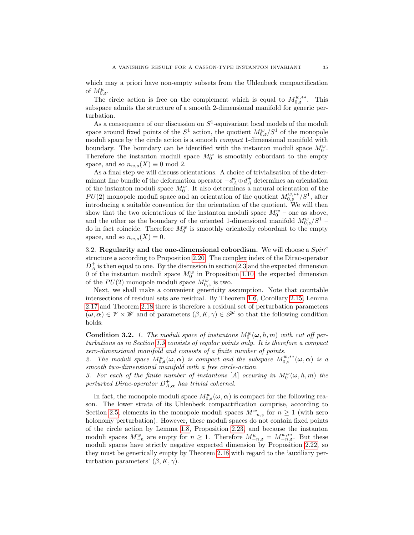which may a priori have non-empty subsets from the Uhlenbeck compactification of  $M_{0,\mathfrak{s}}^w$ .

The circle action is free on the complement which is equal to  $M_{0,s}^{w,**}$ . This subspace admits the structure of a smooth 2-dimensional manifold for generic perturbation.

As a consequence of our discussion on  $S^1$ -equivariant local models of the moduli space around fixed points of the  $S^1$  action, the quotient  $M_{0,s}^w/S^1$  of the monopole moduli space by the circle action is a smooth *compact* 1-dimensional manifold with boundary. The boundary can be identified with the instanton moduli space  $M_0^w$ . Therefore the instanton moduli space  $M_0^w$  is smoothly cobordant to the empty space, and so  $n_{w,o}(X) \equiv 0 \mod 2$ .

As a final step we will discuss orientations. A choice of trivialisation of the determinant line bundle of the deformation operator  $-d_A^* \oplus d_A^+$  determines an orientation of the instanton moduli space  $M_0^w$ . It also determines a natural orientation of the  $PU(2)$  monopole moduli space and an orientation of the quotient  $M_{0,s}^{w,**/} / S^1$ , after introducing a suitable convention for the orientation of the quotient. We will then show that the two orientations of the instanton moduli space  $M_0^w$  – one as above, and the other as the boundary of the oriented 1-dimensional manifold  $M_{0,\mathfrak{s}}^w/S^1$  – do in fact coincide. Therefore  $M_0^w$  is smoothly orientedly cobordant to the empty space, and so  $n_{w,o}(X) = 0$ .

3.2. Regularity and the one-dimensional cobordism. We will choose a  $Spin<sup>c</sup>$ structure s according to Proposition [2.20.](#page-27-1) The complex index of the Dirac-operator  $D_A^+$  is then equal to one. By the discussion in section [2.3](#page-14-2) and the expected dimension 0 of the instanton moduli space  $M_0^w$  in Proposition [1.10,](#page-10-0) the expected dimension of the  $PU(2)$  monopole moduli space  $M_{0, \mathfrak{s}}^w$  is two.

Next, we shall make a convenient genericity assumption. Note that countable intersections of residual sets are residual. By Theorem [1.6,](#page-7-1) Corollary [2.15,](#page-25-1) Lemma [2.17](#page-25-0) and Theorem [2.18](#page-26-1) there is therefore a residual set of perturbation parameters  $(\omega, \alpha) \in \mathscr{V} \times \mathscr{W}$  and of parameters  $(\beta, K, \gamma) \in \mathscr{P}^l$  so that the following condition holds:

<span id="page-34-0"></span>**Condition 3.2.** 1. The moduli space of instantons  $M_0^w(\omega, h, m)$  with cut off perturbations as in Section [1.9](#page-12-0) consists of regular points only. It is therefore a compact zero-dimensional manifold and consists of a finite number of points.

2. The moduli space  $M^w_{0,s}(\omega,\alpha)$  is compact and the subspace  $M^{w, **}_{0,s}(\omega,\alpha)$  is a smooth two-dimensional manifold with a free circle-action.

3. For each of the finite number of instantons [A] occuring in  $M_0^w(\omega, h, m)$  the perturbed Dirac-operator  $D_{A,\alpha}^+$  has trivial cokernel.

In fact, the monopole moduli space  $M^w_{0, \mathfrak{s}}(\omega, \alpha)$  is compact for the following reason. The lower strata of its Uhlenbeck compactification comprise, according to Section [2.5,](#page-17-3) elements in the monopole moduli spaces  $M_{-n,s}^w$  for  $n \geq 1$  (with zero holonomy perturbation). However, these moduli spaces do not contain fixed points of the circle action by Lemma [1.8,](#page-9-1) Proposition [2.23,](#page-29-1) and because the instanton moduli spaces  $M_{-n}^w$  are empty for  $n \geq 1$ . Therefore  $M_{-n,s}^w = M_{-n,s}^{w, **}$ . But these moduli spaces have strictly negative expected dimension by Proposition [2.22,](#page-28-1) so they must be generically empty by Theorem [2.18](#page-26-1) with regard to the 'auxiliary perturbation parameters'  $(\beta, K, \gamma)$ .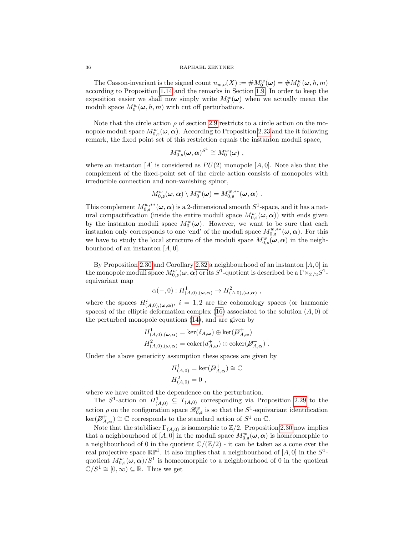#### 36 RAPHAEL ZENTNER

The Casson-invariant is the signed count  $n_{w,o}(X) := \#M_0^w(\omega) = \#M_0^w(\omega, h, m)$ according to Proposition [1.14](#page-11-2) and the remarks in Section [1.9.](#page-12-0) In order to keep the exposition easier we shall now simply write  $M_0^w(\omega)$  when we actually mean the moduli space  $M_0^w(\omega, h, m)$  with cut off perturbations.

Note that the circle action  $\rho$  of section [2.9](#page-28-0) restricts to a circle action on the monopole moduli space  $M^w_{0,s}(\boldsymbol{\omega}, \boldsymbol{\alpha})$ . According to Proposition [2.23](#page-29-1) and the it following remark, the fixed point set of this restriction equals the instanton moduli space,

$$
M_{0,\mathfrak{s}}^w(\boldsymbol{\omega},\boldsymbol{\alpha})^{S^1}\cong M_0^w(\boldsymbol{\omega})\;,
$$

where an instanton [A] is considered as  $PU(2)$  monopole [A, 0]. Note also that the complement of the fixed-point set of the circle action consists of monopoles with irreducible connection and non-vanishing spinor,

$$
M^w_{0,\mathfrak{s}}(\omega,\alpha)\setminus M^w_0(\omega)=M^{w,**}_{0,\mathfrak{s}}(\omega,\alpha).
$$

This complement  $M_{0,\mathfrak{s}}^{w,**}(\omega,\alpha)$  is a 2-dimensional smooth  $S^1$ -space, and it has a natural compactification (inside the entire moduli space  $M_{0,\mathfrak{s}}^w(\boldsymbol{\omega},\boldsymbol{\alpha})$ ) with ends given by the instanton moduli space  $M_0^w(\omega)$ . However, we want to be sure that each instanton only corresponds to one 'end' of the moduli space  $M_{0,s}^{w,*}(\omega,\alpha)$ . For this we have to study the local structure of the moduli space  $M_{0,\mathfrak{s}}^w(\omega,\alpha)$  in the neighbourhood of an instanton  $[A, 0]$ .

By Proposition [2.30](#page-32-0) and Corollary [2.32](#page-33-0) a neighbourhood of an instanton  $[A, 0]$  in the monopole moduli space  $M^w_{0,\mathfrak{s}}(\omega,\alpha)$  or its  $S^1$ -quotient is described be a  $\Gamma\times_{{\mathbb Z}/2}S^1$ equivariant map

$$
\alpha(-,0): H^1_{(A,0),(\boldsymbol{\omega},\boldsymbol{\alpha})} \to H^2_{(A,0),(\boldsymbol{\omega},\boldsymbol{\alpha})}
$$

where the spaces  $H^i_{(A,0),(\omega,\alpha)}, i = 1,2$  are the cohomology spaces (or harmonic spaces) of the elliptic deformation complex [\(16\)](#page-17-2) associated to the solution  $(A, 0)$  of the perturbed monopole equations [\(14\)](#page-16-0), and are given by

$$
H^1_{(A,0),(\omega,\alpha)} = \ker(\delta_{A,\omega}) \oplus \ker(\mathcal{P}^+_{A,\alpha})
$$
  

$$
H^2_{(A,0),(\omega,\alpha)} = \operatorname{coker}(d^+_{A,\omega}) \oplus \operatorname{coker}(\mathcal{P}^+_{A,\alpha}) .
$$

Under the above genericity assumption these spaces are given by

$$
H^1_{(A,0)} = \ker(D^+_{A,\alpha}) \cong \mathbb{C}
$$
  

$$
H^2_{(A,0)} = 0,
$$

where we have omitted the dependence on the perturbation.

The  $S^1$ -action on  $H^1_{(A,0)} \subseteq T_{(A,0)}$  corresponding via Proposition [2.29](#page-31-2) to the action  $\rho$  on the configuration space  $\mathscr{B}_{0,\mathfrak{s}}^w$  is so that the  $S^1$ -equivariant identification  $\ker(\mathcal{D}_{A,\alpha}^+) \cong \mathbb{C}$  corresponds to the standard action of  $S^1$  on  $\mathbb{C}$ .

Note that the stabiliser  $\Gamma_{(A,0)}$  is isomorphic to  $\mathbb{Z}/2$ . Proposition [2.30](#page-32-0) now implies that a neighbourhood of  $[A, 0]$  in the moduli space  $M_{0,s}^w(\omega, \alpha)$  is homeomorphic to a neighbourhood of 0 in the quotient  $\mathbb{C}/(\mathbb{Z}/2)$  - it can be taken as a cone over the real projective space  $\mathbb{RP}^1$ . It also implies that a neighbourhood of  $[A, 0]$  in the  $S^1$ quotient  $M_{0,s}^w(\omega,\alpha)/S^1$  is homeomorphic to a neighbourhood of 0 in the quotient  $\mathbb{C}/S^1 \cong [0,\infty) \subseteq \mathbb{R}$ . Thus we get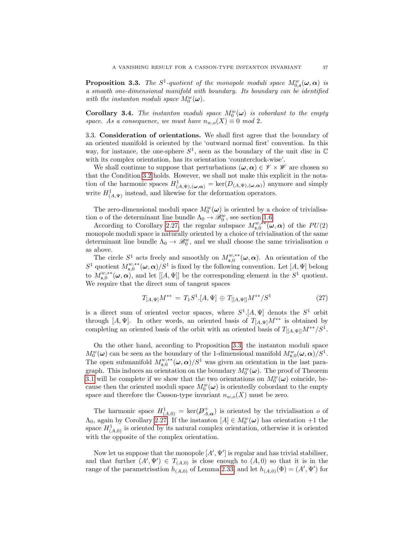<span id="page-36-0"></span>**Proposition 3.3.** The  $S^1$ -quotient of the monopole moduli space  $M_{0,s}^w(\omega,\alpha)$  is a smooth one-dimensional manifold with boundary. Its boundary can be identified with the instanton moduli space  $M_0^w(\boldsymbol{\omega})$ .

**Corollary 3.4.** The instanton moduli space  $M_0^w(\omega)$  is cobordant to the empty space. As a consequence, we must have  $n_{w,o}(X) \equiv 0 \mod 2$ .

3.3. Consideration of orientations. We shall first agree that the boundary of an oriented manifold is oriented by the 'outward normal first' convention. In this way, for instance, the one-sphere  $S^1$ , seen as the boundary of the unit disc in  $\mathbb C$ with its complex orientation, has its orientation 'counterclock-wise'.

We shall continue to suppose that perturbations  $(\omega, \alpha) \in \mathcal{V} \times \mathcal{W}$  are chosen so that the Condition [3.2](#page-34-0) holds. However, we shall not make this explicit in the notation of the harmonic spaces  $H^1_{(A,\Psi),(\omega,\alpha)} = \ker(D_{(A,\Psi),(\omega,\alpha)})$  anymore and simply write  $H^1_{(A,\Psi)}$  instead, and likewise for the deformation operators.

The zero-dimensional moduli space  $M_0^w(\omega)$  is oriented by a choice of trivialisation *o* of the determinant line bundle  $\Lambda_0 \to \mathscr{B}^w_0$ , see section [1.6.](#page-8-1)

According to Corollary [2.27,](#page-30-0) the regular subspace  $M_{\mathfrak{s},0}^{w,**}(\omega,\alpha)$  of the  $PU(2)$ monopole moduli space is naturally oriented by a choice of trivialisation of the same determinant line bundle  $\Lambda_0 \to \mathcal{B}_0^w$ , and we shall choose the same trivialisation of as above.

The circle  $S^1$  acts freely and smoothly on  $M_{\mathfrak{s},0}^{w,**}(\omega,\alpha)$ . An orientation of the S<sup>1</sup> quotient  $M_{\mathfrak{s},0}^{w,*}(\omega,\alpha)/S^1$  is fixed by the following convention. Let  $[A,\Psi]$  belong to  $M_{\mathfrak{s},0}^{w,*}(\omega,\alpha)$ , and let  $[[A,\Psi]]$  be the corresponding element in the  $S^1$  quotient. We require that the direct sum of tangent spaces

<span id="page-36-1"></span>
$$
T_{[A,\Psi]}M^{**} = T_1S^1.[A,\Psi] \oplus T_{[[A,\Psi]]}M^{**}/S^1 \tag{27}
$$

is a direct sum of oriented vector spaces, where  $S^1$ . [A,  $\Psi$ ] denots the  $S^1$  orbit through [A, Ψ]. In other words, an oriented basis of  $T_{[A,\Psi]}M^{**}$  is obtained by completing an oriented basis of the orbit with an oriented basis of  $T_{[[A,\Psi]]}M^{**}/S^1$ .

On the other hand, according to Proposition [3.3,](#page-36-0) the instanton moduli space  $M_0^w(\omega)$  can be seen as the boundary of the 1-dimensional manifold  $M_{\mathfrak{s},0}^w(\omega,\alpha)/S^1$ . The open submanifold  $M_{\mathfrak{s},0}^{w,**}(\omega,\alpha)/S^1$  was given an orientation in the last paragraph. This induces an orientation on the boundary  $M_0^w(\boldsymbol{\omega})$ . The proof of Theorem [3.1](#page-33-1) will be complete if we show that the two orientations on  $M_0^w(\omega)$  coincide, because then the oriented moduli space  $M_0^w(\boldsymbol{\omega})$  is orientedly cobordant to the empty space and therefore the Casson-type invariant  $n_{w,o}(X)$  must be zero.

The harmonic space  $H^1_{(A,0)} = \text{ker}(\mathcal{D}^+_{A,\alpha})$  is oriented by the trivialisation o of  $\Lambda_0$ , again by Corollary [2.27.](#page-30-0) If the instanton  $[A] \in M_0^w(\omega)$  has orientation +1 the space  $H^1_{(A,0)}$  is oriented by its natural complex orientation, otherwise it is oriented with the opposite of the complex orientation.

Now let us suppose that the monopole  $[A', \Psi']$  is regular and has trivial stabiliser, and that further  $(A', \Psi') \in T_{(A,0)}$  is close enough to  $(A,0)$  so that it is in the range of the parametrisation  $h_{(A,0)}$  of Lemma [2.33,](#page-33-2) and let  $h_{(A,0)}(\Phi) = (A', \Psi')$  for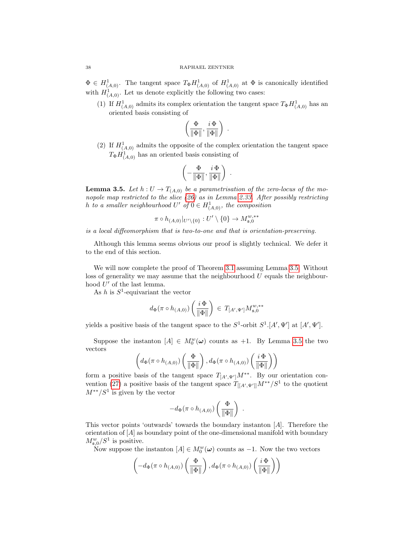$\Phi \in H^1_{(A,0)}$ . The tangent space  $T_{\Phi} H^1_{(A,0)}$  of  $H^1_{(A,0)}$  at  $\Phi$  is canonically identified with  $H^1_{(A,0)}$ . Let us denote explicitly the following two cases:

(1) If  $H^1_{(A,0)}$  admits its complex orientation the tangent space  $T_{\Phi}H^1_{(A,0)}$  has an oriented basis consisting of

$$
\left(\frac{\Phi}{\|\Phi\|},\frac{i\,\Phi}{\|\Phi\|}\right) \ .
$$

(2) If  $H^1_{(A,0)}$  admits the opposite of the complex orientation the tangent space  $T_{\Phi}H_{(A,0)}^{1}$  has an oriented basis consisting of

$$
\left(-\frac{\Phi}{\|\Phi\|},\frac{i\,\Phi}{\|\Phi\|}\right) \ .
$$

<span id="page-37-0"></span>**Lemma 3.5.** Let  $h: U \to T_{(A,0)}$  be a parametrisation of the zero-locus of the monopole map restricted to the slice [\(26\)](#page-31-1) as in Lemma [2.33.](#page-33-2) After possibly restricting h to a smaller neighbourhood  $U'$  of  $0 \in H^1_{(A,0)}$ , the composition

$$
\pi \circ h_{(A,0)}|_{U'\setminus\{0\}}:U'\setminus\{0\}\to M_{\mathfrak{s},0}^{w,**}
$$

is a local diffeomorphism that is two-to-one and that is orientation-preserving.

Although this lemma seems obvious our proof is slightly technical. We defer it to the end of this section.

We will now complete the proof of Theorem [3.1](#page-33-1) assuming Lemma [3.5.](#page-37-0) Without loss of generality we may assume that the neighbourhood  $U$  equals the neighbourhood  $U'$  of the last lemma.

As h is  $S^1$ -equivariant the vector

$$
d_{\Phi}(\pi \circ h_{(A,0)}) \left( \frac{i \Phi}{\|\Phi\|} \right) \, \in \, T_{[A',\Psi']} M_{{\mathfrak{s}},0}^{w, **}
$$

yields a positive basis of the tangent space to the  $S^1$ -orbit  $S^1$ .[A',  $\Psi'$ ] at [A',  $\Psi'$ ].

Suppose the instanton  $[A] \in M_0^w(\omega)$  counts as +1. By Lemma [3.5](#page-37-0) the two vectors

$$
\left(d_{\Phi}(\pi \circ h_{(A,0)})\left(\frac{\Phi}{\|\Phi\|}\right), d_{\Phi}(\pi \circ h_{(A,0)})\left(\frac{i\Phi}{\|\Phi\|}\right)\right)
$$

form a positive basis of the tangent space  $T_{[A',\Psi']}M^{**}$ . By our orientation con-vention [\(27\)](#page-36-1) a positive basis of the tangent space  $T_{[[A',\Psi']]}M^{**}/S^1$  to the quotient  $M^{**}/S^1$  is given by the vector

$$
-d_{\Phi}(\pi \circ h_{(A,0)})\left(\frac{\Phi}{\|\Phi\|}\right) .
$$

This vector points 'outwards' towards the boundary instanton [A]. Therefore the orientation of  $[A]$  as boundary point of the one-dimensional manifold with boundary  $M_{\mathfrak{s},0}^w/S^1$  is positive.

Now suppose the instanton  $[A] \in M_0^w(\omega)$  counts as  $-1$ . Now the two vectors

$$
\left(-d_{\Phi}(\pi\circ h_{(A,0)})\left(\frac{\Phi}{\|\Phi\|}\right),d_{\Phi}(\pi\circ h_{(A,0)})\left(\frac{i\,\Phi}{\|\Phi\|}\right)\right)
$$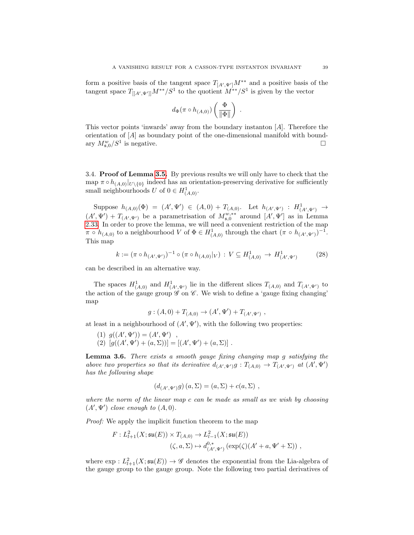form a positive basis of the tangent space  $T_{[A',\Psi']}M^{**}$  and a positive basis of the tangent space  $T_{[[A',\Psi']]}M^{**}/S^1$  to the quotient  $M^{**}/S^1$  is given by the vector

$$
d_{\Phi}(\pi \circ h_{(A,0)})\left(\frac{\Phi}{\|\Phi\|}\right) .
$$

This vector points 'inwards' away from the boundary instanton [A]. Therefore the orientation of [A] as boundary point of the one-dimensional manifold with boundary  $M_{\mathfrak{s},0}^w/S^1$  is negative.

3.4. Proof of Lemma [3.5.](#page-37-0) By previous results we will only have to check that the map  $\pi \circ h_{(A,0)}|_{U\setminus\{0\}}$  indeed has an orientation-preserving derivative for sufficiently small neighbourhoods U of  $0 \in H^1_{(A,0)}$ .

Suppose  $h_{(A,0)}(\Phi) = (A', \Psi') \in (A,0) + T_{(A,0)}$ . Let  $h_{(A',\Psi')} : H^1_{(A',\Psi')} \to$  $(A',\Psi') + T_{(A',\Psi')}$  be a parametrisation of  $M_{\mathfrak{s},0}^{w,**}$  around  $[A',\Psi']$  as in Lemma [2.33.](#page-33-2) In order to prove the lemma, we will need a convenient restriction of the map  $\pi \circ h_{(A,0)}$  to a neighbourhood V of  $\Phi \in H^1_{(A,0)}$  through the chart  $(\pi \circ h_{(A',\Psi')})^{-1}$ . This map

<span id="page-38-0"></span>
$$
k := (\pi \circ h_{(A',\Psi')})^{-1} \circ (\pi \circ h_{(A,0)}|_V) : V \subseteq H^1_{(A,0)} \to H^1_{(A',\Psi')} \tag{28}
$$

can be described in an alternative way.

The spaces  $H^1_{(A,0)}$  and  $H^1_{(A',\Psi')}$  lie in the different slices  $T_{(A,0)}$  and  $T_{(A',\Psi')}$  to the action of the gauge group  $\mathscr G$  on  $\mathscr C$ . We wish to define a 'gauge fixing changing' map

$$
g: (A,0) + T_{(A,0)} \to (A',\Psi') + T_{(A',\Psi')} ,
$$

at least in a neighbourhood of  $(A', \Psi')$ , with the following two properties:

(1)  $g((A', \Psi')) = (A', \Psi')$ ,

(2)  $[g((A', \Psi') + (a, \Sigma))] = [(A', \Psi') + (a, \Sigma)].$ 

<span id="page-38-1"></span>Lemma 3.6. There exists a smooth gauge fixing changing map g satisfying the above two properties so that its derivative  $d_{(A',\Psi')}g: T_{(A,0)} \to T_{(A',\Psi')}$  at  $(A',\Psi')$ has the following shape

$$
(d_{(A',\Psi')}g)(a,\Sigma) = (a,\Sigma) + c(a,\Sigma) ,
$$

where the norm of the linear map c can be made as small as we wish by choosing  $(A', \Psi')$  close enough to  $(A, 0)$ .

Proof: We apply the implicit function theorem to the map

$$
F: L^2_{l+1}(X; \mathfrak{su}(E)) \times T_{(A,0)} \to L^2_{l-1}(X; \mathfrak{su}(E))
$$
  

$$
(\zeta, a, \Sigma) \mapsto d^{0,*}_{(A', \Psi')}(\exp(\zeta)(A' + a, \Psi' + \Sigma)) ,
$$

where  $\exp: L^2_{l+1}(X;\mathfrak{su}(E)) \to \mathscr{G}$  denotes the exponential from the Lia-algebra of the gauge group to the gauge group. Note the following two partial derivatives of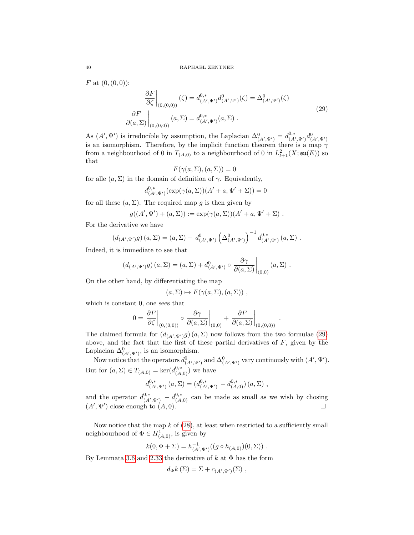<span id="page-39-0"></span>F at  $(0, (0, 0))$ :

$$
\frac{\partial F}{\partial \zeta}\Big|_{(0,(0,0))} (\zeta) = d_{(A',\Psi')}^{0,*} d_{(A',\Psi')}^{0}(\zeta) = \Delta_{(A',\Psi')}^{0}(\zeta)
$$
\n
$$
\frac{\partial F}{\partial(a,\Sigma)}\Big|_{(0,(0,0))} (a,\Sigma) = d_{(A',\Psi')}^{0,*}(a,\Sigma) .
$$
\n(29)

As  $(A', \Psi')$  is irreducible by assumption, the Laplacian  $\Delta^0_{(A',\Psi')} = d^{0,*}_{(A',\Psi')} d^0_{(A',\Psi')}$ is an isomorphism. Therefore, by the implicit function theorem there is a map  $\gamma$ from a neighbourhood of 0 in  $T_{(A,0)}$  to a neighbourhood of 0 in  $L^2_{l+1}(X;\mathfrak{su}(E))$  so that

$$
F(\gamma(a,\Sigma),(a,\Sigma))=0
$$

for alle  $(a, \Sigma)$  in the domain of definition of  $\gamma$ . Equivalently,

$$
d_{(A',\Psi')}^{0,*}(\exp(\gamma(a,\Sigma))(A'+a,\Psi'+\Sigma))=0
$$

for all these  $(a, \Sigma)$ . The required map g is then given by

$$
g((A',\Psi')+(a,\Sigma)):=\exp(\gamma(a,\Sigma))(A'+a,\Psi'+\Sigma)\ .
$$

For the derivative we have

$$
(d_{(A',\Psi')}g)(a,\Sigma) = (a,\Sigma) - d^0_{(A',\Psi')} \left(\Delta^0_{(A',\Psi')}\right)^{-1} d^{0,*}_{(A',\Psi')} (a,\Sigma) .
$$

Indeed, it is immediate to see that

$$
(d_{(A',\Psi')}g)(a,\Sigma) = (a,\Sigma) + d^0_{(A',\Psi')} \circ \left. \frac{\partial \gamma}{\partial (a,\Sigma)} \right|_{(0,0)} (a,\Sigma) .
$$

On the other hand, by differentiating the map

$$
(a,\Sigma)\mapsto F(\gamma(a,\Sigma),(a,\Sigma))\ ,
$$

which is constant 0, one sees that

$$
0 = \frac{\partial F}{\partial \zeta}\bigg|_{(0,(0,0))} \circ \frac{\partial \gamma}{\partial (a,\Sigma)}\bigg|_{(0,0)} + \frac{\partial F}{\partial (a,\Sigma)}\bigg|_{(0,(0,0))}
$$

.

The claimed formula for  $(d_{(A',\Psi')}g)(a,\Sigma)$  now follows from the two formulae [\(29\)](#page-39-0) above, and the fact that the first of these partial derivatives of  $F$ , given by the Laplacian  $\Delta^0_{(A',\Psi')}$ , is an isomorphism.

Now notice that the operators  $d^0_{(A',\Psi')}$  and  $\Delta^0_{(A',\Psi')}$  vary continously with  $(A',\Psi').$ But for  $(a, \Sigma) \in T_{(A,0)} = \ker(d_{(A,0)}^{0,*})$  we have

$$
d_{(A',\Psi')}^{0,*}(a,\Sigma) = (d_{(A',\Psi')}^{0,*} - d_{(A,0)}^{0,*})(a,\Sigma) ,
$$

and the operator  $d_{(A',\Psi')}^{0,*} - d_{(A,0)}^{0,*}$  can be made as small as we wish by chosing  $(A', \Psi')$  close enough to  $(A, 0)$ .

Now notice that the map  $k$  of  $(28)$ , at least when restricted to a sufficiently small neighbourhood of  $\Phi \in H^1_{(A,0)}$ , is given by

$$
k(0, \Phi + \Sigma) = h_{(A', \Psi')}^{-1}((g \circ h_{(A,0)})(0, \Sigma)) .
$$

By Lemmata [3.6](#page-38-1) and [2.33](#page-33-2) the derivative of k at  $\Phi$  has the form

$$
d_{\Phi}k(\Sigma) = \Sigma + c_{(A',\Psi')}(\Sigma) ,
$$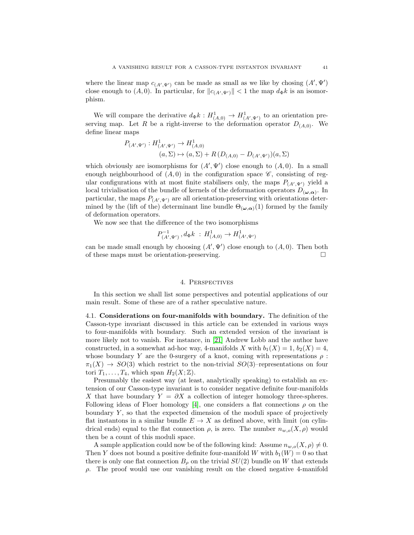where the linear map  $c_{(A',\Psi')}$  can be made as small as we like by chosing  $(A',\Psi')$ close enough to  $(A, 0)$ . In particular, for  $||c_{(A',\Psi')}|| < 1$  the map  $d_{\Phi}k$  is an isomorphism.

We will compare the derivative  $d_{\Phi}k: H^1_{(A,0)} \to H^1_{(A',\Psi')}$  to an orientation preserving map. Let R be a right-inverse to the deformation operator  $D_{(A,0)}$ . We define linear maps

$$
P_{(A',\Psi')} : H^1_{(A',\Psi')} \to H^1_{(A,0)}
$$
  

$$
(a,\Sigma) \mapsto (a,\Sigma) + R\left(D_{(A,0)} - D_{(A',\Psi')}\right)(a,\Sigma)
$$

which obviously are isomorphisms for  $(A', \Psi')$  close enough to  $(A, 0)$ . In a small enough neighbourhood of  $(A, 0)$  in the configuration space  $\mathscr{C}$ , consisting of regular configurations with at most finite stabilisers only, the maps  $P_{(A',\Psi')}$  yield a local trivialisation of the bundle of kernels of the deformation operators  $D_{(\omega,\alpha)}$ . In particular, the maps  $P_{(A',\Psi')}$  are all orientation-preserving with orientations determined by the (lift of the) determinant line bundle  $\Theta_{(\omega,\alpha)}(1)$  formed by the family of deformation operators.

We now see that the difference of the two isomorphisms

$$
P_{(A',\Psi')}^{-1}
$$
,  $d_{\Phi}k$  :  $H_{(A,0)}^1 \to H_{(A',\Psi')}^1$ 

can be made small enough by choosing  $(A', \Psi')$  close enough to  $(A, 0)$ . Then both of these maps must be orientation-preserving.

## 4. Perspectives

In this section we shall list some perspectives and potential applications of our main result. Some of these are of a rather speculative nature.

4.1. Considerations on four-manifolds with boundary. The definition of the Casson-type invariant discussed in this article can be extended in various ways to four-manifolds with boundary. Such an extended version of the invariant is more likely not to vanish. For instance, in [\[21\]](#page-44-1) Andrew Lobb and the author have constructed, in a somewhat ad-hoc way, 4-manifolds X with  $b_1(X) = 1$ ,  $b_2(X) = 4$ , whose boundary Y are the 0-surgery of a knot, coming with representations  $\rho$ :  $\pi_1(X) \to SO(3)$  which restrict to the non-trivial  $SO(3)$ –representations on four tori  $T_1, \ldots, T_4$ , which span  $H_2(X; \mathbb{Z})$ .

Presumably the easiest way (at least, analytically speaking) to establish an extension of our Casson-type invariant is to consider negative definite four-manifolds X that have boundary  $Y = \partial X$  a collection of integer homology three-spheres. Following ideas of Floer homology [\[4\]](#page-43-5), one considers a flat connections  $\rho$  on the boundary  $Y$ , so that the expected dimension of the moduli space of projectively flat instantons in a similar bundle  $E \to X$  as defined above, with limit (on cylindrical ends) equal to the flat connection  $\rho$ , is zero. The number  $n_{w,o}(X,\rho)$  would then be a count of this moduli space.

A sample application could now be of the following kind: Assume  $n_{w,o}(X, \rho) \neq 0$ . Then Y does not bound a positive definite four-manifold W with  $b_1(W) = 0$  so that there is only one flat connection  $B_\rho$  on the trivial  $SU(2)$  bundle on W that extends  $ρ$ . The proof would use our vanishing result on the closed negative 4-manifold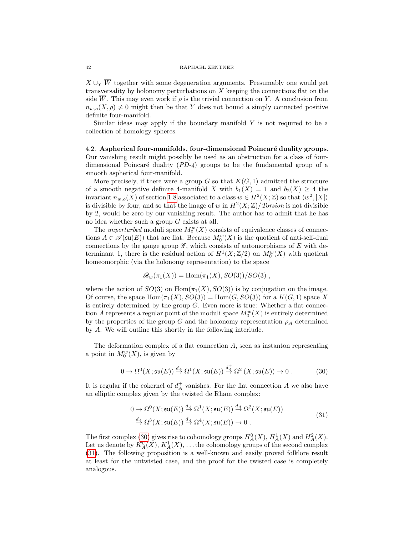$X \cup_Y \overline{W}$  together with some degeneration arguments. Presumably one would get transversality by holonomy perturbations on  $X$  keeping the connections flat on the side  $\overline{W}$ . This may even work if  $\rho$  is the trivial connection on Y. A conclusion from  $n_{w,o}(X, \rho) \neq 0$  might then be that Y does not bound a simply connected positive definite four-manifold.

Similar ideas may apply if the boundary manifold  $Y$  is not required to be a collection of homology spheres.

4.2. Aspherical four-manifolds, four-dimensional Poincaré duality groups. Our vanishing result might possibly be used as an obstruction for a class of fourdimensional Poincaré duality  $(PD-4)$  groups to be the fundamental group of a smooth aspherical four-manifold.

More precisely, if there were a group  $G$  so that  $K(G, 1)$  admitted the structure of a smooth negative definite 4-manifold X with  $b_1(X) = 1$  and  $b_2(X) \geq 4$  the invariant  $n_{w,o}(X)$  of section [1.8](#page-10-3) associated to a class  $w \in H^2(X; \mathbb{Z})$  so that  $\langle w^2, [X] \rangle$ is divisible by four, and so that the image of w in  $H^2(X;\mathbb{Z})/Torsion$  is not divisible by 2, would be zero by our vanishing result. The author has to admit that he has no idea whether such a group G exists at all.

The *unperturbed* moduli space  $M_0^w(X)$  consists of equivalence classes of connections  $A \in \mathscr{A}(\mathfrak{su}(E))$  that are flat. Because  $M_0^w(X)$  is the quotient of anti-self-dual connections by the gauge group  $\mathscr G$ , which consists of automorphisms of E with determinant 1, there is the residual action of  $H^1(X;\mathbb{Z}/2)$  on  $M_0^w(X)$  with quotient homeomorphic (via the holonomy representation) to the space

$$
\mathscr{R}_w(\pi_1(X)) = \text{Hom}(\pi_1(X), SO(3))/SO(3)
$$
,

where the action of  $SO(3)$  on  $Hom(\pi_1(X), SO(3))$  is by conjugation on the image. Of course, the space  $\text{Hom}(\pi_1(X), SO(3)) = \text{Hom}(G, SO(3))$  for a  $K(G, 1)$  space X is entirely determined by the group  $G$ . Even more is true: Whether a flat connection A represents a regular point of the moduli space  $M_0^w(X)$  is entirely determined by the properties of the group G and the holonomy representation  $\rho_A$  determined by A. We will outline this shortly in the following interlude.

The deformation complex of a flat connection A, seen as instanton representing a point in  $M_0^w(X)$ , is given by

<span id="page-41-0"></span>
$$
0 \to \Omega^0(X; \mathfrak{su}(E)) \stackrel{d_A}{\to} \Omega^1(X; \mathfrak{su}(E)) \stackrel{d_A^+}{\to} \Omega^2_+(X; \mathfrak{su}(E)) \to 0.
$$
 (30)

It is regular if the cokernel of  $d_A^+$  vanishes. For the flat connection A we also have an elliptic complex given by the twisted de Rham complex:

$$
0 \to \Omega^{0}(X;\mathfrak{su}(E)) \stackrel{d_A}{\to} \Omega^{1}(X;\mathfrak{su}(E)) \stackrel{d_A}{\to} \Omega^{2}(X;\mathfrak{su}(E))
$$
  

$$
\stackrel{d_A}{\to} \Omega^{3}(X;\mathfrak{su}(E)) \stackrel{d_A}{\to} \Omega^{4}(X;\mathfrak{su}(E)) \to 0.
$$
 (31)

<span id="page-41-1"></span>The first complex [\(30\)](#page-41-0) gives rise to cohomology groups  $H_A^0(X)$ ,  $H_A^1(X)$  and  $H_A^2(X)$ . Let us denote by  $K_A^0(X)$ ,  $K_A^1(X)$ , ... the cohomology groups of the second complex [\(31\)](#page-41-1). The following proposition is a well-known and easily proved folklore result at least for the untwisted case, and the proof for the twisted case is completely analogous.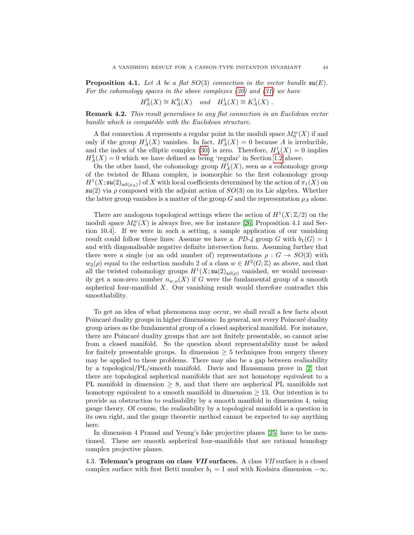**Proposition 4.1.** Let A be a flat  $SO(3)$  connection in the vector bundle  $\mathfrak{su}(E)$ . For the cohomology spaces in the above complexes  $(30)$  and  $(31)$  we have

$$
H_A^0(X) \cong K_A^0(X) \quad and \quad H_A^1(X) \cong K_A^1(X) .
$$

Remark 4.2. This result generalises to any flat connection in an Euclidean vector bundle which is compatible with the Euclidean structure.

A flat connection A represents a regular point in the moduli space  $M_0^w(X)$  if and only if the group  $H_A^1(X)$  vanishes. In fact,  $H_A^0(X) = 0$  because A is irreducible, and the index of the elliptic complex [\(30\)](#page-41-0) is zero. Therefore,  $H_A^1(X) = 0$  implies  $H_A^2(X) = 0$  which we have defined as being 'regular' in Section [1.2](#page-3-2) above.

On the other hand, the cohomology group  $H_A^1(X)$ , seen as a cohomology group of the twisted de Rham complex, is isomorphic to the first cohomology group  $H^1(X; \mathfrak{su}(2)_{\text{ad}(\rho_A)})$  of X with local coefficients determined by the action of  $\pi_1(X)$  on  $\mathfrak{su}(2)$  via  $\rho$  composed with the adjoint action of  $SO(3)$  on its Lie algebra. Whether the latter group vanishes is a matter of the group G and the representation  $\rho_A$  alone.

There are analogous topological settings where the action of  $H^1(X;\mathbb{Z}/2)$  on the moduli space  $M_0^w(X)$  is always free, see for instance [\[26,](#page-44-2) Proposition 4.1 and Section 10.4]. If we were in such a setting, a sample application of our vanishing result could follow these lines: Assume we have a  $PD-4$  group G with  $b_1(G) = 1$ and with diagonalisable negative definite intersection form. Assuming further that there were a single (or an odd number of) representations  $\rho : G \to SO(3)$  with  $w_2(\rho)$  equal to the reduction modulo 2 of a class  $w \in H^2(G, \mathbb{Z})$  as above, and that all the twisted cohomology groups  $H^1(X; \mathfrak{su}(2)_{\text{ad}(\rho)}$  vanished, we would necessarily get a non-zero number  $n_{w,o}(X)$  if G were the fundamental group of a smooth aspherical four-manifold X. Our vanishing result would therefore contradict this smoothability.

To get an idea of what phenomena may occur, we shall recall a few facts about Poincaré duality groups in higher dimensions: In general, not every Poincaré duality group arises as the fundamental group of a closed aspherical manifold. For instance, there are Poincaré duality groups that are not finitely presentable, so cannot arise from a closed manifold. So the question about representability must be asked for finitely presentable groups. In dimension  $\geq 5$  techniques from surgery theory may be applied to these problems. There may also be a gap between realisability by a topological/PL/smooth manifold. Davis and Haussmann prove in [\[2\]](#page-43-6) that there are topological aspherical manifolds that are not homotopy equivalent to a PL manifold in dimension  $\geq 8$ , and that there are aspherical PL manifolds not homotopy equivalent to a smooth manifold in dimension  $\geq$  13. Our intention is to provide an obstruction to realisability by a smooth manifold in dimension 4, using gauge theory. Of course, the realisability by a topological manifold is a question in its own right, and the gauge theoretic method cannot be expected to say anything here.

In dimension 4 Prasad and Yeung's fake projective planes [\[25\]](#page-44-25) have to be mentioned. These are smooth aspherical four-manifolds that are rational homology complex projective planes.

<span id="page-42-0"></span>4.3. Teleman's program on class VII surfaces. A class VII surface is a closed complex surface with first Betti number  $b_1 = 1$  and with Kodaira dimension  $-\infty$ .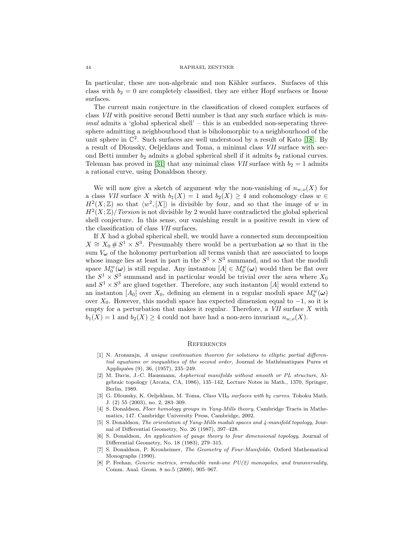#### 44 RAPHAEL ZENTNER

In particular, these are non-algebraic and non Kähler surfaces. Surfaces of this class with  $b_2 = 0$  are completely classified, they are either Hopf surfaces or Inoue surfaces.

The current main conjecture in the classification of closed complex surfaces of class VII with positive second Betti number is that any such surface which is min $imal$  admits a 'global spherical shell' – this is an embedded non-seperating threesphere admitting a neighbourhood that is biholomorphic to a neighbourhood of the unit sphere in  $\mathbb{C}^2$ . Such surfaces are well understood by a result of Kato [\[18\]](#page-44-26). By a result of Dloussky, Oeljeklaus and Toma, a minimal class VII surface with second Betti number  $b_2$  admits a global spherical shell if it admits  $b_2$  rational curves. Teleman has proved in [\[31\]](#page-44-13) that any minimal class VII surface with  $b_2 = 1$  admits a rational curve, using Donaldson theory.

We will now give a sketch of argument why the non-vanishing of  $n_{w,o}(X)$  for a class VII surface X with  $b_1(X) = 1$  and  $b_2(X) \geq 4$  and cohomology class  $w \in$  $H^2(X;\mathbb{Z})$  so that  $\langle w^2,[X]\rangle$  is divisible by four, and so that the image of w in  $H^2(X;\mathbb{Z})$  Torsion is not divisible by 2 would have contradicted the global spherical shell conjecture. In this sense, our vanishing result is a positive result in view of the classification of class VII surfaces.

If  $X$  had a global spherical shell, we would have a connected sum decomposition  $X \cong X_0 \# S^1 \times S^3$ . Presumably there would be a perturbation  $\omega$  so that in the sum  $V_{\boldsymbol{\omega}}$  of the holonomy perturbation all terms vanish that are associated to loops whose image lies at least in part in the  $S^1 \times S^3$  summand, and so that the moduli space  $M_0^w(\omega)$  is still regular. Any instanton  $[A] \in M_0^w(\omega)$  would then be flat over the  $S^1 \times S^3$  summand and in particular would be trivial over the area where  $X_0$ and  $S^1 \times S^3$  are glued together. Therefore, any such instanton [A] would extend to an instanton [ $A_0$ ] over  $X_0$ , defining an element in a regular moduli space  $M_0^w(\omega)$ over  $X_0$ . However, this moduli space has expected dimension equal to  $-1$ , so it is empty for a perturbation that makes it regular. Therefore, a  $VII$  surface  $X$  with  $b_1(X) = 1$  and  $b_2(X) \geq 4$  could not have had a non-zero invariant  $n_{w,o}(X)$ .

### **REFERENCES**

- <span id="page-43-4"></span>[1] N. Aronszajn, A unique continuation theorem for solutions to elliptic partial differential equations or inequalities of the second order, Journal de Mathématiques Pures et Appliquées (9), 36, (1957), 235-249.
- <span id="page-43-6"></span>[2] M. Davis, J.-C. Hausmann, Aspherical manifolds without smooth or PL structure, Algebraic topology (Arcata, CA, 1986), 135–142, Lecture Notes in Math., 1370, Springer, Berlin, 1989.
- [3] G. Dloussky, K. Oeljeklaus, M. Toma, Class VII<sub>0</sub> surfaces with b<sub>2</sub> curves. Tohoku Math. J. (2) 55 (2003), no. 2, 283–309.
- <span id="page-43-5"></span>[4] S. Donaldson, Floer homology groups in Yang-Mills theory, Cambridge Tracts in Mathematics, 147. Cambridge University Press, Cambridge, 2002.
- <span id="page-43-2"></span>[5] S. Donaldson, The orientation of Yang-Mills moduli spaces and 4-manifold topology, Journal of Differential Geometry, No. 26 (1987), 397–428.
- <span id="page-43-3"></span>[6] S. Donaldson, An application of gauge theory to four dimensional topology, Journal of Differential Geometry, No. 18 (1983), 279–315.
- <span id="page-43-1"></span>[7] S. Donaldson, P. Kronheimer, The Geometry of Four-Manifolds, Oxford Mathematical Monographs (1990).
- <span id="page-43-0"></span>[8] P. Feehan, Generic metrics, irreducible rank-one PU(2) monopoles, and transversality, Comm. Anal. Geom. 8 no.5 (2000), 905–967.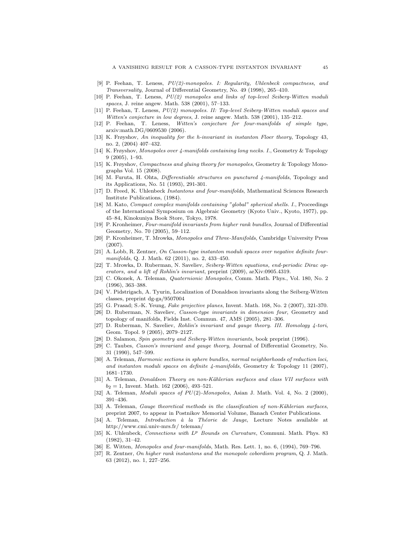- <span id="page-44-6"></span>[9] P. Feehan, T. Leness, PU(2)-monopoles. I: Regularity, Uhlenbeck compactness, and Transversality, Journal of Differential Geometry, No. 49 (1998), 265–410.
- <span id="page-44-7"></span>[10] P. Feehan, T. Leness, PU(2) monopoles and links of top-level Seiberg-Witten moduli spaces, J. reine angew. Math. 538 (2001), 57–133.
- <span id="page-44-8"></span>[11] P. Feehan, T. Leness, PU(2) monopoles. II: Top-level Seiberg-Witten moduli spaces and Witten's conjecture in low degrees, J. reine angew. Math. 538 (2001), 135–212.
- <span id="page-44-9"></span>[12] P. Feehan, T. Leness, Witten's conjecture for four-manifolds of simple type, arxiv:math.DG/0609530 (2006).
- <span id="page-44-18"></span>[13] K. Frøyshov, An inequality for the h-invariant in instanton Floer theory, Topology 43, no. 2, (2004) 407–432.
- [14] K. Frøyshov, Monopoles over 4-manifolds containing long necks. I., Geometry & Topology 9 (2005), 1–93.
- <span id="page-44-24"></span>[15] K. Frøyshov, Compactness and gluing theory for monopoles, Geometry & Topology Monographs Vol. 15 (2008).
- <span id="page-44-3"></span>[16] M. Furuta, H. Ohta, Differentiable structures on punctured 4-manifolds, Topology and its Applications, No. 51 (1993), 291-301.
- <span id="page-44-15"></span>[17] D. Freed, K. Uhlenbeck Instantons and four-manifolds, Mathematical Sciences Research Institute Publications, (1984).
- <span id="page-44-26"></span>[18] M. Kato, *Compact complex manifolds containing "global" spherical shells. I.*, Proceedings of the International Symposium on Algebraic Geometry (Kyoto Univ., Kyoto, 1977), pp. 45–84, Kinokuniya Book Store, Tokyo, 1978.
- <span id="page-44-12"></span>[19] P. Kronheimer, Four-manifold invariants from higher rank bundles, Journal of Differential Geometry, No. 70 (2005), 59–112.
- <span id="page-44-17"></span>[20] P. Kronheimer, T. Mrowka, Monopoles and Three-Manifolds, Cambridge University Press (2007).
- <span id="page-44-1"></span>[21] A. Lobb, R. Zentner, On Casson-type instanton moduli spaces over negative definite fourmanifolds, Q. J. Math. 62 (2011), no. 2, 433–450.
- <span id="page-44-5"></span>[22] T. Mrowka, D. Ruberman, N. Saveliev, Seiberg-Witten equations, end-periodic Dirac operators, and a lift of Rohlin's invariant, preprint (2009), arXiv:0905.4319.
- <span id="page-44-11"></span>[23] C. Okonek, A. Teleman, Quaternionic Monopoles, Comm. Math. Phys., Vol. 180, No. 2 (1996), 363–388.
- [24] V. Pidstrigach, A. Tyurin, Localization of Donaldson invariants along the Seiberg-Witten classes, preprint dg-ga/9507004
- <span id="page-44-25"></span>[25] G. Prasad; S.-K. Yeung, *Fake projective planes*, Invent. Math. 168, No. 2 (2007), 321-370.
- <span id="page-44-2"></span>[26] D. Ruberman, N. Saveliev, Casson-type invariants in dimension four, Geometry and topology of manifolds, Fields Inst. Commun. 47, AMS (2005), 281–306.
- <span id="page-44-4"></span>[27] D. Ruberman, N. Saveliev, Rohlin's invariant and gauge theory. III. Homology 4-tori, Geom. Topol. 9 (2005), 2079–2127.
- <span id="page-44-19"></span>[28] D. Salamon, Spin geometry and Seiberg-Witten invariants, book preprint (1996).
- <span id="page-44-16"></span>[29] C. Taubes, Casson's invariant and gauge theory, Journal of Differential Geometry, No. 31 (1990), 547–599.
- <span id="page-44-0"></span>[30] A. Teleman, Harmonic sections in sphere bundles, normal neighborhoods of reduction loci, and instanton moduli spaces on definite  $\mu$ -manifolds, Geometry & Topology 11 (2007), 1681–1730.
- <span id="page-44-13"></span>[31] A. Teleman, Donaldson Theory on non-Kählerian surfaces and class VII surfaces with  $b_2 = 1$ , Invent. Math. 162 (2006), 493-521.
- <span id="page-44-10"></span>[32] A. Teleman, *Moduli spaces of*  $PU(2)$ *-Monopoles*, Asian J. Math. Vol. 4, No. 2 (2000), 391–436.
- <span id="page-44-14"></span>[33] A. Teleman, Gauge theoretical methods in the classification of non-Kählerian surfaces, preprint 2007, to appear in Postnikov Memorial Volume, Banach Center Publications.
- <span id="page-44-20"></span>[34] A. Teleman, *Introduction à la Théorie de Jauge*, Lecture Notes available at http://www.cmi.univ-mrs.fr/ teleman/
- <span id="page-44-23"></span>[35] K. Uhlenbeck, Connections with  $L^p$  Bounds on Curvature, Communi. Math. Phys. 83 (1982), 31–42.
- <span id="page-44-21"></span>[36] E. Witten, Monopoles and four-manifolds, Math. Res. Lett. 1, no. 6, (1994), 769–796.
- <span id="page-44-22"></span>[37] R. Zentner, On higher rank instantons and the monopole cobordism program, Q. J. Math. 63 (2012), no. 1, 227–256.